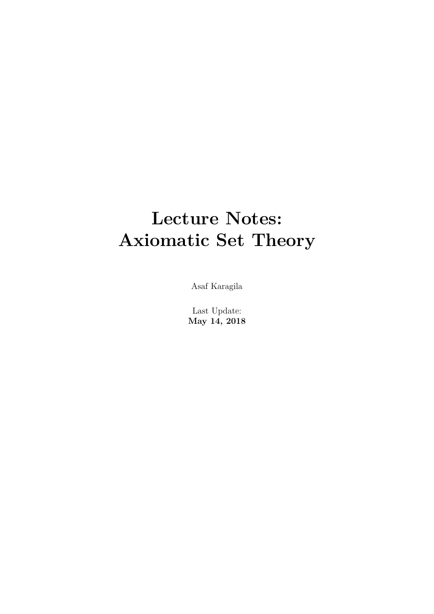# **Lecture Notes: Axiomatic Set Theory**

Asaf Karagila

Last Update: **May 14, 2018**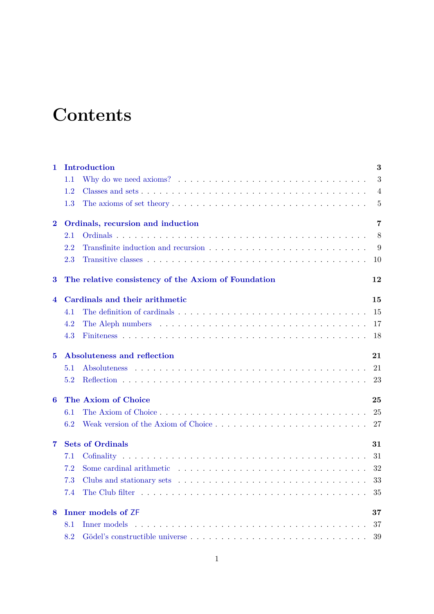# **Contents**

| 1           | Introduction                      |                                                                                                          |                |  |  |  |  |
|-------------|-----------------------------------|----------------------------------------------------------------------------------------------------------|----------------|--|--|--|--|
|             | 1.1                               |                                                                                                          | 3              |  |  |  |  |
|             | 1.2                               |                                                                                                          | $\overline{4}$ |  |  |  |  |
|             | 1.3                               | The axioms of set theory $\dots \dots \dots \dots \dots \dots \dots \dots \dots \dots \dots \dots \dots$ | 5              |  |  |  |  |
| $\bf{2}$    | Ordinals, recursion and induction |                                                                                                          |                |  |  |  |  |
|             | 2.1                               |                                                                                                          | 8              |  |  |  |  |
|             | 2.2                               |                                                                                                          | 9              |  |  |  |  |
|             | 2.3                               |                                                                                                          | 10             |  |  |  |  |
| 3           |                                   | The relative consistency of the Axiom of Foundation                                                      | 12             |  |  |  |  |
| 4           |                                   | Cardinals and their arithmetic                                                                           |                |  |  |  |  |
|             | 4.1                               | The definition of cardinals entering in the set of the set of the set of the definition of cardinals     | 15             |  |  |  |  |
|             | 4.2                               |                                                                                                          | 17             |  |  |  |  |
|             | 4.3                               |                                                                                                          | 18             |  |  |  |  |
| $5^{\circ}$ | Absoluteness and reflection       |                                                                                                          |                |  |  |  |  |
|             | 5.1                               |                                                                                                          | 21             |  |  |  |  |
|             | 5.2                               |                                                                                                          | 23             |  |  |  |  |
| 6           |                                   | The Axiom of Choice                                                                                      |                |  |  |  |  |
|             | 6.1                               |                                                                                                          | 25             |  |  |  |  |
|             | 6.2                               |                                                                                                          | 27             |  |  |  |  |
| 7           | <b>Sets of Ordinals</b>           |                                                                                                          |                |  |  |  |  |
|             | 7.1                               |                                                                                                          | 31             |  |  |  |  |
|             | 7.2                               |                                                                                                          | 32             |  |  |  |  |
|             | 7.3                               |                                                                                                          | 33             |  |  |  |  |
|             | 7.4                               |                                                                                                          | 35             |  |  |  |  |
| 8           | <b>Inner models of ZF</b>         |                                                                                                          |                |  |  |  |  |
|             | 8.1                               |                                                                                                          | 37             |  |  |  |  |
|             | 8.2                               |                                                                                                          | 39             |  |  |  |  |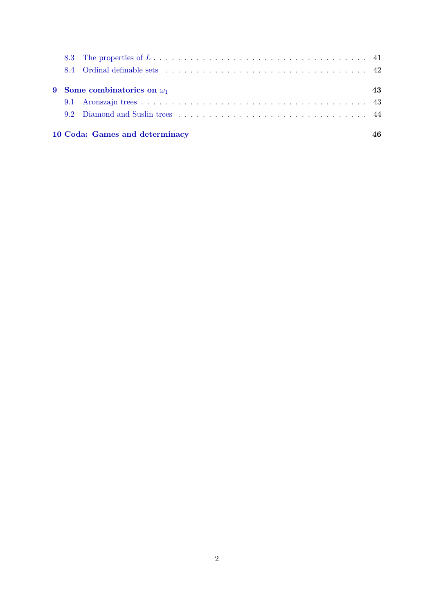|  | 10 Coda: Games and determinacy     |    |
|--|------------------------------------|----|
|  |                                    |    |
|  |                                    |    |
|  | 9 Some combinatorics on $\omega_1$ | 43 |
|  |                                    |    |
|  |                                    |    |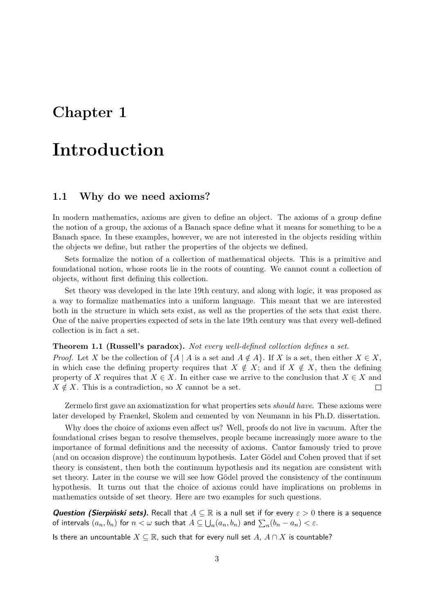## <span id="page-3-0"></span>**Introduction**

### <span id="page-3-1"></span>**1.1 Why do we need axioms?**

In modern mathematics, axioms are given to define an object. The axioms of a group define the notion of a group, the axioms of a Banach space define what it means for something to be a Banach space. In these examples, however, we are not interested in the objects residing within the objects we define, but rather the properties of the objects we defined.

Sets formalize the notion of a collection of mathematical objects. This is a primitive and foundational notion, whose roots lie in the roots of counting. We cannot count a collection of objects, without first defining this collection.

Set theory was developed in the late 19th century, and along with logic, it was proposed as a way to formalize mathematics into a uniform language. This meant that we are interested both in the structure in which sets exist, as well as the properties of the sets that exist there. One of the naive properties expected of sets in the late 19th century was that every well-defined collection is in fact a set.

### **Theorem 1.1 (Russell's paradox).** *Not every well-defined collection defines a set.*

*Proof.* Let *X* be the collection of  $\{A \mid A \text{ is a set and } A \notin A\}$ . If *X* is a set, then either  $X \in X$ , in which case the defining property requires that  $X \notin X$ ; and if  $X \notin X$ , then the defining property of *X* requires that  $X \in X$ . In either case we arrive to the conclusion that  $X \in X$  and  $X \notin X$ . This is a contradiction, so *X* cannot be a set.  $\Box$ 

Zermelo first gave an axiomatization for what properties sets *should have*. These axioms were later developed by Fraenkel, Skolem and cemented by von Neumann in his Ph.D. dissertation.

Why does the choice of axioms even affect us? Well, proofs do not live in vacuum. After the foundational crises began to resolve themselves, people became increasingly more aware to the importance of formal definitions and the necessity of axioms. Cantor famously tried to prove (and on occasion disprove) the continuum hypothesis. Later Gödel and Cohen proved that if set theory is consistent, then both the continuum hypothesis and its negation are consistent with set theory. Later in the course we will see how Gödel proved the consistency of the continuum hypothesis. It turns out that the choice of axioms could have implications on problems in mathematics outside of set theory. Here are two examples for such questions.

**Question (Sierpiński sets).** Recall that *A* ⊆ R is a null set if for every *ε >* 0 there is a sequence of intervals  $(a_n, b_n)$  for  $n < \omega$  such that  $A \subseteq \bigcup_n (a_n, b_n)$  and  $\sum_n (b_n - a_n) < \varepsilon$ .

Is there an uncountable  $X \subseteq \mathbb{R}$ , such that for every null set *A*,  $A \cap X$  is countable?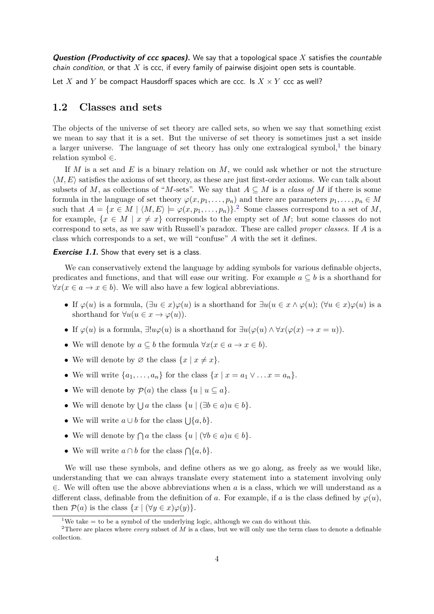**Question (Productivity of ccc spaces).** We say that a topological space *X* satisfies the countable chain condition, or that *X* is ccc, if every family of pairwise disjoint open sets is countable.

Let X and Y be compact Hausdorff spaces which are ccc. Is  $X \times Y$  ccc as well?

### <span id="page-4-0"></span>**1.2 Classes and sets**

The objects of the universe of set theory are called sets, so when we say that something exist we mean to say that it is a set. But the universe of set theory is sometimes just a set inside a larger universe. The language of set theory has only one extralogical symbol,<sup>[1](#page-4-1)</sup> the binary relation symbol ∈.

If *M* is a set and *E* is a binary relation on *M*, we could ask whether or not the structure  $\langle M, E \rangle$  satisfies the axioms of set theory, as these are just first-order axioms. We can talk about subsets of *M*, as collections of "*M*-sets". We say that  $A \subseteq M$  is a *class of M* if there is some formula in the language of set theory  $\varphi(x, p_1, \ldots, p_n)$  and there are parameters  $p_1, \ldots, p_n \in M$ such that  $A = \{x \in M \mid \langle M, E \rangle \models \varphi(x, p_1, \ldots, p_n)\}.$ <sup>[2](#page-4-2)</sup> Some classes correspond to a set of *M*, for example,  $\{x \in M \mid x \neq x\}$  corresponds to the empty set of *M*; but some classes do not correspond to sets, as we saw with Russell's paradox. These are called *proper classes*. If *A* is a class which corresponds to a set, we will "confuse" *A* with the set it defines.

### **Exercise 1.1.** Show that every set is a class.

We can conservatively extend the language by adding symbols for various definable objects, predicates and functions, and that will ease our writing. For example  $a \subseteq b$  is a shorthand for  $∀x(x ∈ a → x ∈ b)$ . We will also have a few logical abbreviations.

- If  $\varphi(u)$  is a formula,  $(\exists u \in x) \varphi(u)$  is a shorthand for  $\exists u (u \in x \land \varphi(u); (\forall u \in x) \varphi(u)$  is a shorthand for  $\forall u (u \in x \rightarrow \varphi(u))$ .
- If  $\varphi(u)$  is a formula,  $\exists! u \varphi(u)$  is a shorthand for  $\exists u (\varphi(u) \land \forall x (\varphi(x) \to x = u)).$
- We will denote by  $a \subseteq b$  the formula  $\forall x (x \in a \rightarrow x \in b)$ .
- We will denote by  $\emptyset$  the class  $\{x \mid x \neq x\}.$
- We will write  $\{a_1, \ldots, a_n\}$  for the class  $\{x \mid x = a_1 \vee \ldots x = a_n\}.$
- We will denote by  $\mathcal{P}(a)$  the class  $\{u \mid u \subseteq a\}.$
- We will denote by  $\bigcup a$  the class  $\{u \mid (\exists b \in a) u \in b\}.$
- We will write  $a \cup b$  for the class  $\bigcup \{a, b\}.$
- We will denote by  $\bigcap a$  the class  $\{u \mid (\forall b \in a)u \in b\}.$
- We will write  $a \cap b$  for the class  $\bigcap \{a, b\}.$

We will use these symbols, and define others as we go along, as freely as we would like, understanding that we can always translate every statement into a statement involving only ∈. We will often use the above abbreviations when *a* is a class, which we will understand as a different class, definable from the definition of *a*. For example, if *a* is the class defined by  $\varphi(u)$ , then  $\mathcal{P}(a)$  is the class  $\{x \mid (\forall y \in x) \varphi(y)\}.$ 

<span id="page-4-2"></span><span id="page-4-1"></span><sup>&</sup>lt;sup>1</sup>We take  $=$  to be a symbol of the underlying logic, although we can do without this.

<sup>&</sup>lt;sup>2</sup>There are places where *every* subset of *M* is a class, but we will only use the term class to denote a definable collection.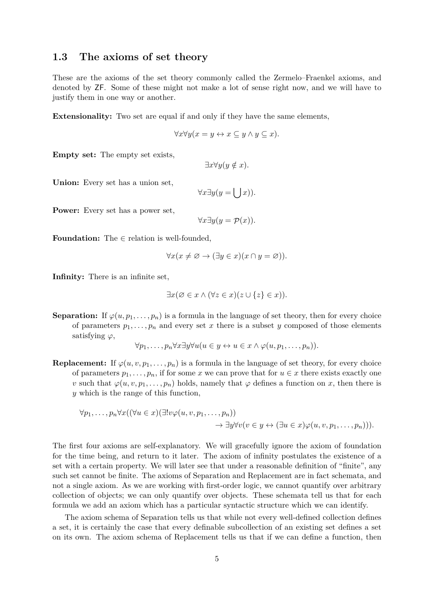### <span id="page-5-0"></span>**1.3 The axioms of set theory**

These are the axioms of the set theory commonly called the Zermelo–Fraenkel axioms, and denoted by ZF. Some of these might not make a lot of sense right now, and we will have to justify them in one way or another.

**Extensionality:** Two set are equal if and only if they have the same elements,

$$
\forall x \forall y (x = y \leftrightarrow x \subseteq y \land y \subseteq x).
$$

**Empty set:** The empty set exists,

$$
\exists x \forall y (y \notin x).
$$

**Union:** Every set has a union set,

$$
\forall x \exists y (y = \lfloor \ \rfloor x)).
$$

**Power:** Every set has a power set,

$$
\forall x \exists y (y = \mathcal{P}(x)).
$$

**Foundation:** The ∈ relation is well-founded,

$$
\forall x (x \neq \varnothing \to (\exists y \in x)(x \cap y = \varnothing)).
$$

**Infinity:** There is an infinite set,

$$
\exists x (\varnothing \in x \land (\forall z \in x)(z \cup \{z\} \in x)).
$$

**Separation:** If  $\varphi(u, p_1, \ldots, p_n)$  is a formula in the language of set theory, then for every choice of parameters  $p_1, \ldots, p_n$  and every set x there is a subset y composed of those elements satisfying *ϕ*,

$$
\forall p_1, \ldots, p_n \forall x \exists y \forall u (u \in y \leftrightarrow u \in x \land \varphi(u, p_1, \ldots, p_n)).
$$

**Replacement:** If  $\varphi(u, v, p_1, \ldots, p_n)$  is a formula in the language of set theory, for every choice of parameters  $p_1, \ldots, p_n$ , if for some x we can prove that for  $u \in x$  there exists exactly one *v* such that  $\varphi(u, v, p_1, \ldots, p_n)$  holds, namely that  $\varphi$  defines a function on *x*, then there is *y* which is the range of this function,

$$
\forall p_1,\ldots,p_n\forall x((\forall u \in x)(\exists!v\varphi(u,v,p_1,\ldots,p_n))\rightarrow \exists y\forall v(v \in y \leftrightarrow (\exists u \in x)\varphi(u,v,p_1,\ldots,p_n))).
$$

The first four axioms are self-explanatory. We will gracefully ignore the axiom of foundation for the time being, and return to it later. The axiom of infinity postulates the existence of a set with a certain property. We will later see that under a reasonable definition of "finite", any such set cannot be finite. The axioms of Separation and Replacement are in fact schemata, and not a single axiom. As we are working with first-order logic, we cannot quantify over arbitrary collection of objects; we can only quantify over objects. These schemata tell us that for each formula we add an axiom which has a particular syntactic structure which we can identify.

The axiom schema of Separation tells us that while not every well-defined collection defines a set, it is certainly the case that every definable subcollection of an existing set defines a set on its own. The axiom schema of Replacement tells us that if we can define a function, then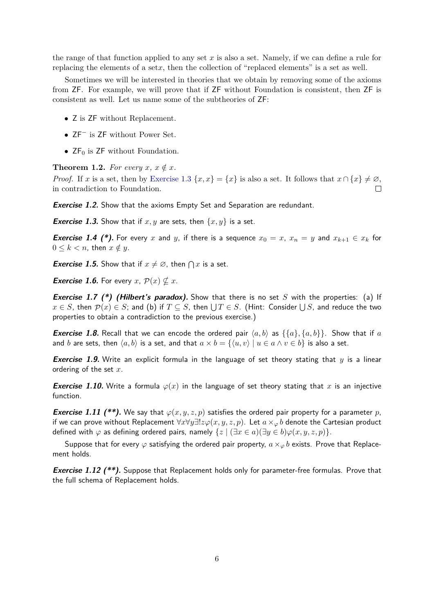the range of that function applied to any set *x* is also a set. Namely, if we can define a rule for replacing the elements of a set*x*, then the collection of "replaced elements" is a set as well.

Sometimes we will be interested in theories that we obtain by removing some of the axioms from ZF. For example, we will prove that if ZF without Foundation is consistent, then ZF is consistent as well. Let us name some of the subtheories of ZF:

- Z is ZF without Replacement.
- ZF<sup>−</sup> is ZF without Power Set.
- $ZF_0$  is  $ZF$  without Foundation.

**Theorem 1.2.** For every  $x, x \notin x$ .

*Proof.* If *x* is a set, then by [Exercise 1.3](#page-6-0)  $\{x, x\} = \{x\}$  is also a set. It follows that  $x \cap \{x\} \neq \emptyset$ , in contradiction to Foundation.

**Exercise 1.2.** Show that the axioms Empty Set and Separation are redundant.

<span id="page-6-0"></span>**Exercise 1.3.** Show that if  $x, y$  are sets, then  $\{x, y\}$  is a set.

**Exercise 1.4 (\*).** For every x and y, if there is a sequence  $x_0 = x$ ,  $x_n = y$  and  $x_{k+1} \in x_k$  for  $0 \leq k < n$ , then  $x \notin y$ .

**Exercise 1.5.** Show that if  $x \neq \emptyset$ , then  $\bigcap x$  is a set.

*Exercise 1.6.* For every  $x, p(x) \nsubseteq x$ .

**Exercise 1.7** (\*) (Hilbert's paradox). Show that there is no set *S* with the properties: (a) If  $x\in S$ , then  $\mathcal{P}(x)\in S;$  and (b) if  $T\subseteq S.$  then  $\bigcup T\in S.$  (Hint: Consider  $\bigcup S,$  and reduce the two properties to obtain a contradiction to the previous exercise.)

**Exercise 1.8.** Recall that we can encode the ordered pair  $\langle a, b \rangle$  as  $\{\{a\}, \{a, b\}\}\$ . Show that if a and *b* are sets, then  $\langle a, b \rangle$  is a set, and that  $a \times b = \{ \langle u, v \rangle | u \in a \land v \in b \}$  is also a set.

**Exercise 1.9.** Write an explicit formula in the language of set theory stating that *y* is a linear ordering of the set *x*.

**Exercise 1.10.** Write a formula  $\varphi(x)$  in the language of set theory stating that x is an injective function.

**Exercise 1.11 (\*\*).** We say that  $\varphi(x, y, z, p)$  satisfies the ordered pair property for a parameter p, if we can prove without Replacement ∀*x*∀*y*∃!*zϕ*(*x, y, z, p*). Let *a*×*<sup>ϕ</sup> b* denote the Cartesian product defined with  $\varphi$  as defining ordered pairs, namely  $\{z \mid (\exists x \in a)(\exists y \in b)\varphi(x,y,z,p)\}.$ 

Suppose that for every  $\varphi$  satisfying the ordered pair property,  $a \times_{\varphi} b$  exists. Prove that Replacement holds.

**Exercise 1.12 (\*\*).** Suppose that Replacement holds only for parameter-free formulas. Prove that the full schema of Replacement holds.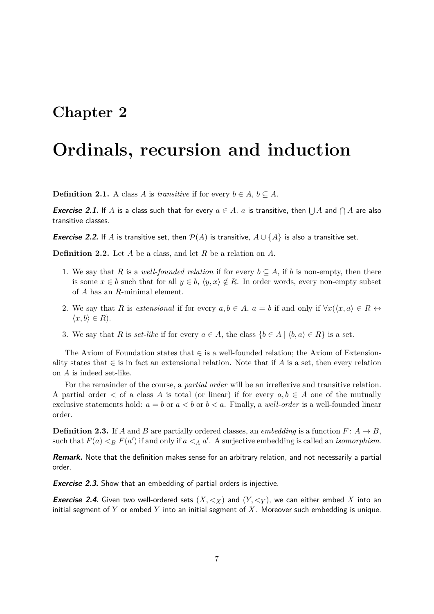## <span id="page-7-0"></span>**Ordinals, recursion and induction**

**Definition 2.1.** A class *A* is *transitive* if for every  $b \in A$ ,  $b \subseteq A$ .

**Exercise 2.1.** If A is a class such that for every  $a \in A$ , a is transitive, then  $\bigcup A$  and  $\bigcap A$  are also transitive classes.

**Exercise 2.2.** If *A* is transitive set, then  $\mathcal{P}(A)$  is transitive,  $A \cup \{A\}$  is also a transitive set.

**Definition 2.2.** Let *A* be a class, and let *R* be a relation on *A*.

- 1. We say that *R* is a *well-founded relation* if for every  $b \subseteq A$ , if *b* is non-empty, then there is some  $x \in b$  such that for all  $y \in b$ ,  $\langle y, x \rangle \notin R$ . In order words, every non-empty subset of *A* has an *R*-minimal element.
- 2. We say that *R* is *extensional* if for every  $a, b \in A$ ,  $a = b$  if and only if  $\forall x (\langle x, a \rangle \in R \leftrightarrow$  $\langle x, b \rangle \in R$ ).
- 3. We say that *R* is *set-like* if for every  $a \in A$ , the class  $\{b \in A \mid \langle b, a \rangle \in R\}$  is a set.

The Axiom of Foundation states that  $\in$  is a well-founded relation; the Axiom of Extensionality states that  $\in$  is in fact an extensional relation. Note that if *A* is a set, then every relation on *A* is indeed set-like.

For the remainder of the course, a *partial order* will be an irreflexive and transitive relation. A partial order  $\lt$  of a class A is total (or linear) if for every  $a, b \in A$  one of the mutually exclusive statements hold:  $a = b$  or  $a < b$  or  $b < a$ . Finally, a *well-order* is a well-founded linear order.

**Definition 2.3.** If *A* and *B* are partially ordered classes, an *embedding* is a function  $F: A \to B$ , such that  $F(a) < B F(a')$  if and only if  $a < A a'$ . A surjective embedding is called an *isomorphism*.

**Remark.** Note that the definition makes sense for an arbitrary relation, and not necessarily a partial order.

**Exercise 2.3.** Show that an embedding of partial orders is injective.

**Exercise 2.4.** Given two well-ordered sets  $(X, \leq_X)$  and  $(Y, \leq_Y)$ , we can either embed X into an initial segment of *Y* or embed *Y* into an initial segment of *X*. Moreover such embedding is unique.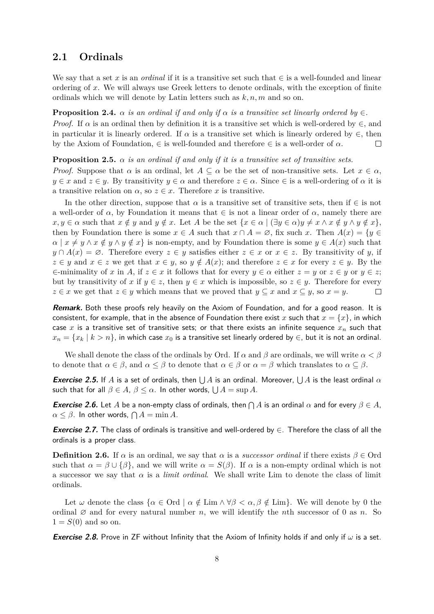### <span id="page-8-0"></span>**2.1 Ordinals**

We say that a set *x* is an *ordinal* if it is a transitive set such that ∈ is a well-founded and linear ordering of *x*. We will always use Greek letters to denote ordinals, with the exception of finite ordinals which we will denote by Latin letters such as *k, n, m* and so on.

**Proposition 2.4.**  $\alpha$  *is an ordinal if and only if*  $\alpha$  *is a transitive set linearly ordered by*  $\in$ *.* 

*Proof.* If  $\alpha$  is an ordinal then by definition it is a transitive set which is well-ordered by  $\in$ , and in particular it is linearly ordered. If  $\alpha$  is a transitive set which is linearly ordered by  $\in$ , then by the Axiom of Foundation,  $\in$  is well-founded and therefore  $\in$  is a well-order of  $\alpha$ .  $\Box$ 

#### **Proposition 2.5.**  $\alpha$  *is an ordinal if and only if it is a transitive set of transitive sets.*

*Proof.* Suppose that  $\alpha$  is an ordinal, let  $A \subseteq \alpha$  be the set of non-transitive sets. Let  $x \in \alpha$ ,  $y \in \mathcal{X}$  and  $z \in \mathcal{Y}$ . By transitivity  $y \in \alpha$  and therefore  $z \in \alpha$ . Since  $\in$  is a well-ordering of  $\alpha$  it is a transitive relation on  $\alpha$ , so  $z \in x$ . Therefore *x* is transitive.

In the other direction, suppose that  $\alpha$  is a transitive set of transitive sets, then if  $\in$  is not a well-order of  $\alpha$ , by Foundation it means that  $\in$  is not a linear order of  $\alpha$ , namely there are  $x, y \in \alpha$  such that  $x \notin y$  and  $y \notin x$ . Let A be the set  $\{x \in \alpha \mid (\exists y \in \alpha) y \neq x \land x \notin y \land y \notin x\},\$ then by Foundation there is some  $x \in A$  such that  $x \cap A = \emptyset$ , fix such x. Then  $A(x) = \{y \in A\}$  $\alpha \mid x \neq y \land x \notin y \land y \notin x$  is non-empty, and by Foundation there is some  $y \in A(x)$  such that  $y \cap A(x) = \emptyset$ . Therefore every  $z \in y$  satisfies either  $z \in x$  or  $x \in z$ . By transitivity of *y*, if  $z \in y$  and  $x \in z$  we get that  $x \in y$ , so  $y \notin A(x)$ ; and therefore  $z \in x$  for every  $z \in y$ . By the  $\in$ -minimality of *x* in *A*, if  $z \in x$  it follows that for every  $y \in \alpha$  either  $z = y$  or  $z \in y$  or  $y \in z$ ; but by transitivity of x if  $y \in z$ , then  $y \in x$  which is impossible, so  $z \in y$ . Therefore for every  $z \in x$  we get that  $z \in y$  which means that we proved that  $y \subseteq x$  and  $x \subseteq y$ , so  $x = y$ .  $\Box$ 

**Remark.** Both these proofs rely heavily on the Axiom of Foundation, and for a good reason. It is consistent, for example, that in the absence of Foundation there exist *x* such that  $x = \{x\}$ , in which case *x* is a transitive set of transitive sets; or that there exists an infinite sequence *x<sup>n</sup>* such that  $x_n = \{x_k \mid k > n\}$ , in which case  $x_0$  is a transitive set linearly ordered by  $\in$ , but it is not an ordinal.

We shall denote the class of the ordinals by Ord. If *α* and *β* are ordinals, we will write *α < β* to denote that  $\alpha \in \beta$ , and  $\alpha \leq \beta$  to denote that  $\alpha \in \beta$  or  $\alpha = \beta$  which translates to  $\alpha \subseteq \beta$ .

*Exercise 2.5.* If  $A$  is a set of ordinals, then  $\bigcup A$  is an ordinal. Moreover,  $\bigcup A$  is the least ordinal  $\alpha$  $\mathsf{such\ that\ for\ all}\ \beta\in A,\ \beta\leq\alpha.\ \ \mathsf{In\ other\ words,}\ \bigcup A=\sup A.$ 

**Exercise 2.6.** Let A be a non-empty class of ordinals, then  $\bigcap A$  is an ordinal  $\alpha$  and for every  $\beta \in A$ ,  $\alpha \leq \beta$ . In other words,  $\bigcap A = \min A$ .

**Exercise 2.7.** The class of ordinals is transitive and well-ordered by ∈. Therefore the class of all the ordinals is a proper class.

**Definition 2.6.** If  $\alpha$  is an ordinal, we say that  $\alpha$  is a *successor ordinal* if there exists  $\beta \in \text{Ord}$ such that  $\alpha = \beta \cup {\beta}$ , and we will write  $\alpha = S(\beta)$ . If  $\alpha$  is a non-empty ordinal which is not a successor we say that  $\alpha$  is a *limit ordinal*. We shall write Lim to denote the class of limit ordinals.

Let  $\omega$  denote the class  $\{\alpha \in \text{Ord} \mid \alpha \notin \text{Lim} \land \forall \beta < \alpha, \beta \notin \text{Lim}\}\.$  We will denote by 0 the ordinal  $\emptyset$  and for every natural number *n*, we will identify the *n*th successor of 0 as *n*. So  $1 = S(0)$  and so on.

**Exercise 2.8.** Prove in ZF without Infinity that the Axiom of Infinity holds if and only if *ω* is a set.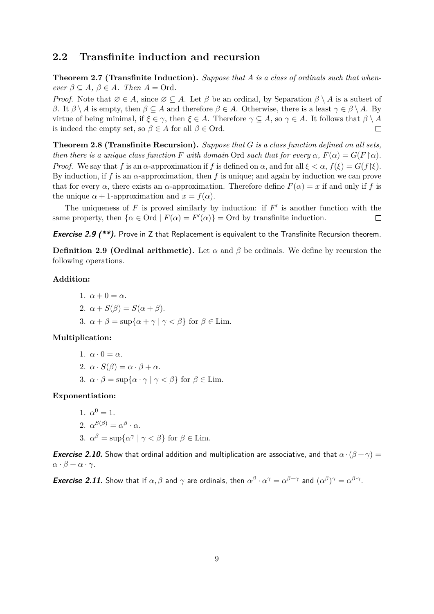### <span id="page-9-0"></span>**2.2 Transfinite induction and recursion**

**Theorem 2.7 (Transfinite Induction).** *Suppose that A is a class of ordinals such that when* $ever \beta \subseteq A$ ,  $\beta \in A$ *. Then*  $A = Ord$ *.* 

*Proof.* Note that  $\emptyset \in A$ , since  $\emptyset \subseteq A$ . Let  $\beta$  be an ordinal, by Separation  $\beta \setminus A$  is a subset of *β*. It *β* \ *A* is empty, then *β* ⊆ *A* and therefore *β* ∈ *A*. Otherwise, there is a least  $γ ∈ β$  \ *A*. By virtue of being minimal, if  $\xi \in \gamma$ , then  $\xi \in A$ . Therefore  $\gamma \subseteq A$ , so  $\gamma \in A$ . It follows that  $\beta \setminus A$ is indeed the empty set, so  $\beta \in A$  for all  $\beta \in \text{Ord}$ .  $\Box$ 

**Theorem 2.8 (Transfinite Recursion).** *Suppose that G is a class function defined on all sets, then there is a unique class function F with domain* Ord *such that for every*  $\alpha$ *,*  $F(\alpha) = G(F \upharpoonright \alpha)$ *. Proof.* We say that *f* is an *α*-approximation if *f* is defined on *α*, and for all  $\xi < \alpha$ ,  $f(\xi) = G(f|\xi)$ . By induction, if *f* is an *α*-approximation, then *f* is unique; and again by induction we can prove that for every  $\alpha$ , there exists an  $\alpha$ -approximation. Therefore define  $F(\alpha) = x$  if and only if f is the unique  $\alpha + 1$ -approximation and  $x = f(\alpha)$ .

The uniqueness of  $F$  is proved similarly by induction: if  $F'$  is another function with the same property, then  $\{\alpha \in \text{Ord} \mid F(\alpha) = F'(\alpha)\} = \text{Ord}$  by transfinite induction.  $\Box$ 

**Exercise 2.9 (\*\*).** Prove in Z that Replacement is equivalent to the Transfinite Recursion theorem.

**Definition 2.9 (Ordinal arithmetic).** Let  $\alpha$  and  $\beta$  be ordinals. We define by recursion the following operations.

### **Addition:**

1.  $\alpha + 0 = \alpha$ . 2.  $\alpha + S(\beta) = S(\alpha + \beta)$ . 3.  $\alpha + \beta = \sup\{\alpha + \gamma \mid \gamma < \beta\}$  for  $\beta \in \text{Lim.}$ 

### **Multiplication:**

1.  $\alpha \cdot 0 = \alpha$ . 2.  $\alpha \cdot S(\beta) = \alpha \cdot \beta + \alpha$ . 3.  $\alpha \cdot \beta = \sup\{\alpha \cdot \gamma \mid \gamma \leq \beta\}$  for  $\beta \in \text{Lim.}$ 

### **Exponentiation:**

1. 
$$
\alpha^0 = 1
$$
.  
\n2.  $\alpha^{S(\beta)} = \alpha^{\beta} \cdot \alpha$ .  
\n3.  $\alpha^{\beta} = \sup \{ \alpha^{\gamma} \mid \gamma < \beta \}$  for  $\beta \in \text{Lim}$ .

**Exercise 2.10.** Show that ordinal addition and multiplication are associative, and that  $\alpha \cdot (\beta + \gamma) =$ *α* ·  $β + α$  ·  $γ$ .

*Exercise 2.11. Show that if*  $\alpha$ *,*  $\beta$  *and*  $\gamma$  *are ordinals, then*  $\alpha^{\beta} \cdot \alpha^{\gamma} = \alpha^{\beta+\gamma}$  *and*  $(\alpha^{\beta})^{\gamma} = \alpha^{\beta \cdot \gamma}$ *.*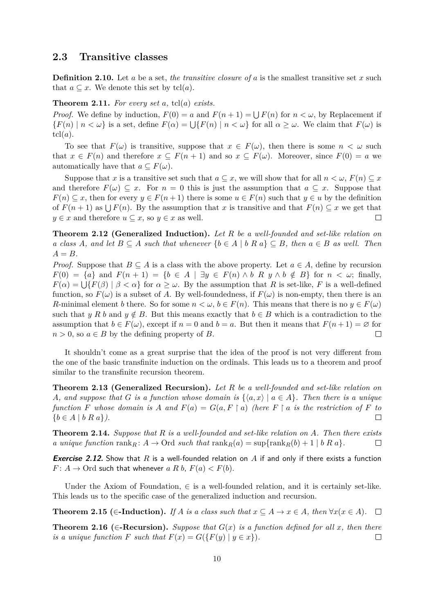### <span id="page-10-0"></span>**2.3 Transitive classes**

**Definition 2.10.** Let *a* be a set, *the transitive closure of a* is the smallest transitive set *x* such that  $a \subseteq x$ . We denote this set by tcl(*a*).

#### **Theorem 2.11.** *For every set a,* tcl(*a*) *exists.*

*Proof.* We define by induction,  $F(0) = a$  and  $F(n+1) = \bigcup F(n)$  for  $n < \omega$ , by Replacement if  ${F(n) \mid n < \omega}$  is a set, define  $F(\alpha) = \bigcup {F(n) \mid n < \omega}$  for all  $\alpha \geq \omega$ . We claim that  $F(\omega)$  is  $tcl(a).$ 

To see that  $F(\omega)$  is transitive, suppose that  $x \in F(\omega)$ , then there is some  $n < \omega$  such that  $x \in F(n)$  and therefore  $x \subseteq F(n+1)$  and so  $x \subseteq F(\omega)$ . Moreover, since  $F(0) = a$  we automatically have that  $a \subseteq F(\omega)$ .

Suppose that *x* is a transitive set such that  $a \subseteq x$ , we will show that for all  $n < \omega$ ,  $F(n) \subseteq x$ and therefore  $F(\omega) \subseteq x$ . For  $n = 0$  this is just the assumption that  $a \subseteq x$ . Suppose that  $F(n) \subseteq x$ , then for every  $y \in F(n+1)$  there is some  $u \in F(n)$  such that  $y \in u$  by the definition of  $F(n+1)$  as  $\bigcup F(n)$ . By the assumption that *x* is transitive and that  $F(n) \subseteq x$  we get that  $y \in x$  and therefore  $u \subseteq x$ , so  $y \in x$  as well.  $\Box$ 

**Theorem 2.12 (Generalized Induction).** *Let R be a well-founded and set-like relation on a class A*, and let  $B \subseteq A$  *such that whenever*  $\{b \in A \mid b \ R \ a\} \subseteq B$ , then  $a \in B$  *as well. Then*  $A = B$ *.* 

*Proof.* Suppose that  $B \subseteq A$  is a class with the above property. Let  $a \in A$ , define by recursion *F*(0) = {*a*} and *F*(*n* + 1) = {*b* ∈ *A* | ∃*y* ∈ *F*(*n*) ∧ *b R y* ∧ *b* ∉ *B*} for *n* < *ω*; finally,  $F(\alpha) = \bigcup \{ F(\beta) \mid \beta < \alpha \}$  for  $\alpha \geq \omega$ . By the assumption that *R* is set-like, *F* is a well-defined function, so  $F(\omega)$  is a subset of A. By well-foundedness, if  $F(\omega)$  is non-empty, then there is an *R*-minimal element *b* there. So for some  $n < \omega, b \in F(n)$ . This means that there is no  $y \in F(\omega)$ such that *y R b* and  $y \notin B$ . But this means exactly that  $b \in B$  which is a contradiction to the assumption that  $b \in F(\omega)$ , except if  $n = 0$  and  $b = a$ . But then it means that  $F(n + 1) = \emptyset$  for  $n > 0$ , so  $a \in B$  by the defining property of *B*.  $\Box$ 

It shouldn't come as a great surprise that the idea of the proof is not very different from the one of the basic transfinite induction on the ordinals. This leads us to a theorem and proof similar to the transfinite recursion theorem.

**Theorem 2.13 (Generalized Recursion).** *Let R be a well-founded and set-like relation on A, and suppose that G is a function whose domain is*  $\{\langle a, x \rangle | a \in A\}$ *. Then there is a unique function F* whose domain is A and  $F(a) = G(a, F \mid a)$  (here  $F \mid a$  *is the restriction of*  $F$  *to* {*b* ∈ *A* | *b R a*}*).*  $\Box$ 

**Theorem 2.14.** *Suppose that R is a well-founded and set-like relation on A. Then there exists a unique function*  $\text{rank}_{R}$ :  $A \rightarrow \text{Ord}$  *such that*  $\text{rank}_{R}(a) = \text{sup}\{\text{rank}_{R}(b) + 1 \mid b R a\}$ .  $\Box$ 

**Exercise 2.12.** Show that *R* is a well-founded relation on *A* if and only if there exists a function  $F: A \to \text{Ord}$  such that whenever *a R b*,  $F(a) < F(b)$ .

Under the Axiom of Foundation,  $\in$  is a well-founded relation, and it is certainly set-like. This leads us to the specific case of the generalized induction and recursion.

**Theorem 2.15 (∈-Induction).** If *A* is a class such that  $x \subseteq A \to x \in A$ , then  $\forall x (x \in A)$ .  $\Box$ 

**Theorem 2.16 (∈–Recursion).** Suppose that  $G(x)$  is a function defined for all x, then there *is a unique function F such that*  $F(x) = G({F(y) | y \in x})$ .  $\Box$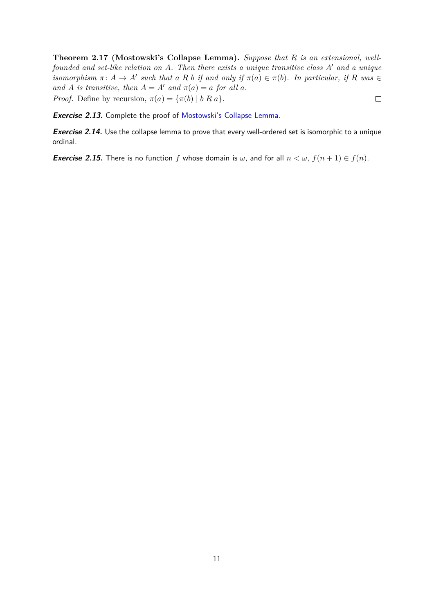<span id="page-11-0"></span>**Theorem 2.17 (Mostowski's Collapse Lemma).** *Suppose that R is an extensional, wellfounded and set-like relation on A.* Then there exists a unique transitive class *A'* and a unique *isomorphism*  $\pi: A \to A'$  *such that a R b if and only if*  $\pi(a) \in \pi(b)$ *. In particular, if R was* ∈ *and A is transitive, then*  $A = A'$  *and*  $\pi(a) = a$  *for all a. Proof.* Define by recursion,  $\pi(a) = {\pi(b) | b R a}.$  $\Box$ 

**Exercise 2.13.** Complete the proof of [Mostowski's Collapse Lemma.](#page-11-0)

**Exercise 2.14.** Use the collapse lemma to prove that every well-ordered set is isomorphic to a unique ordinal.

**Exercise 2.15.** There is no function *f* whose domain is  $\omega$ , and for all  $n < \omega$ ,  $f(n+1) \in f(n)$ .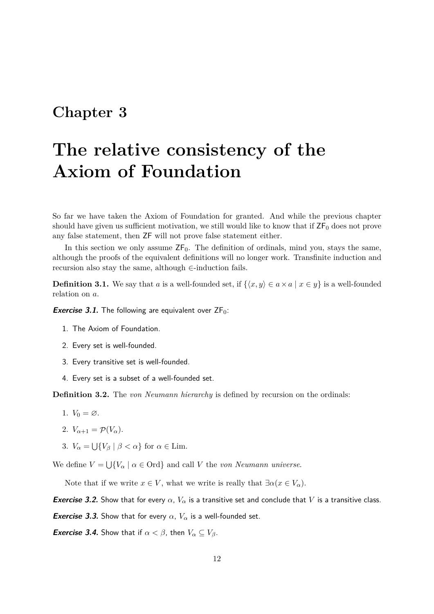# <span id="page-12-0"></span>**The relative consistency of the Axiom of Foundation**

So far we have taken the Axiom of Foundation for granted. And while the previous chapter should have given us sufficient motivation, we still would like to know that if  $ZF_0$  does not prove any false statement, then ZF will not prove false statement either.

In this section we only assume  $\mathsf{ZF}_0$ . The definition of ordinals, mind you, stays the same, although the proofs of the equivalent definitions will no longer work. Transfinite induction and recursion also stay the same, although ∈-induction fails.

**Definition 3.1.** We say that *a* is a well-founded set, if  $\{\langle x, y \rangle \in a \times a \mid x \in y\}$  is a well-founded relation on *a*.

**Exercise 3.1.** The following are equivalent over  $ZF_0$ :

- 1. The Axiom of Foundation.
- 2. Every set is well-founded.
- 3. Every transitive set is well-founded.
- 4. Every set is a subset of a well-founded set.

**Definition 3.2.** The *von Neumann hierarchy* is defined by recursion on the ordinals:

1.  $V_0 = \varnothing$ .

$$
2. V_{\alpha+1} = \mathcal{P}(V_{\alpha}).
$$

3.  $V_{\alpha} = \bigcup \{ V_{\beta} \mid \beta < \alpha \}$  for  $\alpha \in \text{Lim.}$ 

We define  $V = \bigcup \{V_\alpha \mid \alpha \in \text{Ord}\}$  and call *V* the *von Neumann universe*.

Note that if we write  $x \in V$ , what we write is really that  $\exists \alpha (x \in V_{\alpha})$ .

**Exercise 3.2.** Show that for every  $\alpha$ ,  $V_{\alpha}$  is a transitive set and conclude that V is a transitive class.

**Exercise 3.3.** Show that for every  $\alpha$ ,  $V_{\alpha}$  is a well-founded set.

*Exercise 3.4.* **Show that if**  $\alpha < \beta$ **, then**  $V_{\alpha} \subseteq V_{\beta}$ **.**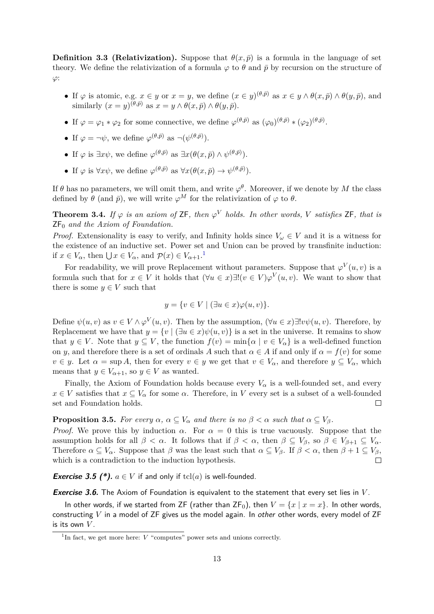**Definition 3.3 (Relativization).** Suppose that  $\theta(x,\bar{p})$  is a formula in the language of set theory. We define the relativization of a formula  $\varphi$  to  $\theta$  and  $\bar{p}$  by recursion on the structure of *ϕ*:

- If  $\varphi$  is atomic, e.g.  $x \in y$  or  $x = y$ , we define  $(x \in y)^{(\theta,\bar{p})}$  as  $x \in y \wedge \theta(x,\bar{p}) \wedge \theta(y,\bar{p})$ , and  $\text{similarity } (x = y)^{(\theta, \bar{p})} \text{ as } x = y \wedge \theta(x, \bar{p}) \wedge \theta(y, \bar{p}).$
- If  $\varphi = \varphi_1 * \varphi_2$  for some connective, we define  $\varphi^{(\theta,\bar{p})}$  as  $(\varphi_0)^{(\theta,\bar{p})} * (\varphi_2)^{(\theta,\bar{p})}$ .
- If  $\varphi = \neg \psi$ , we define  $\varphi^{(\theta,\bar{p})}$  as  $\neg(\psi^{(\theta,\bar{p})})$ .
- If  $\varphi$  is  $\exists x \psi$ , we define  $\varphi^{(\theta,\bar{p})}$  as  $\exists x(\theta(x,\bar{p}) \wedge \psi^{(\theta,\bar{p})})$ .
- If  $\varphi$  is  $\forall x \psi$ , we define  $\varphi^{(\theta,\bar{p})}$  as  $\forall x (\theta(x,\bar{p}) \to \psi^{(\theta,\bar{p})})$ .

If  $\theta$  has no parameters, we will omit them, and write  $\varphi^{\theta}$ . Moreover, if we denote by *M* the class defined by  $\theta$  (and  $\bar{p}$ ), we will write  $\varphi^M$  for the relativization of  $\varphi$  to  $\theta$ .

<span id="page-13-1"></span>**Theorem 3.4.** If  $\varphi$  is an axiom of ZF, then  $\varphi^V$  holds. In other words, V satisfies ZF, that is ZF<sup>0</sup> *and the Axiom of Foundation.*

*Proof.* Extensionality is easy to verify, and Infinity holds since  $V_\omega \in V$  and it is a witness for the existence of an inductive set. Power set and Union can be proved by transfinite induction: if  $x \in V_\alpha$ , then  $\bigcup x \in V_\alpha$ , and  $\mathcal{P}(x) \in V_{\alpha+1}$  $\mathcal{P}(x) \in V_{\alpha+1}$  $\mathcal{P}(x) \in V_{\alpha+1}$ .<sup>1</sup>

For readability, we will prove Replacement without parameters. Suppose that  $\varphi^V(u, v)$  is a formula such that for  $x \in V$  it holds that  $(\forall u \in x) \exists! (v \in V) \varphi^{V}(u, v)$ . We want to show that there is some  $y \in V$  such that

$$
y = \{ v \in V \mid (\exists u \in x) \varphi(u, v) \}.
$$

Define  $\psi(u, v)$  as  $v \in V \wedge \varphi^V(u, v)$ . Then by the assumption,  $(\forall u \in x) \exists! v \psi(u, v)$ . Therefore, by Replacement we have that  $y = \{v \mid (\exists u \in x) \psi(u, v)\}\$ is a set in the universe. It remains to show that  $y \in V$ . Note that  $y \subseteq V$ , the function  $f(v) = \min\{\alpha \mid v \in V_\alpha\}$  is a well-defined function on *y*, and therefore there is a set of ordinals *A* such that  $\alpha \in A$  if and only if  $\alpha = f(v)$  for some  $v \in y$ . Let  $\alpha = \sup A$ , then for every  $v \in y$  we get that  $v \in V_\alpha$ , and therefore  $y \subseteq V_\alpha$ , which means that  $y \in V_{\alpha+1}$ , so  $y \in V$  as wanted.

Finally, the Axiom of Foundation holds because every  $V_\alpha$  is a well-founded set, and every  $x \in V$  satisfies that  $x \subseteq V_\alpha$  for some  $\alpha$ . Therefore, in *V* every set is a subset of a well-founded set and Foundation holds.  $\Box$ 

**Proposition 3.5.** *For every*  $\alpha$ ,  $\alpha \subseteq V_\alpha$  *and there is no*  $\beta < \alpha$  *such that*  $\alpha \subseteq V_\beta$ *.* 

*Proof.* We prove this by induction  $\alpha$ . For  $\alpha = 0$  this is true vacuously. Suppose that the assumption holds for all  $\beta < \alpha$ . It follows that if  $\beta < \alpha$ , then  $\beta \subseteq V_{\beta}$ , so  $\beta \in V_{\beta+1} \subseteq V_{\alpha}$ . Therefore  $\alpha \subseteq V_\alpha$ . Suppose that  $\beta$  was the least such that  $\alpha \subseteq V_\beta$ . If  $\beta < \alpha$ , then  $\beta + 1 \subseteq V_\beta$ , which is a contradiction to the induction hypothesis.  $\Box$ 

**Exercise 3.5 (\*).**  $a \in V$  if and only if  $\text{tcl}(a)$  is well-founded.

**Exercise 3.6.** The Axiom of Foundation is equivalent to the statement that every set lies in *V* .

In other words, if we started from ZF (rather than  $ZF_0$ ), then  $V = \{x \mid x = x\}$ . In other words, constructing *V* in a model of ZF gives us the model again. In other other words, every model of ZF is its own *V* .

<span id="page-13-0"></span><sup>&</sup>lt;sup>1</sup>In fact, we get more here: *V* "computes" power sets and unions correctly.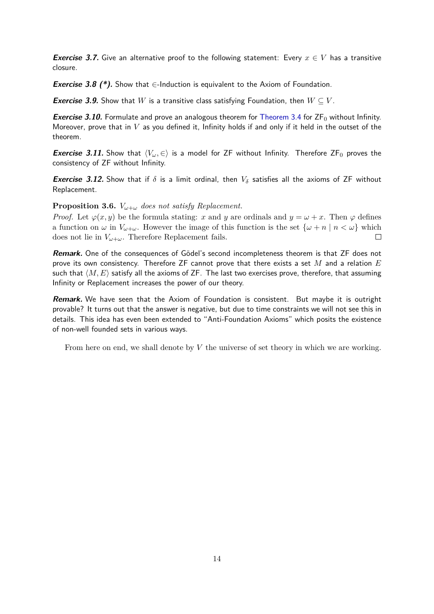**Exercise 3.7.** Give an alternative proof to the following statement: Every  $x \in V$  has a transitive closure.

**Exercise 3.8** (\*). Show that  $∈$ -Induction is equivalent to the Axiom of Foundation.

**Exercise 3.9.** Show that *W* is a transitive class satisfying Foundation, then  $W \subseteq V$ .

**Exercise 3.10.** Formulate and prove an analogous theorem for [Theorem 3.4](#page-13-1) for  $ZF_0$  without Infinity. Moreover, prove that in *V* as you defined it, Infinity holds if and only if it held in the outset of the theorem.

**Exercise 3.11.** Show that  $\langle V_\omega, \in \rangle$  is a model for ZF without Infinity. Therefore ZF<sub>0</sub> proves the consistency of ZF without Infinity.

**Exercise 3.12.** Show that if  $\delta$  is a limit ordinal, then  $V_{\delta}$  satisfies all the axioms of ZF without Replacement.

**Proposition 3.6.**  $V_{\omega+\omega}$  *does not satisfy Replacement.* 

*Proof.* Let  $\varphi(x, y)$  be the formula stating: *x* and *y* are ordinals and  $y = \omega + x$ . Then  $\varphi$  defines a function on  $\omega$  in  $V_{\omega+\omega}$ . However the image of this function is the set  $\{\omega+n \mid n < \omega\}$  which does not lie in  $V_{\omega+\omega}$ . Therefore Replacement fails. П

**Remark.** One of the consequences of Gödel's second incompleteness theorem is that ZF does not prove its own consistency. Therefore ZF cannot prove that there exists a set *M* and a relation *E* such that  $\langle M, E \rangle$  satisfy all the axioms of ZF. The last two exercises prove, therefore, that assuming Infinity or Replacement increases the power of our theory.

**Remark.** We have seen that the Axiom of Foundation is consistent. But maybe it is outright provable? It turns out that the answer is negative, but due to time constraints we will not see this in details. This idea has even been extended to "Anti-Foundation Axioms" which posits the existence of non-well founded sets in various ways.

From here on end, we shall denote by *V* the universe of set theory in which we are working.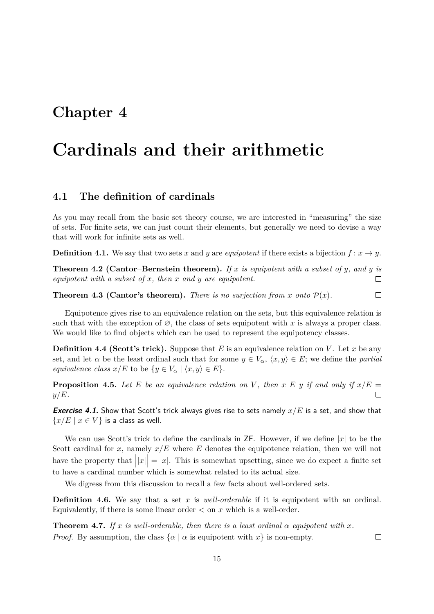## <span id="page-15-0"></span>**Cardinals and their arithmetic**

### <span id="page-15-1"></span>**4.1 The definition of cardinals**

As you may recall from the basic set theory course, we are interested in "measuring" the size of sets. For finite sets, we can just count their elements, but generally we need to devise a way that will work for infinite sets as well.

**Definition 4.1.** We say that two sets *x* and *y* are *equipotent* if there exists a bijection  $f: x \rightarrow y$ .

**Theorem 4.2 (Cantor–Bernstein theorem).** *If x is equipotent with a subset of y, and y is equipotent with a subset of x, then x and y are equipotent.*  $\Box$ 

**Theorem 4.3 (Cantor's theorem).** *There is no surjection from x onto*  $P(x)$ *.*  $\Box$ 

Equipotence gives rise to an equivalence relation on the sets, but this equivalence relation is such that with the exception of  $\varnothing$ , the class of sets equipotent with *x* is always a proper class. We would like to find objects which can be used to represent the equipotency classes.

**Definition 4.4 (Scott's trick).** Suppose that *E* is an equivalence relation on *V*. Let *x* be any set, and let  $\alpha$  be the least ordinal such that for some  $y \in V_\alpha$ ,  $\langle x, y \rangle \in E$ ; we define the *partial equivalence class*  $x/E$  to be  $\{y \in V_\alpha \mid \langle x, y \rangle \in E\}.$ 

**Proposition 4.5.** Let E be an equivalence relation on V, then x E y if and only if  $x/E =$ *y/E.*  $\Box$ 

**Exercise 4.1.** Show that Scott's trick always gives rise to sets namely *x/E* is a set, and show that  ${x/E \mid x \in V}$  is a class as well.

We can use Scott's trick to define the cardinals in  $\mathsf{ZF}$ . However, if we define  $|x|$  to be the Scott cardinal for  $x$ , namely  $x/E$  where  $E$  denotes the equipotence relation, then we will not have the property that  $||x|| = |x|$ . This is somewhat upsetting, since we do expect a finite set to have a cardinal number which is somewhat related to its actual size.

We digress from this discussion to recall a few facts about well-ordered sets.

**Definition 4.6.** We say that a set *x* is *well-orderable* if it is equipotent with an ordinal. Equivalently, if there is some linear order  $\langle$  on  $x$  which is a well-order.

**Theorem 4.7.** If x is well-orderable, then there is a least ordinal  $\alpha$  equipotent with x. *Proof.* By assumption, the class  $\{\alpha \mid \alpha \text{ is equipotent with } x\}$  is non-empty.

15

 $\Box$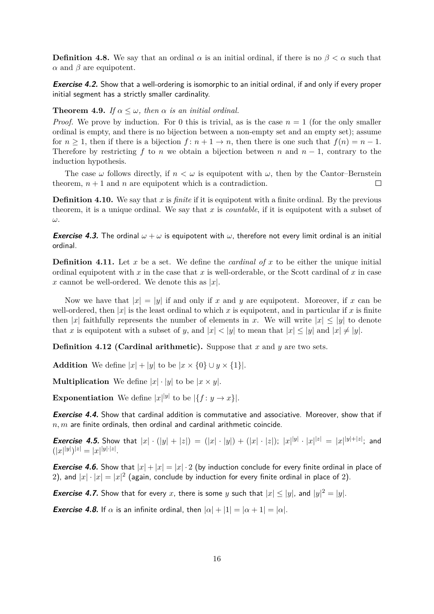**Definition 4.8.** We say that an ordinal  $\alpha$  is an initial ordinal, if there is no  $\beta < \alpha$  such that *α* and *β* are equipotent.

**Exercise 4.2.** Show that a well-ordering is isomorphic to an initial ordinal, if and only if every proper initial segment has a strictly smaller cardinality.

#### **Theorem 4.9.** *If*  $\alpha \leq \omega$ , then  $\alpha$  *is an initial ordinal.*

*Proof.* We prove by induction. For 0 this is trivial, as is the case  $n = 1$  (for the only smaller ordinal is empty, and there is no bijection between a non-empty set and an empty set); assume for  $n \geq 1$ , then if there is a bijection  $f: n + 1 \to n$ , then there is one such that  $f(n) = n - 1$ . Therefore by restricting  $f$  to  $n$  we obtain a bijection between  $n$  and  $n-1$ , contrary to the induction hypothesis.

The case  $\omega$  follows directly, if  $n < \omega$  is equipotent with  $\omega$ , then by the Cantor–Bernstein theorem,  $n + 1$  and  $n$  are equipotent which is a contradiction.  $\Box$ 

**Definition 4.10.** We say that *x* is *finite* if it is equipotent with a finite ordinal. By the previous theorem, it is a unique ordinal. We say that *x* is *countable*, if it is equipotent with a subset of *ω*.

**Exercise 4.3.** The ordinal  $\omega + \omega$  is equipotent with  $\omega$ , therefore not every limit ordinal is an initial ordinal.

**Definition 4.11.** Let  $x$  be a set. We define the *cardinal of*  $x$  to be either the unique initial ordinal equipotent with  $x$  in the case that  $x$  is well-orderable, or the Scott cardinal of  $x$  in case *x* cannot be well-ordered. We denote this as  $|x|$ .

Now we have that  $|x| = |y|$  if and only if x and y are equipotent. Moreover, if x can be well-ordered, then  $|x|$  is the least ordinal to which x is equipotent, and in particular if x is finite then |*x*| faithfully represents the number of elements in *x*. We will write  $|x| \le |y|$  to denote that *x* is equipotent with a subset of *y*, and  $|x| < |y|$  to mean that  $|x| \le |y|$  and  $|x| \ne |y|$ .

**Definition 4.12 (Cardinal arithmetic).** Suppose that *x* and *y* are two sets.

**Addition** We define  $|x| + |y|$  to be  $|x \times \{0\} \cup y \times \{1\}$ .

**Multiplication** We define  $|x| \cdot |y|$  to be  $|x \times y|$ .

**Exponentiation** We define  $|x|^{y}$  to be  $\{f : y \to x\}$ .

**Exercise 4.4.** Show that cardinal addition is commutative and associative. Moreover, show that if *n, m* are finite ordinals, then ordinal and cardinal arithmetic coincide.

**Exercise 4.5.** Show that  $|x| \cdot (|y| + |z|) = (|x| \cdot |y|) + (|x| \cdot |z|);$   $|x|^{|y|} \cdot |x|^{|z|} = |x|^{|y| + |z|};$  and  $(|x|^{|y|})^{|z|} = |x|^{|y| \cdot |z|}.$ 

**Exercise 4.6.** Show that  $|x| + |x| = |x| \cdot 2$  (by induction conclude for every finite ordinal in place of 2), and  $|x| \cdot |x| = |x|^2$  (again, conclude by induction for every finite ordinal in place of 2).

**Exercise 4.7.** Show that for every *x*, there is some *y* such that  $|x| \le |y|$ , and  $|y|^2 = |y|$ .

<span id="page-16-0"></span>**Exercise 4.8.** If  $\alpha$  is an infinite ordinal, then  $|\alpha| + |1| = |\alpha + 1| = |\alpha|$ .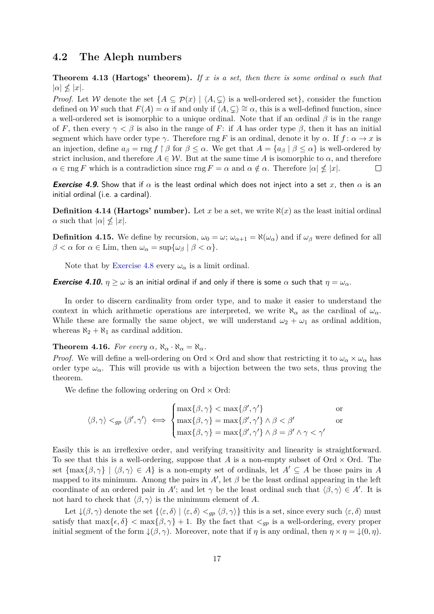### <span id="page-17-0"></span>**4.2 The Aleph numbers**

**Theorem 4.13 (Hartogs' theorem).** If x is a set, then there is some ordinal  $\alpha$  such that  $|\alpha| \nleq |x|.$ 

*Proof.* Let W denote the set  $\{A \subseteq \mathcal{P}(x) \mid \langle A, \subseteq \rangle \}$  is a well-ordered set}, consider the function defined on W such that  $F(A) = \alpha$  if and only if  $\langle A, \subseteq \rangle \cong \alpha$ , this is a well-defined function, since a well-ordered set is isomorphic to a unique ordinal. Note that if an ordinal *β* is in the range of *F*, then every  $\gamma < \beta$  is also in the range of *F*: if *A* has order type  $\beta$ , then it has an initial segment which have order type *γ*. Therefore rng *F* is an ordinal, denote it by  $\alpha$ . If  $f: \alpha \to x$  is an injection, define  $a_{\beta} = \text{rng } f \restriction \beta$  for  $\beta \leq \alpha$ . We get that  $A = \{a_{\beta} \mid \beta \leq \alpha\}$  is well-ordered by strict inclusion, and therefore  $A \in \mathcal{W}$ . But at the same time A is isomorphic to  $\alpha$ , and therefore  $\alpha \in \text{rng } F$  which is a contradiction since  $\text{rng } F = \alpha$  and  $\alpha \notin \alpha$ . Therefore  $|\alpha| \nleq |x|$ .  $\Box$ 

**Exercise 4.9.** Show that if  $\alpha$  is the least ordinal which does not inject into a set x, then  $\alpha$  is an initial ordinal (i.e. a cardinal).

**Definition 4.14 (Hartogs' number).** Let *x* be a set, we write  $\aleph(x)$  as the least initial ordinal *α* such that  $|a| \nleq |x|$ .

**Definition 4.15.** We define by recursion,  $\omega_0 = \omega$ ;  $\omega_{\alpha+1} = \aleph(\omega_\alpha)$  and if  $\omega_\beta$  were defined for all  $\beta < \alpha$  for  $\alpha \in \text{Lim}$ , then  $\omega_{\alpha} = \sup{\{\omega_{\beta} \mid \beta < \alpha\}}$ .

Note that by [Exercise 4.8](#page-16-0) every  $\omega_{\alpha}$  is a limit ordinal.

**Exercise 4.10.**  $\eta \geq \omega$  is an initial ordinal if and only if there is some  $\alpha$  such that  $\eta = \omega_{\alpha}$ .

In order to discern cardinality from order type, and to make it easier to understand the context in which arithmetic operations are interpreted, we write  $\aleph_{\alpha}$  as the cardinal of  $\omega_{\alpha}$ . While these are formally the same object, we will understand  $\omega_2 + \omega_1$  as ordinal addition, whereas  $\aleph_2 + \aleph_1$  as cardinal addition.

<span id="page-17-1"></span>**Theorem 4.16.** *For every*  $\alpha$ ,  $\aleph_{\alpha} \cdot \aleph_{\alpha} = \aleph_{\alpha}$ .

*Proof.* We will define a well-ordering on Ord  $\times$  Ord and show that restricting it to  $\omega_{\alpha} \times \omega_{\alpha}$  has order type  $\omega_{\alpha}$ . This will provide us with a bijection between the two sets, thus proving the theorem.

We define the following ordering on  $Ord \times Ord$ :

$$
\langle \beta, \gamma \rangle <_{gp} \langle \beta', \gamma' \rangle \iff\n\begin{cases}\n\max\{\beta, \gamma\} < \max\{\beta', \gamma'\} & \text{or} \\
\max\{\beta, \gamma\} = \max\{\beta', \gamma'\} \land \beta < \beta' \\
\max\{\beta, \gamma\} = \max\{\beta', \gamma'\} \land \beta = \beta' \land \gamma < \gamma'\n\end{cases}
$$

Easily this is an irreflexive order, and verifying transitivity and linearity is straightforward. To see that this is a well-ordering, suppose that *A* is a non-empty subset of Ord  $\times$  Ord. The set  $\{\max\{\beta, \gamma\} \mid \langle \beta, \gamma \rangle \in A\}$  is a non-empty set of ordinals, let  $A' \subseteq A$  be those pairs in A mapped to its minimum. Among the pairs in  $A'$ , let  $\beta$  be the least ordinal appearing in the left coordinate of an ordered pair in *A*<sup>'</sup>; and let  $\gamma$  be the least ordinal such that  $\langle \beta, \gamma \rangle \in A'$ . It is not hard to check that  $\langle \beta, \gamma \rangle$  is the minimum element of *A*.

Let  $\downarrow(\beta, \gamma)$  denote the set  $\{\langle \varepsilon, \delta \rangle | \langle \varepsilon, \delta \rangle \leq_{gp} \langle \beta, \gamma \rangle\}$  this is a set, since every such  $\langle \varepsilon, \delta \rangle$  must satisfy that  $\max{\{\epsilon, \delta\}} < \max{\{\beta, \gamma\}} + 1$ . By the fact that  $\langle q_p \rangle$  is a well-ordering, every proper initial segment of the form  $\downarrow (\beta, \gamma)$ . Moreover, note that if *η* is any ordinal, then  $\eta \times \eta = \downarrow (0, \eta)$ .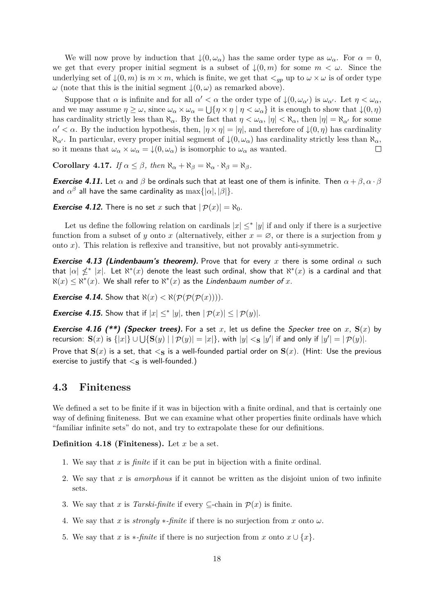We will now prove by induction that  $\downarrow(0, \omega_\alpha)$  has the same order type as  $\omega_\alpha$ . For  $\alpha = 0$ , we get that every proper initial segment is a subset of  $\downarrow(0,m)$  for some  $m < \omega$ . Since the underlying set of  $\downarrow$ (0*, m*) is  $m \times m$ , which is finite, we get that  $\lt_{gp}$  up to  $\omega \times \omega$  is of order type *ω* (note that this is the initial segment  $\downarrow$  (0*, ω*) as remarked above).

Suppose that  $\alpha$  is infinite and for all  $\alpha' < \alpha$  the order type of  $\downarrow (0, \omega_{\alpha'})$  is  $\omega_{\alpha'}$ . Let  $\eta < \omega_{\alpha}$ , and we may assume  $\eta \ge \omega$ , since  $\omega_{\alpha} \times \omega_{\alpha} = \bigcup \{\eta \times \eta \mid \eta < \omega_{\alpha}\}\$ it is enough to show that  $\downarrow(0, \eta)$ has cardinality strictly less than  $\aleph_{\alpha}$ . By the fact that  $\eta < \omega_{\alpha}$ ,  $|\eta| < \aleph_{\alpha}$ , then  $|\eta| = \aleph_{\alpha'}$  for some  $\alpha' < \alpha$ . By the induction hypothesis, then,  $|\eta \times \eta| = |\eta|$ , and therefore of  $\downarrow (0, \eta)$  has cardinality  $\aleph_{\alpha'}$ . In particular, every proper initial segment of  $\downarrow$ (0, ω<sub>α</sub>) has cardinality strictly less than  $\aleph_{\alpha}$ , so it means that  $\omega_{\alpha} \times \omega_{\alpha} = \downarrow (0, \omega_{\alpha})$  is isomorphic to  $\omega_{\alpha}$  as wanted.  $\Box$ 

**Corollary 4.17.** *If*  $\alpha \leq \beta$ *, then*  $\aleph_{\alpha} + \aleph_{\beta} = \aleph_{\alpha} \cdot \aleph_{\beta} = \aleph_{\beta}$ *.* 

**Exercise 4.11.** Let  $\alpha$  and  $\beta$  be ordinals such that at least one of them is infinite. Then  $\alpha + \beta, \alpha \cdot \beta$ and  $\alpha^{\beta}$  all have the same cardinality as  $\max\{|\alpha|, |\beta|\}.$ 

**Exercise 4.12.** There is no set *x* such that  $|\mathcal{P}(x)| = \aleph_0$ .

Let us define the following relation on cardinals  $|x| \leq^* |y|$  if and only if there is a surjective function from a subset of *y* onto *x* (alternatively, either  $x = \emptyset$ , or there is a surjection from *y* onto *x*). This relation is reflexive and transitive, but not provably anti-symmetric.

**Exercise 4.13 (Lindenbaum's theorem).** Prove that for every *x* there is some ordinal *α* such that  $|\alpha| \nleq^* |x|$ . Let  $\aleph^*(x)$  denote the least such ordinal, show that  $\aleph^*(x)$  is a cardinal and that  $\aleph(x) \leq \aleph^{*}(x)$ . We shall refer to  $\aleph^{*}(x)$  as the Lindenbaum number of  $x$ .

**Exercise 4.14.** Show that  $\aleph(x) < \aleph(\mathcal{P}(\mathcal{P}(\mathcal{P}(x))))$ .

<span id="page-18-1"></span>**Exercise 4.15.** Show that if  $|x| \leq^* |y|$ , then  $|\mathcal{P}(x)| \leq |\mathcal{P}(y)|$ .

**Exercise 4.16 (\*\*) (Specker trees).** For a set *x*, let us define the Specker tree on *x*,  $S(x)$  by recursion:  $\mathbf{S}(x)$  is  $\{|x|\} \cup \bigcup \{\mathbf{S}(y) \mid |\mathcal{P}(y)| = |x|\}$ , with  $|y| < \mathbf{s} |y'|$  if and only if  $|y'| = |\mathcal{P}(y)|$ . Prove that  $S(x)$  is a set, that  $\lt s$  is a well-founded partial order on  $S(x)$ . (Hint: Use the previous exercise to justify that  $\lt s$  is well-founded.)

### <span id="page-18-0"></span>**4.3 Finiteness**

We defined a set to be finite if it was in bijection with a finite ordinal, and that is certainly one way of defining finiteness. But we can examine what other properties finite ordinals have which "familiar infinite sets" do not, and try to extrapolate these for our definitions.

**Definition 4.18 (Finiteness).** Let *x* be a set.

- 1. We say that *x* is *finite* if it can be put in bijection with a finite ordinal.
- 2. We say that *x* is *amorphous* if it cannot be written as the disjoint union of two infinite sets.
- 3. We say that *x* is *Tarski-finite* if every  $\subseteq$ -chain in  $\mathcal{P}(x)$  is finite.
- 4. We say that *x* is *strongly*  $\ast$ -*finite* if there is no surjection from *x* onto  $\omega$ .
- 5. We say that *x* is  $\ast$ *-finite* if there is no surjection from *x* onto  $x \cup \{x\}$ .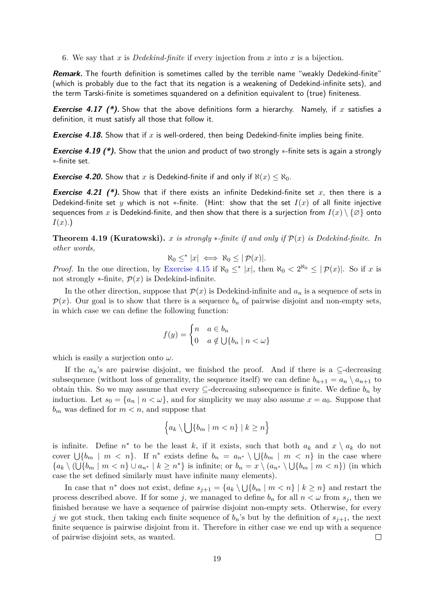6. We say that *x* is *Dedekind-finite* if every injection from *x* into *x* is a bijection.

**Remark.** The fourth definition is sometimes called by the terrible name "weakly Dedekind-finite" (which is probably due to the fact that its negation is a weakening of Dedekind-infinite sets), and the term Tarski-finite is sometimes squandered on a definition equivalent to (true) finiteness.

**Exercise 4.17 (\*).** Show that the above definitions form a hierarchy. Namely, if *x* satisfies a definition, it must satisfy all those that follow it.

**Exercise 4.18.** Show that if  $x$  is well-ordered, then being Dedekind-finite implies being finite.

**Exercise 4.19 (\*).** Show that the union and product of two strongly \*-finite sets is again a strongly ∗-finite set.

**Exercise 4.20.** Show that *x* is Dedekind-finite if and only if  $\aleph(x) \leq \aleph_0$ .

**Exercise 4.21 (\*).** Show that if there exists an infinite Dedekind-finite set x, then there is a Dedekind-finite set *y* which is not \*-finite. (Hint: show that the set  $I(x)$  of all finite injective sequences from x is Dedekind-finite, and then show that there is a surjection from  $I(x) \setminus \{\emptyset\}$  onto *I*(*x*).)

**Theorem 4.19 (Kuratowski).** *x is strongly*  $*$ -finite if and only if  $\mathcal{P}(x)$  *is Dedekind-finite.* In *other words,*

$$
\aleph_0 \leq^* |x| \iff \aleph_0 \leq |\mathcal{P}(x)|.
$$

*Proof.* In the one direction, by [Exercise 4.15](#page-18-1) if  $\aleph_0 \leq^* |x|$ , then  $\aleph_0 < 2^{\aleph_0} \leq |p(x)|$ . So if *x* is not strongly  $\ast$ -finite,  $\mathcal{P}(x)$  is Dedekind-infinite.

In the other direction, suppose that  $\mathcal{P}(x)$  is Dedekind-infinite and  $a_n$  is a sequence of sets in  $\mathcal{P}(x)$ . Our goal is to show that there is a sequence  $b_n$  of pairwise disjoint and non-empty sets, in which case we can define the following function:

$$
f(y) = \begin{cases} n & a \in b_n \\ 0 & a \notin \bigcup \{b_n \mid n < \omega \} \end{cases}
$$

which is easily a surjection onto *ω*.

If the  $a_n$ 's are pairwise disjoint, we finished the proof. And if there is a  $\subseteq$ -decreasing subsequence (without loss of generality, the sequence itself) we can define  $b_{n+1} = a_n \setminus a_{n+1}$  to obtain this. So we may assume that every  $\subseteq$ -decreasing subsequence is finite. We define  $b_n$  by induction. Let  $s_0 = \{a_n \mid n < \omega\}$ , and for simplicity we may also assume  $x = a_0$ . Suppose that  $b_m$  was defined for  $m < n$ , and suppose that

$$
\Big\{a_k\setminus\bigcup\{b_m\mid m
$$

is infinite. Define  $n^*$  to be the least *k*, if it exists, such that both  $a_k$  and  $x \setminus a_k$  do not cover  $\bigcup \{b_m \mid m \leq n\}$ . If  $n^*$  exists define  $b_n = a_{n^*} \setminus \bigcup \{b_m \mid m \leq n\}$  in the case where  ${a_k \setminus (\bigcup \{b_m \mid m < n\} \cup a_{n^*} \mid k \geq n^* \}$  is infinite; or  $b_n = x \setminus (a_{n^*} \setminus \bigcup \{b_m \mid m < n\})$  (in which case the set defined similarly must have infinite many elements).

In case that  $n^*$  does not exist, define  $s_{j+1} = \{a_k \setminus \bigcup \{b_m \mid m < n\} \mid k \geq n\}$  and restart the process described above. If for some *j*, we managed to define  $b_n$  for all  $n < \omega$  from  $s_j$ , then we finished because we have a sequence of pairwise disjoint non-empty sets. Otherwise, for every *j* we got stuck, then taking each finite sequence of  $b_n$ 's but by the definition of  $s_{j+1}$ , the next finite sequence is pairwise disjoint from it. Therefore in either case we end up with a sequence of pairwise disjoint sets, as wanted.  $\Box$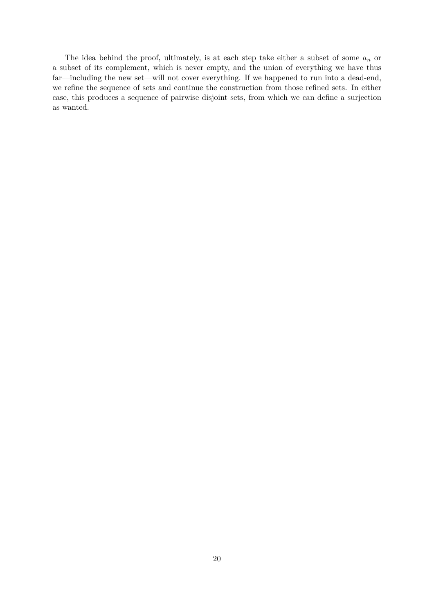The idea behind the proof, ultimately, is at each step take either a subset of some *a<sup>n</sup>* or a subset of its complement, which is never empty, and the union of everything we have thus far—including the new set—will not cover everything. If we happened to run into a dead-end, we refine the sequence of sets and continue the construction from those refined sets. In either case, this produces a sequence of pairwise disjoint sets, from which we can define a surjection as wanted.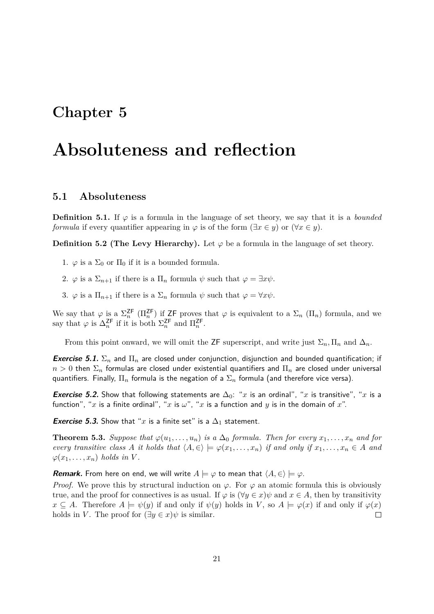## <span id="page-21-0"></span>**Absoluteness and reflection**

### <span id="page-21-1"></span>**5.1 Absoluteness**

**Definition 5.1.** If  $\varphi$  is a formula in the language of set theory, we say that it is a *bounded formula* if every quantifier appearing in  $\varphi$  is of the form  $(\exists x \in y)$  or  $(\forall x \in y)$ .

**Definition 5.2 (The Levy Hierarchy).** Let  $\varphi$  be a formula in the language of set theory.

- 1.  $\varphi$  is a  $\Sigma_0$  or  $\Pi_0$  if it is a bounded formula.
- 2.  $\varphi$  is a  $\Sigma_{n+1}$  if there is a  $\Pi_n$  formula  $\psi$  such that  $\varphi = \exists x \psi$ .
- 3.  $\varphi$  is a  $\Pi_{n+1}$  if there is a  $\Sigma_n$  formula  $\psi$  such that  $\varphi = \forall x \psi$ .

We say that  $\varphi$  is a  $\Sigma_n^{\mathsf{ZF}}$  ( $\Pi_n^{\mathsf{ZF}}$ ) if ZF proves that  $\varphi$  is equivalent to a  $\Sigma_n$  ( $\Pi_n$ ) formula, and we say that  $\varphi$  is  $\Delta_n^{\mathsf{ZF}}$  if it is both  $\Sigma_n^{\mathsf{ZF}}$  and  $\Pi_n^{\mathsf{ZF}}$ .

From this point onward, we will omit the ZF superscript, and write just  $\Sigma_n$ ,  $\Pi_n$  and  $\Delta_n$ .

**Exercise 5.1.**  $\Sigma_n$  and  $\Pi_n$  are closed under conjunction, disjunction and bounded quantification; if  $n > 0$  then  $\Sigma_n$  formulas are closed under existential quantifiers and  $\Pi_n$  are closed under universal quantifiers. Finally, Π*<sup>n</sup>* formula is the negation of a Σ*<sup>n</sup>* formula (and therefore vice versa).

**Exercise 5.2.** Show that following statements are  $\Delta_0$ : "*x* is an ordinal", "*x* is transitive", "*x* is a function", "*x* is a finite ordinal", "*x* is  $\omega$ ", "*x* is a function and *y* is in the domain of *x*".

**Exercise 5.3.** Show that "x is a finite set" is a  $\Delta_1$  statement.

**Theorem 5.3.** Suppose that  $\varphi(u_1, \ldots, u_n)$  is a  $\Delta_0$  formula. Then for every  $x_1, \ldots, x_n$  and for *every transitive class A it holds that*  $\langle A, \in \rangle \models \varphi(x_1, \ldots, x_n)$  *if and only if*  $x_1, \ldots, x_n \in A$  *and*  $\varphi(x_1, \ldots, x_n)$  *holds in V*.

**Remark.** From here on end, we will write  $A \models \varphi$  to mean that  $\langle A, \in \rangle \models \varphi$ .

*Proof.* We prove this by structural induction on  $\varphi$ . For  $\varphi$  an atomic formula this is obviously true, and the proof for connectives is as usual. If  $\varphi$  is  $(\forall y \in x)\psi$  and  $x \in A$ , then by transitivity  $x \subseteq A$ . Therefore  $A \models \psi(y)$  if and only if  $\psi(y)$  holds in *V*, so  $A \models \varphi(x)$  if and only if  $\varphi(x)$ holds in *V*. The proof for  $(\exists y \in x)\psi$  is similar.  $\Box$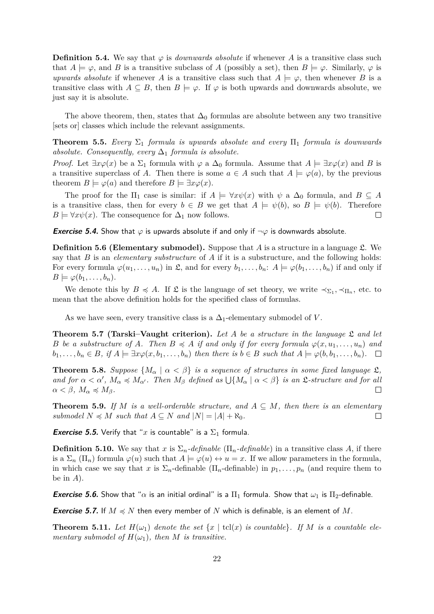**Definition 5.4.** We say that  $\varphi$  is *downwards absolute* if whenever *A* is a transitive class such that  $A \models \varphi$ , and *B* is a transitive subclass of *A* (possibly a set), then  $B \models \varphi$ . Similarly,  $\varphi$  is *upwards absolute* if whenever *A* is a transitive class such that  $A \models \varphi$ , then whenever *B* is a transitive class with  $A \subseteq B$ , then  $B \models \varphi$ . If  $\varphi$  is both upwards and downwards absolute, we just say it is absolute.

The above theorem, then, states that  $\Delta_0$  formulas are absolute between any two transitive [sets or] classes which include the relevant assignments.

<span id="page-22-0"></span>**Theorem 5.5.** *Every*  $\Sigma_1$  *formula is upwards absolute and every*  $\Pi_1$  *formula is downwards absolute. Consequently, every*  $\Delta_1$  *formula is absolute.* 

*Proof.* Let  $\exists x \varphi(x)$  be a  $\Sigma_1$  formula with  $\varphi$  a  $\Delta_0$  formula. Assume that  $A \models \exists x \varphi(x)$  and B is a transitive superclass of *A*. Then there is some  $a \in A$  such that  $A \models \varphi(a)$ , by the previous theorem  $B \models \varphi(a)$  and therefore  $B \models \exists x \varphi(x)$ .

The proof for the  $\Pi_1$  case is similar: if  $A \models \forall x \psi(x)$  with  $\psi$  a  $\Delta_0$  formula, and  $B \subseteq A$ is a transitive class, then for every  $b \in B$  we get that  $A \models \psi(b)$ , so  $B \models \psi(b)$ . Therefore  $B \models \forall x \psi(x)$ . The consequence for  $\Delta_1$  now follows.  $\Box$ 

**Exercise 5.4.** Show that  $\varphi$  is upwards absolute if and only if  $\neg \varphi$  is downwards absolute.

**Definition 5.6 (Elementary submodel).** Suppose that *A* is a structure in a language *L*. We say that *B* is an *elementary substructure* of *A* if it is a substructure, and the following holds: For every formula  $\varphi(u_1, \ldots, u_n)$  in  $\mathfrak{L}$ , and for every  $b_1, \ldots, b_n$ :  $A \models \varphi(b_1, \ldots, b_n)$  if and only if  $B \models \varphi(b_1, \ldots, b_n).$ 

We denote this by  $B \preccurlyeq A$ . If  $\mathfrak L$  is the language of set theory, we write  $\prec_{\Sigma_1}, \prec_{\Pi_n}$ , etc. to mean that the above definition holds for the specified class of formulas.

As we have seen, every transitive class is a  $\Delta_1$ -elementary submodel of *V*.

**Theorem 5.7 (Tarski–Vaught criterion).** *Let A be a structure in the language* L *and let B be a substructure of A. Then*  $B \preccurlyeq A$  *if and only if for every formula*  $\varphi(x, u_1, \ldots, u_n)$  *and*  $b_1, \ldots, b_n \in B$ , if  $A \models \exists x \varphi(x, b_1, \ldots, b_n)$  then there is  $b \in B$  such that  $A \models \varphi(b, b_1, \ldots, b_n)$ .  $\Box$ 

**Theorem 5.8.** *Suppose*  $\{M_\alpha \mid \alpha < \beta\}$  *is a sequence of structures in some fixed language*  $\mathfrak{L}$ *, and for*  $\alpha < \alpha'$ ,  $M_{\alpha} \preccurlyeq M_{\alpha'}$ . Then  $M_{\beta}$  defined as  $\bigcup \{M_{\alpha} \mid \alpha < \beta\}$  is an L-structure and for all  $\alpha < \beta, M_{\alpha} \preccurlyeq M_{\beta}.$  $\Box$ 

**Theorem 5.9.** *If M is a well-orderable structure, and*  $A \subseteq M$ *, then there is an elementary submodel*  $N \preccurlyeq M$  *such that*  $A \subseteq N$  *and*  $|N| = |A| + \aleph_0$ *.*  $\Box$ 

**Exercise 5.5.** Verify that "x is countable" is a  $\Sigma_1$  formula.

**Definition 5.10.** We say that *x* is  $\Sigma_n$ *-definable* ( $\Pi_n$ *-definable*) in a transitive class *A*, if there is a  $\Sigma_n(\Pi_n)$  formula  $\varphi(u)$  such that  $A \models \varphi(u) \leftrightarrow u = x$ . If we allow parameters in the formula, in which case we say that *x* is  $\Sigma_n$ -definable  $(\Pi_n$ -definable) in  $p_1, \ldots, p_n$  (and require them to be in *A*).

**Exercise 5.6.** Show that " $\alpha$  is an initial ordinal" is a  $\Pi_1$  formula. Show that  $\omega_1$  is  $\Pi_2$ -definable.

**Exercise 5.7.** If  $M \preccurlyeq N$  then every member of N which is definable, is an element of M.

**Theorem 5.11.** Let  $H(\omega_1)$  denote the set  $\{x \mid \text{tcl}(x) \text{ is countable} \}$ . If M is a countable ele*mentary submodel of*  $H(\omega_1)$ *, then M is transitive.*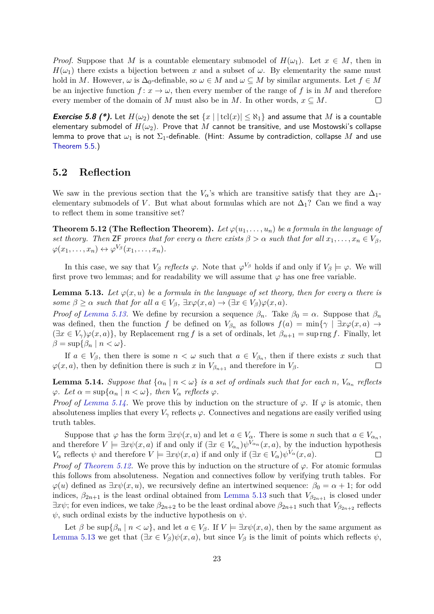*Proof.* Suppose that *M* is a countable elementary submodel of  $H(\omega_1)$ . Let  $x \in M$ , then in  $H(\omega_1)$  there exists a bijection between *x* and a subset of  $\omega$ . By elementarity the same must hold in *M*. However,  $\omega$  is  $\Delta_0$ -definable, so  $\omega \in M$  and  $\omega \subseteq M$  by similar arguments. Let  $f \in M$ be an injective function  $f: x \to \omega$ , then every member of the range of f is in M and therefore every member of the domain of *M* must also be in *M*. In other words,  $x \subseteq M$ .  $\Box$ 

**Exercise 5.8 (\*).** Let  $H(\omega_2)$  denote the set  $\{x \mid |\text{tcl}(x)| \leq \aleph_1\}$  and assume that M is a countable elementary submodel of  $H(\omega_2)$ . Prove that M cannot be transitive, and use Mostowski's collapse lemma to prove that  $\omega_1$  is not  $\Sigma_1$ -definable. (Hint: Assume by contradiction, collapse M and use [Theorem 5.5.](#page-22-0))

### <span id="page-23-0"></span>**5.2 Reflection**

We saw in the previous section that the  $V_\alpha$ 's which are transitive satisfy that they are  $\Delta_1$ elementary submodels of *V*. But what about formulas which are not  $\Delta_1$ ? Can we find a way to reflect them in some transitive set?

<span id="page-23-3"></span>**Theorem 5.12 (The Reflection Theorem).** Let  $\varphi(u_1, \ldots, u_n)$  be a formula in the language of *set theory. Then*  $\mathsf{ZF}$  *proves that for every*  $\alpha$  *there exists*  $\beta > \alpha$  *such that for all*  $x_1, \ldots, x_n \in V_\beta$ ,  $\varphi(x_1, \ldots, x_n) \leftrightarrow \varphi^{V_\beta}(x_1, \ldots, x_n).$ 

In this case, we say that  $V_\beta$  *reflects*  $\varphi$ . Note that  $\varphi^{V_\beta}$  holds if and only if  $V_\beta \models \varphi$ . We will first prove two lemmas; and for readability we will assume that  $\varphi$  has one free variable.

<span id="page-23-1"></span>**Lemma 5.13.** Let  $\varphi(x, u)$  be a formula in the language of set theory, then for every  $\alpha$  there is *some*  $\beta \geq \alpha$  *such that for all*  $a \in V_{\beta}$ ,  $\exists x \varphi(x, a) \rightarrow (\exists x \in V_{\beta}) \varphi(x, a)$ .

*Proof of [Lemma 5.13.](#page-23-1)* We define by recursion a sequence  $\beta_n$ . Take  $\beta_0 = \alpha$ . Suppose that  $\beta_n$ was defined, then the function *f* be defined on  $V_{\beta_n}$  as follows  $f(a) = \min\{\gamma \mid \exists x \varphi(x, a) \to a \}$  $(\exists x \in V_\gamma)\varphi(x, a)$ , by Replacement rng *f* is a set of ordinals, let  $\beta_{n+1} = \sup \text{rng } f$ . Finally, let  $\beta = \sup\{\beta_n \mid n < \omega\}.$ 

If  $a \in V_\beta$ , then there is some  $n < \omega$  such that  $a \in V_{\beta_n}$ , then if there exists x such that  $\varphi(x, a)$ , then by definition there is such *x* in  $V_{\beta_{n+1}}$  and therefore in  $V_{\beta}$ .  $\Box$ 

<span id="page-23-2"></span>**Lemma 5.14.** *Suppose that*  $\{\alpha_n \mid n < \omega\}$  *is a set of ordinals such that for each n,*  $V_{\alpha_n}$  reflects  $\varphi$ *. Let*  $\alpha = \sup\{\alpha_n \mid n < \omega\}$ , then  $V_\alpha$  reflects  $\varphi$ .

*Proof of [Lemma 5.14.](#page-23-2)* We prove this by induction on the structure of  $\varphi$ . If  $\varphi$  is atomic, then absoluteness implies that every  $V_\gamma$  reflects  $\varphi$ . Connectives and negations are easily verified using truth tables.

Suppose that  $\varphi$  has the form  $\exists x \psi(x, u)$  and let  $a \in V_\alpha$ . There is some *n* such that  $a \in V_{\alpha_n}$ , and therefore  $V \models \exists x \psi(x, a)$  if and only if  $(\exists x \in V_{\alpha_n}) \psi^{V_{\alpha_n}}(x, a)$ , by the induction hypothesis *V*<sup>*a*</sup> reflects  $\psi$  and therefore  $V \models \exists x \psi(x, a)$  if and only if  $(\exists x \in V_a) \psi^{V_a}(x, a)$ .  $\Box$ 

*Proof of [Theorem 5.12.](#page-23-3)* We prove this by induction on the structure of  $\varphi$ . For atomic formulas this follows from absoluteness. Negation and connectives follow by verifying truth tables. For  $\varphi(u)$  defined as  $\exists x \psi(x, u)$ , we recursively define an intertwined sequence:  $\beta_0 = \alpha + 1$ ; for odd indices,  $\beta_{2n+1}$  is the least ordinal obtained from [Lemma 5.13](#page-23-1) such that  $V_{\beta_{2n+1}}$  is closed under  $\exists x \psi$ ; for even indices, we take  $\beta_{2n+2}$  to be the least ordinal above  $\beta_{2n+1}$  such that  $V_{\beta_{2n+2}}$  reflects  $\psi$ , such ordinal exists by the inductive hypothesis on  $\psi$ .

Let  $\beta$  be sup $\{\beta_n \mid n < \omega\}$ , and let  $a \in V_\beta$ . If  $V \models \exists x \psi(x, a)$ , then by the same argument as [Lemma 5.13](#page-23-1) we get that  $(\exists x \in V_\beta)\psi(x, a)$ , but since  $V_\beta$  is the limit of points which reflects  $\psi$ ,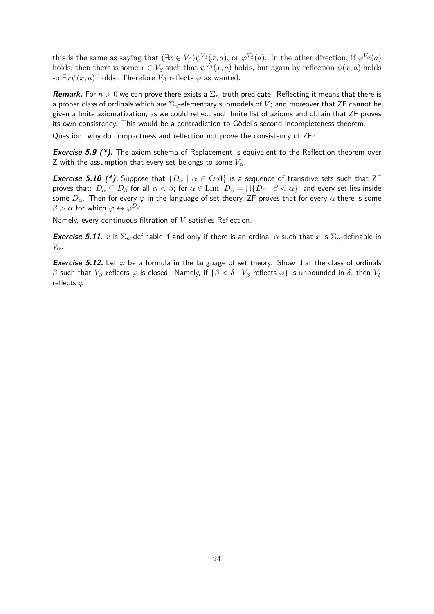this is the same as saying that  $(\exists x \in V_\beta)\psi^{V_\beta}(x, a)$ , or  $\varphi^{V_\beta}(a)$ . In the other direction, if  $\varphi^{V_\beta}(a)$ holds, then there is some  $x \in V_\beta$  such that  $\psi^{V_\beta}(x, a)$  holds, but again by reflection  $\psi(x, a)$  holds so  $\exists x \psi(x, a)$  holds. Therefore  $V_\beta$  reflects  $\varphi$  as wanted.  $\Box$ 

**Remark.** For  $n > 0$  we can prove there exists a  $\Sigma_n$ -truth predicate. Reflecting it means that there is a proper class of ordinals which are Σ*n*-elementary submodels of *V* ; and moreover that ZF cannot be given a finite axiomatization, as we could reflect such finite list of axioms and obtain that ZF proves its own consistency. This would be a contradiction to Gödel's second incompleteness theorem.

Question: why do compactness and reflection not prove the consistency of ZF?

**Exercise 5.9 (\*).** The axiom schema of Replacement is equivalent to the Reflection theorem over Z with the assumption that every set belongs to some *Vα*.

**Exercise 5.10 (\*).** Suppose that  $\{D_\alpha \mid \alpha \in \text{Ord}\}$  is a sequence of transitive sets such that ZF proves that:  $D_α ⊆ D_β$  for all  $α < β;$  for  $α ∈ \mathrm{Lim}$ ,  $D_α = \bigcup \{D_β \mid β < α\}$ ; and every set lies inside some  $D_{\alpha}$ . Then for every  $\varphi$  in the language of set theory, ZF proves that for every  $\alpha$  there is some  $\beta > \alpha$  for which  $\varphi \leftrightarrow \varphi^{D_{\beta}}$ .

Namely, every continuous filtration of *V* satisfies Reflection.

**Exercise 5.11.** *x* is  $\Sigma_n$ -definable if and only if there is an ordinal  $\alpha$  such that *x* is  $\Sigma_n$ -definable in *Vα*.

**Exercise 5.12.** Let  $\varphi$  be a formula in the language of set theory. Show that the class of ordinals *β* such that  $V_\beta$  reflects  $\varphi$  is closed. Namely, if  $\{\beta < \delta \mid V_\beta \}$  reflects  $\varphi\}$  is unbounded in  $\delta$ , then  $V_\delta$ reflects *ϕ*.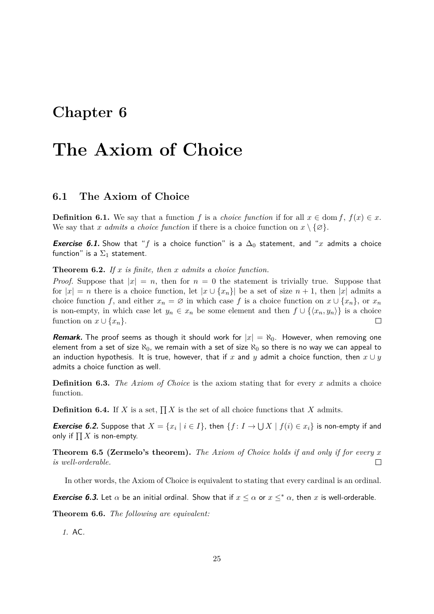## <span id="page-25-0"></span>**The Axiom of Choice**

### <span id="page-25-1"></span>**6.1 The Axiom of Choice**

**Definition 6.1.** We say that a function *f* is a *choice function* if for all  $x \in \text{dom } f$ ,  $f(x) \in x$ . We say that *x admits a choice function* if there is a choice function on  $x \setminus \{ \varnothing \}.$ 

**Exercise 6.1.** Show that "f is a choice function" is a  $\Delta_0$  statement, and "x admits a choice function" is a  $\Sigma_1$  statement.

**Theorem 6.2.** *If x is finite, then x admits a choice function.*

*Proof.* Suppose that  $|x| = n$ , then for  $n = 0$  the statement is trivially true. Suppose that for  $|x| = n$  there is a choice function, let  $|x \cup \{x_n\}|$  be a set of size  $n + 1$ , then  $|x|$  admits a choice function *f*, and either  $x_n = \emptyset$  in which case *f* is a choice function on  $x \cup \{x_n\}$ , or  $x_n$ is non-empty, in which case let  $y_n \in x_n$  be some element and then  $f \cup \{\langle x_n, y_n \rangle\}$  is a choice function on  $x \cup \{x_n\}$ .

**Remark.** The proof seems as though it should work for  $|x| = \aleph_0$ . However, when removing one element from a set of size  $\aleph_0$ , we remain with a set of size  $\aleph_0$  so there is no way we can appeal to an induction hypothesis. It is true, however, that if x and y admit a choice function, then  $x \cup y$ admits a choice function as well.

**Definition 6.3.** *The Axiom of Choice* is the axiom stating that for every *x* admits a choice function.

**Definition 6.4.** If *X* is a set,  $\prod X$  is the set of all choice functions that *X* admits.

**Exercise 6.2.** Suppose that  $X = \{x_i \mid i \in I\}$ , then  $\{f: I \to \bigcup X \mid f(i) \in x_i\}$  is non-empty if and only if  $\prod X$  is non-empty.

**Theorem 6.5 (Zermelo's theorem).** *The Axiom of Choice holds if and only if for every x is well-orderable.*  $\Box$ 

In other words, the Axiom of Choice is equivalent to stating that every cardinal is an ordinal.

**Exercise 6.3.** Let  $\alpha$  be an initial ordinal. Show that if  $x \leq \alpha$  or  $x \leq^* \alpha$ , then x is well-orderable.

**Theorem 6.6.** *The following are equivalent:*

*1.* AC*.*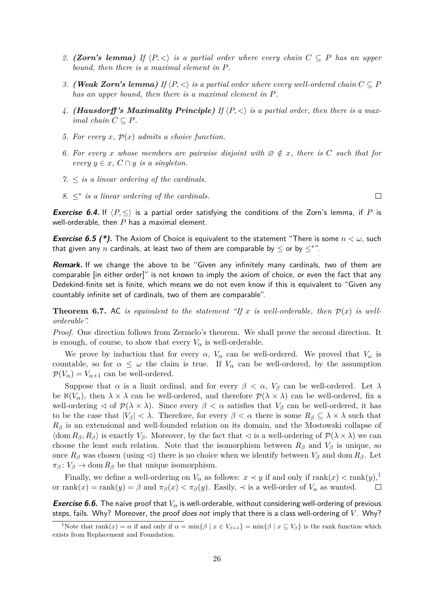- *2. (Zorn's lemma)* If  $\langle P, \langle \rangle$  *is a partial order where every chain*  $C \subseteq P$  *has an upper bound, then there is a maximal element in P.*
- *3. (Weak Zorn's lemma)* If  $\langle P, \langle \rangle$  *is a partial order where every well-ordered chain*  $C \subseteq P$ *has an upper bound, then there is a maximal element in P.*
- 4. *(Hausdorff's Maximality Principle)* If  $\langle P, \langle \rangle$  is a partial order, then there is a max*imal chain*  $C \subseteq P$ *.*
- 5. For every  $x$ ,  $\mathcal{P}(x)$  admits a choice function.
- *6.* For every *x* whose members are pairwise disjoint with  $\emptyset \notin x$ , there is C such that for *every*  $y \in x$ ,  $C \cap y$  *is a singleton.*
- $7. \leq$  *is a linear ordering of the cardinals.*
- 8.  $\leq^*$  *is a linear ordering of the cardinals.*

**Exercise 6.4.** If  $\langle P, \leq \rangle$  is a partial order satisfying the conditions of the Zorn's lemma, if *P* is well-orderable, then *P* has a maximal element.

**Exercise 6.5 (\*).** The Axiom of Choice is equivalent to the statement "There is some *n < ω*, such that given any  $n$  cardinals, at least two of them are comparable by  $\leq$  or by  $\leq^*$  ".

**Remark.** If we change the above to be "Given any infinitely many cardinals, two of them are comparable [in either order]" is not known to imply the axiom of choice, or even the fact that any Dedekind-finite set is finite, which means we do not even know if this is equivalent to "Given any countably infinite set of cardinals, two of them are comparable".

**Theorem 6.7.** AC *is equivalent to the statement "If x is well-orderable, then*  $\mathcal{P}(x)$  *is wellorderable".*

*Proof.* One direction follows from Zermelo's theorem. We shall prove the second direction. It is enough, of course, to show that every  $V_\alpha$  is well-orderable.

We prove by induction that for every  $\alpha$ ,  $V_{\alpha}$  can be well-ordered. We proved that  $V_{\omega}$  is countable, so for  $\alpha \leq \omega$  the claim is true. If  $V_{\alpha}$  can be well-ordered, by the assumption  $\mathcal{P}(V_\alpha) = V_{\alpha+1}$  can be well-ordered.

Suppose that  $\alpha$  is a limit ordinal, and for every  $\beta < \alpha$ ,  $V_{\beta}$  can be well-ordered. Let  $\lambda$ be  $\aleph(V_\alpha)$ , then  $\lambda \times \lambda$  can be well-ordered, and therefore  $\mathcal{P}(\lambda \times \lambda)$  can be well-ordered, fix a well-ordering  $\triangleleft$  of  $\mathcal{P}(\lambda \times \lambda)$ . Since every  $\beta < \alpha$  satisfies that  $V_{\beta}$  can be well-ordered, it has to be the case that  $|V_\beta| < \lambda$ . Therefore, for every  $\beta < \alpha$  there is some  $R_\beta \subseteq \lambda \times \lambda$  such that *R<sup>β</sup>* is an extensional and well-founded relation on its domain, and the Mostowski collapse of  $\langle \text{dom } R_{\beta}, R_{\beta} \rangle$  is exactly  $V_{\beta}$ . Moreover, by the fact that  $\lhd$  is a well-ordering of  $\mathcal{P}(\lambda \times \lambda)$  we can choose the least such relation. Note that the isomorphism between  $R_\beta$  and  $V_\beta$  is unique, so once  $R_\beta$  was chosen (using  $\triangleleft$ ) there is no choice when we identify between  $V_\beta$  and dom  $R_\beta$ . Let  $\pi_{\beta}$ :  $V_{\beta} \rightarrow$  dom  $R_{\beta}$  be that unique isomorphism.

Finally, we define a well-ordering on  $V_\alpha$  as follows:  $x \prec y$  if and only if  $\text{rank}(x) < \text{rank}(y)$ ,<sup>[1](#page-26-0)</sup> or  $rank(x) = rank(y) = \beta$  and  $\pi_{\beta}(x) < \pi_{\beta}(y)$ . Easily,  $\prec$  is a well-order of  $V_{\alpha}$  as wanted.  $\Box$ 

**Exercise 6.6.** The naive proof that *V<sup>α</sup>* is well-orderable, without considering well-ordering of previous steps, fails. Why? Moreover, the proof does not imply that there is a class well-ordering of *V* . Why?

 $\Box$ 

<span id="page-26-0"></span><sup>&</sup>lt;sup>1</sup>Note that rank $(x) = \alpha$  if and only if  $\alpha = \min\{\beta \mid x \in V_{\beta+1}\} = \min\{\beta \mid x \subseteq V_{\beta}\}\$ is the rank function which exists from Replacement and Foundation.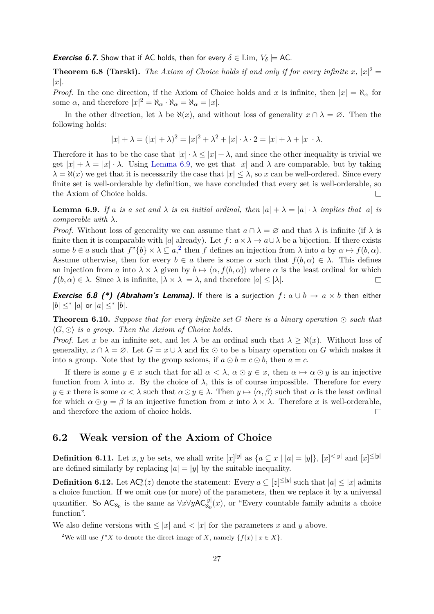#### **Exercise 6.7.** Show that if AC holds, then for every  $\delta \in \text{Lim}$ ,  $V_{\delta} \models \text{AC}$ .

**Theorem 6.8 (Tarski).** The Axiom of Choice holds if and only if for every infinite  $x$ ,  $|x|^2 =$ |*x*|*.*

*Proof.* In the one direction, if the Axiom of Choice holds and *x* is infinite, then  $|x| = \aleph_{\alpha}$  for some  $\alpha$ , and therefore  $|x|^2 = \aleph_{\alpha} \cdot \aleph_{\alpha} = \aleph_{\alpha} = |x|$ .

In the other direction, let  $\lambda$  be  $\aleph(x)$ , and without loss of generality  $x \cap \lambda = \emptyset$ . Then the following holds:

$$
|x| + \lambda = (|x| + \lambda)^2 = |x|^2 + \lambda^2 + |x| \cdot \lambda \cdot 2 = |x| + \lambda + |x| \cdot \lambda.
$$

Therefore it has to be the case that  $|x| \cdot \lambda \leq |x| + \lambda$ , and since the other inequality is trivial we get  $|x| + \lambda = |x| \cdot \lambda$ . Using [Lemma 6.9,](#page-27-1) we get that  $|x|$  and  $\lambda$  are comparable, but by taking  $\lambda = \aleph(x)$  we get that it is necessarily the case that  $|x| \leq \lambda$ , so *x* can be well-ordered. Since every finite set is well-orderable by definition, we have concluded that every set is well-orderable, so the Axiom of Choice holds.  $\Box$ 

<span id="page-27-1"></span>**Lemma 6.9.** *If a is a set* and  $\lambda$  *is* an *initial ordinal, then*  $|a| + \lambda = |a| \cdot \lambda$  *implies that*  $|a|$  *is comparable with λ.*

*Proof.* Without loss of generality we can assume that  $a \cap \lambda = \emptyset$  and that  $\lambda$  is infinite (if  $\lambda$  is finite then it is comparable with |*a*| already). Let  $f: a \times \lambda \to a \cup \lambda$  be a bijection. If there exists some  $b \in a$  such that  $f''\{b\} \times \lambda \subseteq a$ , then *f* defines an injection from  $\lambda$  into  $a$  by  $\alpha \mapsto f(b, \alpha)$ . Assume otherwise, then for every  $b \in a$  there is some  $\alpha$  such that  $f(b, \alpha) \in \lambda$ . This defines an injection from *a* into  $\lambda \times \lambda$  given by  $b \mapsto \langle \alpha, f(b, \alpha) \rangle$  where  $\alpha$  is the least ordinal for which  $f(b, \alpha) \in \lambda$ . Since  $\lambda$  is infinite,  $|\lambda \times \lambda| = \lambda$ , and therefore  $|a| \leq |\lambda|$ .  $\Box$ 

**Exercise 6.8 (\*) (Abraham's Lemma).** If there is a surjection  $f: a \cup b \rightarrow a \times b$  then either  $|b| \leq^* |a|$  or  $|a| \leq^* |b|.$ 

**Theorem 6.10.** Suppose that for every infinite set G there is a binary operation  $\odot$  such that  $\langle G, \odot \rangle$  *is a group. Then the Axiom of Choice holds.* 

*Proof.* Let *x* be an infinite set, and let  $\lambda$  be an ordinal such that  $\lambda \geq \aleph(x)$ . Without loss of generality,  $x \cap \lambda = \emptyset$ . Let  $G = x \cup \lambda$  and fix  $\odot$  to be a binary operation on *G* which makes it into a group. Note that by the group axioms, if  $a \odot b = c \odot b$ , then  $a = c$ .

If there is some  $y \in x$  such that for all  $\alpha < \lambda$ ,  $\alpha \odot y \in x$ , then  $\alpha \mapsto \alpha \odot y$  is an injective function from  $\lambda$  into x. By the choice of  $\lambda$ , this is of course impossible. Therefore for every  $y \in \mathcal{X}$  there is some  $\alpha < \lambda$  such that  $\alpha \odot y \in \lambda$ . Then  $y \mapsto \langle \alpha, \beta \rangle$  such that  $\alpha$  is the least ordinal for which  $\alpha \odot y = \beta$  is an injective function from *x* into  $\lambda \times \lambda$ . Therefore *x* is well-orderable, and therefore the axiom of choice holds.  $\Box$ 

### <span id="page-27-0"></span>**6.2 Weak version of the Axiom of Choice**

**Definition 6.11.** Let *x*, *y* be sets, we shall write  $[x]|y|$  as  $\{a \subseteq x \mid |a| = |y|\}, |x| \le |y|$  and  $[x] \le |y|$ are defined similarly by replacing  $|a| = |y|$  by the suitable inequality.

**Definition 6.12.** Let  $AC_x^y(z)$  denote the statement: Every  $a \subseteq [z]^{\leq |y|}$  such that  $|a| \leq |x|$  admits a choice function. If we omit one (or more) of the parameters, then we replace it by a universal quantifier. So  $AC_{\aleph_0}$  is the same as  $\forall x \forall y AC_{\aleph_0}^{|y|}(x)$ , or "Every countable family admits a choice function".

We also define versions with  $\leq |x|$  and  $\leq |x|$  for the parameters x and y above.

<span id="page-27-2"></span><sup>&</sup>lt;sup>2</sup>We will use  $f''X$  to denote the direct image of *X*, namely  $\{f(x) | x \in X\}$ .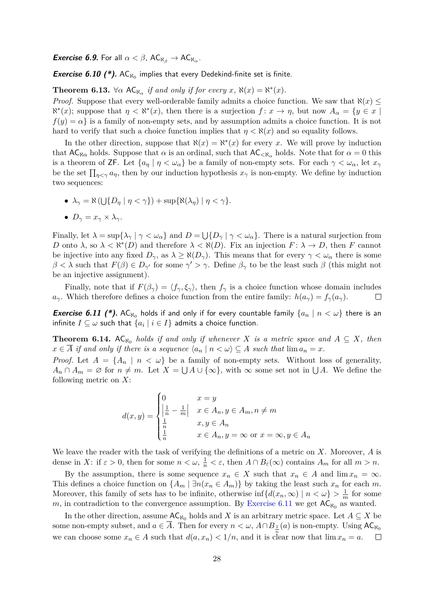$\bm{Exercise}\;\bm{6.9}.$  For all  $\alpha<\beta$ , AC $_{\aleph_{\beta}}\to$  AC $_{\aleph_{\alpha}}.$ 

**Exercise 6.10 (\*).**  $AC_{N_0}$  implies that every Dedekind-finite set is finite.

**Theorem 6.13.**  $\forall \alpha \in A\mathbb{C}_{\aleph_{\alpha}}$  *if and only if for every x*,  $\aleph(x) = \aleph^*(x)$ *.* 

*Proof.* Suppose that every well-orderable family admits a choice function. We saw that  $\aleph(x) \leq$  $\aleph^{*}(x)$ ; suppose that  $\eta < \aleph^{*}(x)$ , then there is a surjection  $f: x \to \eta$ , but now  $A_{\alpha} = \{y \in x \mid x \in \mathbb{R} \mid y \in \mathbb{R} \mid x \in \mathbb{R} \mid y \in \mathbb{R} \mid y \in \mathbb{R} \mid y \in \mathbb{R} \mid y \in \mathbb{R} \mid y \in \mathbb{R} \mid y \in \mathbb{R} \mid y \in \mathbb{R} \mid y \in \mathbb{R} \$  $f(y) = \alpha$  is a family of non-empty sets, and by assumption admits a choice function. It is not hard to verify that such a choice function implies that  $\eta < \aleph(x)$  and so equality follows.

In the other direction, suppose that  $\aleph(x) = \aleph^*(x)$  for every *x*. We will prove by induction that  $AC_{\aleph \alpha}$  holds. Suppose that  $\alpha$  is an ordinal, such that  $AC_{\aleph \alpha}$  holds. Note that for  $\alpha = 0$  this is a theorem of ZF. Let  $\{a_n \mid \eta < \omega_\alpha\}$  be a family of non-empty sets. For each  $\gamma < \omega_\alpha$ , let  $x_\gamma$ be the set  $\prod_{\eta\leq\gamma}a_{\eta}$ , then by our induction hypothesis  $x_{\gamma}$  is non-empty. We define by induction two sequences:

- $\blacklozenge$   $\lambda_{\gamma} = \aleph \left( \bigcup \{ D_{\eta} \mid \eta < \gamma \} \right) + \sup \{ \aleph(\lambda_{\eta}) \mid \eta < \gamma \}.$
- $D_{\gamma} = x_{\gamma} \times \lambda_{\gamma}$ .

Finally, let  $\lambda = \sup\{\lambda_\gamma \mid \gamma < \omega_\alpha\}$  and  $D = \bigcup\{D_\gamma \mid \gamma < \omega_\alpha\}$ . There is a natural surjection from *D* onto  $\lambda$ , so  $\lambda < \aleph^*(D)$  and therefore  $\lambda < \aleph(D)$ . Fix an injection  $F: \lambda \to D$ , then *F* cannot be injective into any fixed  $D_{\gamma}$ , as  $\lambda \geq \aleph(D_{\gamma})$ . This means that for every  $\gamma < \omega_{\alpha}$  there is some  $\beta < \lambda$  such that  $F(\beta) \in D_{\gamma'}$  for some  $\gamma' > \gamma$ . Define  $\beta_{\gamma}$  to be the least such  $\beta$  (this might not be an injective assignment).

Finally, note that if  $F(\beta_\gamma) = \langle f_\gamma, \xi_\gamma \rangle$ , then  $f_\gamma$  is a choice function whose domain includes *a*<sub>*γ*</sub>. Which therefore defines a choice function from the entire family:  $h(a_{\gamma}) = f_{\gamma}(a_{\gamma})$ .  $\Box$ 

<span id="page-28-0"></span>**Exercise 6.11 (\*).** AC $_{\aleph_0}$  holds if and only if for every countable family  $\{a_n \mid n < \omega\}$  there is an infinite  $I\subseteq\omega$  such that  $\{a_i\mid i\in I\}$  admits a choice function.

**Theorem 6.14.** AC<sub> $x_0$ </sub> holds if and only if whenever *X* is a metric space and  $A \subseteq X$ , then  $x \in \overline{A}$  *if and only if there is a sequence*  $\langle a_n | n \langle \omega \rangle \subseteq A$  *such that*  $\lim a_n = x$ *.* 

*Proof.* Let  $A = \{A_n \mid n < \omega\}$  be a family of non-empty sets. Without loss of generality,  $A_n \cap A_m = \emptyset$  for  $n \neq m$ . Let  $X = \bigcup A \cup \{\infty\}$ , with  $\infty$  some set not in  $\bigcup A$ . We define the following metric on *X*:

$$
d(x,y) = \begin{cases} 0 & x = y \\ \left|\frac{1}{n} - \frac{1}{m}\right| & x \in A_n, y \in A_m, n \neq m \\ \frac{1}{n} & x, y \in A_n \\ \frac{1}{n} & x \in A_n, y = \infty \text{ or } x = \infty, y \in A_n \end{cases}
$$

We leave the reader with the task of verifying the definitions of a metric on *X*. Moreover, *A* is dense in *X*: if  $\varepsilon > 0$ , then for some  $n < \omega$ ,  $\frac{1}{n} < \varepsilon$ , then  $A \cap B_{\varepsilon}(\infty)$  contains  $A_m$  for all  $m > n$ .

By the assumption, there is some sequence  $x_n \in X$  such that  $x_n \in A$  and  $\lim x_n = \infty$ . This defines a choice function on  $\{A_m \mid \exists n (x_n \in A_m)\}\$  by taking the least such  $x_n$  for each  $m$ . Moreover, this family of sets has to be infinite, otherwise  $\inf \{d(x_n,\infty) \mid n < \omega\} > \frac{1}{n}$  $\frac{1}{m}$  for some m, in contradiction to the convergence assumption. By [Exercise 6.11](#page-28-0) we get  $AC_{\aleph_0}$  as wanted.

In the other direction, assume  $AC_{\aleph_0}$  holds and *X* is an arbitrary metric space. Let  $A \subseteq X$  be some non-empty subset, and  $a \in \overline{A}$ . Then for every  $n < \omega$ ,  $A \cap B_{\frac{1}{n}}(a)$  is non-empty. Using  $AC_{\aleph_0}$ we can choose some  $x_n \in A$  such that  $d(a, x_n) < 1/n$ , and it is clear now that  $\lim x_n = a$ .  $\Box$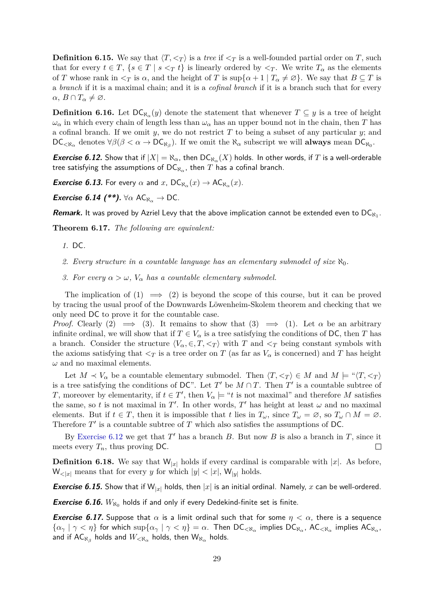**Definition 6.15.** We say that  $\langle T, \langle T \rangle$  is a *tree* if  $\langle T \rangle$  is a well-founded partial order on *T*, such that for every  $t \in T$ ,  $\{s \in T \mid s <_T t\}$  is linearly ordered by  $\leq_T$ . We write  $T_\alpha$  as the elements of *T* whose rank in  $\leq_T$  is  $\alpha$ , and the height of *T* is sup $\{\alpha + 1 \mid T_\alpha \neq \emptyset\}$ . We say that  $B \subseteq T$  is a *branch* if it is a maximal chain; and it is a *cofinal branch* if it is a branch such that for every  $\alpha, B \cap T_{\alpha} \neq \emptyset$ .

**Definition 6.16.** Let  $DC_{\aleph_{\alpha}}(y)$  denote the statement that whenever  $T \subseteq y$  is a tree of height  $\omega_{\alpha}$  in which every chain of length less than  $\omega_{\alpha}$  has an upper bound not in the chain, then *T* has a cofinal branch. If we omit *y*, we do not restrict *T* to being a subset of any particular *y*; and  $DC_{< \aleph_{\alpha}}$  denotes  $\forall \beta (\beta < \alpha \rightarrow DC_{\aleph_{\beta}})$ . If we omit the  $\aleph_{\alpha}$  subscript we will **always** mean  $DC_{\aleph_0}$ .

<span id="page-29-0"></span>*Exercise 6.12.* Show that if  $|X| = \aleph_\alpha$ , then  $\mathsf{DC}_{\aleph_\alpha}(X)$  holds. In other words, if  $T$  is a well-orderable tree satisfying the assumptions of  $\mathsf{DC}_{\aleph_\alpha}$ , then  $T$  has a cofinal branch.

*Exercise 6.13.* **For every**  $\alpha$  **and**  $x$ **, DC<sub>N<sub>α</sub></sub>** $(x) \rightarrow$  **AC<sub>N<sub>α</sub></sub>** $(x)$ **.** 

**Exercise 6.14 (\*\*).**  $\forall \alpha \; AC_{\aleph_{\alpha}} \rightarrow DC$ .

**Remark.** It was proved by Azriel Levy that the above implication cannot be extended even to  $DC_{\aleph_1}$ .

**Theorem 6.17.** *The following are equivalent:*

- *1.* DC*.*
- 2. Every structure in a countable language has an elementary submodel of size  $\aleph_0$ .
- *3. For every*  $\alpha > \omega$ ,  $V_{\alpha}$  *has a countable elementary submodel.*

The implication of  $(1) \implies (2)$  is beyond the scope of this course, but it can be proved by tracing the usual proof of the Downwards Löwenheim-Skolem theorem and checking that we only need DC to prove it for the countable case.

*Proof.* Clearly (2)  $\implies$  (3). It remains to show that (3)  $\implies$  (1). Let  $\alpha$  be an arbitrary infinite ordinal, we will show that if  $T \in V_\alpha$  is a tree satisfying the conditions of DC, then *T* has a branch. Consider the structure  $\langle V_\alpha, \in, T, \langle T \rangle$  with *T* and  $\langle T \rangle$  being constant symbols with the axioms satisfying that  $\leq_T$  is a tree order on *T* (as far as  $V_\alpha$  is concerned) and *T* has height *ω* and no maximal elements.

Let  $M \prec V_\alpha$  be a countable elementary submodel. Then  $\langle T, \leq_T \rangle \in M$  and  $M \models ``\langle T, \leq_T \rangle$ is a tree satisfying the conditions of DC". Let  $T'$  be  $M \cap T$ . Then  $T'$  is a countable subtree of *T*, moreover by elementarity, if  $t \in T'$ , then  $V_\alpha \models "t$  is not maximal" and therefore *M* satisfies the same, so *t* is not maximal in  $T'$ . In other words,  $T'$  has height at least  $\omega$  and no maximal elements. But if  $t \in T$ , then it is impossible that *t* lies in  $T_\omega$ , since  $T_\omega = \emptyset$ , so  $T_\omega \cap M = \emptyset$ . Therefore  $T'$  is a countable subtree of  $T$  which also satisfies the assumptions of DC.

By [Exercise 6.12](#page-29-0) we get that  $T'$  has a branch  $B$ . But now  $B$  is also a branch in  $T$ , since it meets every  $T_n$ , thus proving DC.  $\Box$ 

**Definition 6.18.** We say that  $W_{|x|}$  holds if every cardinal is comparable with |x|. As before,  $W_{\leq |x|}$  means that for every *y* for which  $|y| \leq |x|$ ,  $W_{|y|}$  holds.

**Exercise 6.15.** Show that if  $W_{|x|}$  holds, then  $|x|$  is an initial ordinal. Namely, x can be well-ordered.

**Exercise 6.16.**  $W_{\aleph_0}$  holds if and only if every Dedekind-finite set is finite.

**Exercise 6.17.** Suppose that  $\alpha$  is a limit ordinal such that for some  $\eta < \alpha$ , there is a sequence  $\{\alpha_\gamma \mid \gamma < \eta\}$  for which  $\sup\{\alpha_\gamma \mid \gamma < \eta\} = \alpha$ . Then  $\mathsf{DC}_{<\aleph_\alpha}$  implies  $\mathsf{DC}_{\aleph_\alpha}$ ,  $\mathsf{AC}_{<\aleph_\alpha}$  implies  $\mathsf{AC}_{\aleph_\alpha}$ , and if  $\mathsf{AC}_{\aleph_{\beta}}$  holds and  $W_{<\aleph_{\alpha}}$  holds, then  $\mathsf{W}_{\aleph_{\alpha}}$  holds.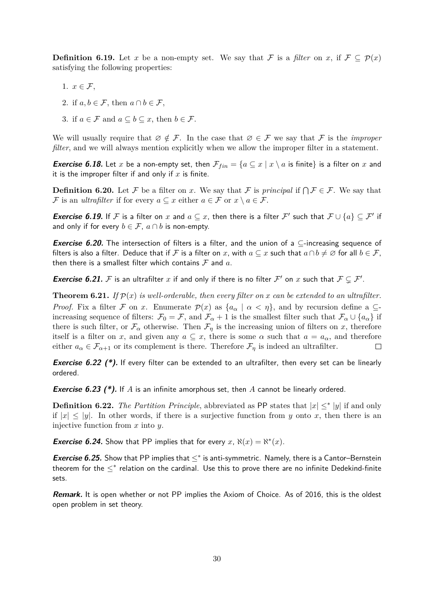**Definition 6.19.** Let *x* be a non-empty set. We say that F is a *filter* on *x*, if  $\mathcal{F} \subseteq \mathcal{P}(x)$ satisfying the following properties:

- 1.  $x \in \mathcal{F}$ ,
- 2. if  $a, b \in \mathcal{F}$ , then  $a \cap b \in \mathcal{F}$ ,
- 3. if  $a \in \mathcal{F}$  and  $a \subseteq b \subseteq x$ , then  $b \in \mathcal{F}$ .

We will usually require that  $\emptyset \notin \mathcal{F}$ . In the case that  $\emptyset \in \mathcal{F}$  we say that  $\mathcal{F}$  is the *improper filter*, and we will always mention explicitly when we allow the improper filter in a statement.

**Exercise 6.18.** Let *x* be a non-empty set, then  $\mathcal{F}_{fin} = \{a \subseteq x \mid x \setminus a \text{ is finite}\}\$ is a filter on *x* and it is the improper filter if and only if *x* is finite.

**Definition 6.20.** Let F be a filter on x. We say that F is *principal* if  $\bigcap \mathcal{F} \in \mathcal{F}$ . We say that F is an *ultrafilter* if for every  $a \subseteq x$  either  $a \in \mathcal{F}$  or  $x \setminus a \in \mathcal{F}$ .

**Exercise 6.19.** If F is a filter on x and  $a \subseteq x$ , then there is a filter F' such that  $\mathcal{F} \cup \{a\} \subseteq \mathcal{F}'$  if and only if for every  $b \in \mathcal{F}$ ,  $a \cap b$  is non-empty.

**Exercise 6.20.** The intersection of filters is a filter, and the union of a ⊆-increasing sequence of filters is also a filter. Deduce that if F is a filter on x, with  $a \subseteq x$  such that  $a \cap b \neq \emptyset$  for all  $b \in \mathcal{F}$ , then there is a smallest filter which contains  $\mathcal F$  and  $a$ .

**Exercise 6.21.** F is an ultrafilter x if and only if there is no filter F' on x such that  $\mathcal{F} \subsetneq \mathcal{F}'$ .

**Theorem 6.21.** *If*  $p(x)$  *is well-orderable, then every filter on x can be extended to an ultrafilter. Proof.* Fix a filter F on x. Enumerate  $\mathcal{P}(x)$  as  $\{a_{\alpha} \mid \alpha < \eta\}$ , and by recursion define a  $\subseteq$ increasing sequence of filters:  $\mathcal{F}_0 = \mathcal{F}$ , and  $\mathcal{F}_{\alpha} + 1$  is the smallest filter such that  $\mathcal{F}_{\alpha} \cup \{a_{\alpha}\}\$ if there is such filter, or  $\mathcal{F}_{\alpha}$  otherwise. Then  $\mathcal{F}_{\eta}$  is the increasing union of filters on *x*, therefore itself is a filter on *x*, and given any  $a \subseteq x$ , there is some  $\alpha$  such that  $a = a_{\alpha}$ , and therefore either  $a_{\alpha} \in \mathcal{F}_{\alpha+1}$  or its complement is there. Therefore  $\mathcal{F}_{\eta}$  is indeed an ultrafilter.  $\Box$ 

**Exercise 6.22 (\*).** If every filter can be extended to an ultrafilter, then every set can be linearly ordered.

**Exercise 6.23 (\*).** If *A* is an infinite amorphous set, then *A* cannot be linearly ordered.

**Definition 6.22.** *The Partition Principle*, abbreviated as PP states that  $|x| \leq^* |y|$  if and only if  $|x| \le |y|$ . In other words, if there is a surjective function from *y* onto *x*, then there is an injective function from *x* into *y*.

**Exercise 6.24.** Show that PP implies that for every  $x$ ,  $\aleph(x) = \aleph^*(x)$ .

**Exercise 6.25.** Show that PP implies that ≤\* is anti-symmetric. Namely, there is a Cantor–Bernstein theorem for the  $\leq^*$  relation on the cardinal. Use this to prove there are no infinite Dedekind-finite sets.

**Remark.** It is open whether or not PP implies the Axiom of Choice. As of 2016, this is the oldest open problem in set theory.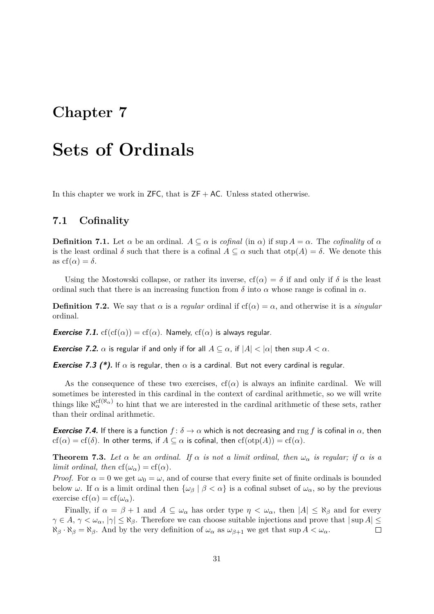## <span id="page-31-0"></span>**Sets of Ordinals**

In this chapter we work in  $ZFC$ , that is  $ZF + AC$ . Unless stated otherwise.

### <span id="page-31-1"></span>**7.1 Cofinality**

**Definition 7.1.** Let  $\alpha$  be an ordinal.  $A \subseteq \alpha$  is *cofinal* (in  $\alpha$ ) if sup  $A = \alpha$ . The *cofinality* of  $\alpha$ is the least ordinal  $\delta$  such that there is a cofinal  $A \subseteq \alpha$  such that  $\text{otp}(A) = \delta$ . We denote this as  $cf(\alpha) = \delta$ .

Using the Mostowski collapse, or rather its inverse,  $cf(\alpha) = \delta$  if and only if  $\delta$  is the least ordinal such that there is an increasing function from  $\delta$  into  $\alpha$  whose range is cofinal in  $\alpha$ .

**Definition 7.2.** We say that  $\alpha$  is a *regular* ordinal if  $cf(\alpha) = \alpha$ , and otherwise it is a *singular* ordinal.

**Exercise 7.1.** cf(cf( $\alpha$ )) = cf( $\alpha$ ). Namely, cf( $\alpha$ ) is always regular.

*Exercise 7.2.*  $\alpha$  is regular if and only if for all  $A \subseteq \alpha$ , if  $|A| < |\alpha|$  then sup  $A < \alpha$ .

**Exercise 7.3 (\*).** If  $\alpha$  is regular, then  $\alpha$  is a cardinal. But not every cardinal is regular.

As the consequence of these two exercises,  $cf(\alpha)$  is always an infinite cardinal. We will sometimes be interested in this cardinal in the context of cardinal arithmetic, so we will write things like  $\aleph_{\alpha}^{\text{cf}(\aleph_{\alpha})}$  to hint that we are interested in the cardinal arithmetic of these sets, rather than their ordinal arithmetic.

**Exercise 7.4.** If there is a function  $f: \delta \to \alpha$  which is not decreasing and rng f is cofinal in  $\alpha$ , then  $cf(\alpha) = cf(\delta)$ . In other terms, if  $A \subseteq \alpha$  is cofinal, then  $cf(\text{otp}(A)) = cf(\alpha)$ .

**Theorem 7.3.** *Let*  $\alpha$  *be an ordinal. If*  $\alpha$  *is not a limit ordinal, then*  $\omega_{\alpha}$  *is regular; if*  $\alpha$  *is a limit ordinal, then*  $cf(\omega_{\alpha}) = cf(\alpha)$ *.* 

*Proof.* For  $\alpha = 0$  we get  $\omega_0 = \omega$ , and of course that every finite set of finite ordinals is bounded below  $\omega$ . If  $\alpha$  is a limit ordinal then  $\{\omega_{\beta} \mid \beta < \alpha\}$  is a cofinal subset of  $\omega_{\alpha}$ , so by the previous exercise cf( $\alpha$ ) = cf( $\omega_{\alpha}$ ).

Finally, if  $\alpha = \beta + 1$  and  $A \subseteq \omega_{\alpha}$  has order type  $\eta < \omega_{\alpha}$ , then  $|A| \leq \aleph_{\beta}$  and for every  $\gamma \in A$ ,  $\gamma \leq \omega_{\alpha}$ ,  $|\gamma| \leq \aleph_{\beta}$ . Therefore we can choose suitable injections and prove that  $|\sup A| \leq$  $\aleph_{\beta} \cdot \aleph_{\beta} = \aleph_{\beta}$ . And by the very definition of  $\omega_{\alpha}$  as  $\omega_{\beta+1}$  we get that sup  $A < \omega_{\alpha}$ .  $\Box$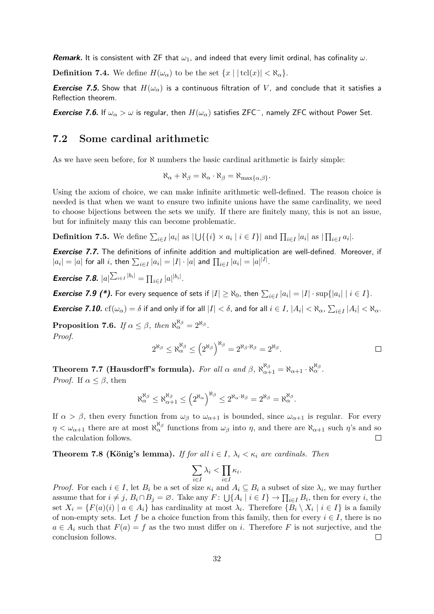**Remark.** It is consistent with ZF that *ω*1, and indeed that every limit ordinal, has cofinality *ω*.

**Definition 7.4.** We define  $H(\omega_\alpha)$  to be the set  $\{x \mid |\text{tcl}(x)| < \aleph_\alpha\}$ .

**Exercise 7.5.** Show that  $H(\omega_{\alpha})$  is a continuous filtration of V, and conclude that it satisfies a Reflection theorem.

**Exercise 7.6.** If  $\omega_{\alpha} > \omega$  is regular, then  $H(\omega_{\alpha})$  satisfies ZFC<sup>-</sup>, namely ZFC without Power Set.

### <span id="page-32-0"></span>**7.2 Some cardinal arithmetic**

As we have seen before, for  $\aleph$  numbers the basic cardinal arithmetic is fairly simple:

$$
\aleph_{\alpha} + \aleph_{\beta} = \aleph_{\alpha} \cdot \aleph_{\beta} = \aleph_{\max\{\alpha,\beta\}}.
$$

Using the axiom of choice, we can make infinite arithmetic well-defined. The reason choice is needed is that when we want to ensure two infinite unions have the same cardinality, we need to choose bijections between the sets we unify. If there are finitely many, this is not an issue, but for infinitely many this can become problematic.

**Definition 7.5.** We define  $\sum_{i \in I} |a_i|$  as  $|\bigcup \{\{i\} \times a_i | i \in I\}|$  and  $\prod_{i \in I} |a_i|$  as  $|\prod_{i \in I} a_i|$ .

**Exercise 7.7.** The definitions of infinite addition and multiplication are well-defined. Moreover, if  $|a_i| = |a|$  for all *i*, then  $\sum_{i \in I} |a_i| = |I| \cdot |a|$  and  $\prod_{i \in I} |a_i| = |a|^{|I|}$ .

**Exercise 7.8.**  $|a|^{\sum_{i \in I} |b_i|} = \prod_{i \in I} |a|^{|b_i|}$ .

**Exercise 7.9 (\*).** For every sequence of sets if  $|I| \geq \aleph_0$ , then  $\sum_{i \in I} |a_i| = |I| \cdot \sup\{|a_i| \mid i \in I\}$ .

**Exercise 7.10.**  $cf(\omega_\alpha) = \delta$  if and only if for all  $|I| < \delta$ , and for all  $i \in I$ ,  $|A_i| < \aleph_\alpha$ ,  $\sum_{i \in I} |A_i| < \aleph_\alpha$ .

**Proposition 7.6.** *If*  $\alpha \leq \beta$ *, then*  $\aleph_{\alpha}^{\aleph_{\beta}} = 2^{\aleph_{\beta}}$ *. Proof.*

$$
2^{\aleph_{\beta}} \leq \aleph_{\alpha}^{\aleph_{\beta}} \leq (2^{\aleph_{\beta}})^{\aleph_{\beta}} = 2^{\aleph_{\beta} \cdot \aleph_{\beta}} = 2^{\aleph_{\beta}}.
$$

**Theorem 7.7 (Hausdorff's formula).** For all  $\alpha$  and  $\beta$ ,  $\aleph_{\alpha+1}^{\aleph_{\beta}} = \aleph_{\alpha+1} \cdot \aleph_{\alpha}^{\aleph_{\beta}}$ . *Proof.* If  $\alpha \leq \beta$ , then

$$
\aleph_{\alpha}^{\aleph_{\beta}} \leq \aleph_{\alpha+1}^{\aleph_{\beta}} \leq (2^{\aleph_{\alpha}})^{\aleph_{\beta}} \leq 2^{\aleph_{\alpha} \cdot \aleph_{\beta}} = 2^{\aleph_{\beta}} = \aleph_{\alpha}^{\aleph_{\beta}}.
$$

If  $\alpha > \beta$ , then every function from  $\omega_{\beta}$  to  $\omega_{\alpha+1}$  is bounded, since  $\omega_{\alpha+1}$  is regular. For every  $\eta < \omega_{\alpha+1}$  there are at most  $\aleph_{\alpha}^{\aleph_{\beta}}$  functions from  $\omega_{\beta}$  into  $\eta$ , and there are  $\aleph_{\alpha+1}$  such  $\eta$ 's and so the calculation follows.  $\Box$ 

**Theorem 7.8 (König's lemma).** *If for all*  $i \in I$ ,  $\lambda_i < \kappa_i$  are cardinals. Then

$$
\sum_{i\in I}\lambda_i < \prod_{i\in I}\kappa_i.
$$

*Proof.* For each  $i \in I$ , let  $B_i$  be a set of size  $\kappa_i$  and  $A_i \subseteq B_i$  a subset of size  $\lambda_i$ , we may further assume that for  $i \neq j$ ,  $B_i \cap B_j = \emptyset$ . Take any  $F: \bigcup \{A_i \mid i \in I\} \to \prod_{i \in I} B_i$ , then for every *i*, the set  $X_i = \{F(a)(i) \mid a \in A_i\}$  has cardinality at most  $\lambda_i$ . Therefore  $\{B_i \setminus X_i \mid i \in I\}$  is a family of non-empty sets. Let f be a choice function from this family, then for every  $i \in I$ , there is no  $a \in A_i$  such that  $F(a) = f$  as the two must differ on *i*. Therefore F is not surjective, and the conclusion follows.  $\Box$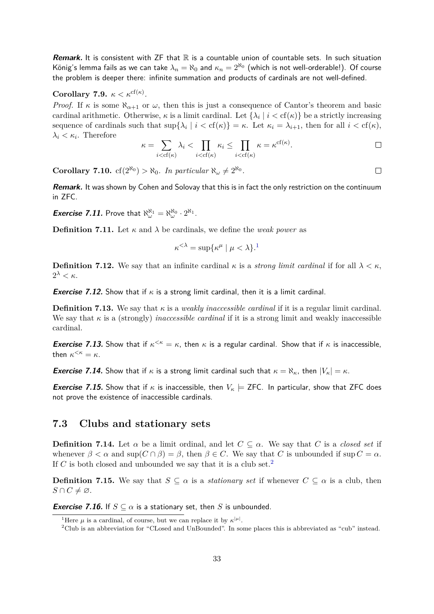**Remark.** It is consistent with ZF that  $\mathbb R$  is a countable union of countable sets. In such situation König's lemma fails as we can take  $\lambda_n = \aleph_0$  and  $\kappa_n = 2^{\aleph_0}$  (which is not well-orderable!). Of course the problem is deeper there: infinite summation and products of cardinals are not well-defined.

**Corollary 7.9.**  $\kappa < \kappa^{cf(\kappa)}$ .

*Proof.* If  $\kappa$  is some  $\aleph_{\alpha+1}$  or  $\omega$ , then this is just a consequence of Cantor's theorem and basic cardinal arithmetic. Otherwise,  $\kappa$  is a limit cardinal. Let  $\{\lambda_i \mid i < \text{cf}(\kappa)\}\)$  be a strictly increasing sequence of cardinals such that  $\sup\{\lambda_i \mid i < \text{cf}(\kappa)\} = \kappa$ . Let  $\kappa_i = \lambda_{i+1}$ , then for all  $i < \text{cf}(\kappa)$ ,  $\lambda_i < \kappa_i$ . Therefore

$$
\kappa = \sum_{i < \text{cf}(\kappa)} \lambda_i < \prod_{i < \text{cf}(\kappa)} \kappa_i \le \prod_{i < \text{cf}(\kappa)} \kappa = \kappa^{\text{cf}(\kappa)}.
$$

**Corollary 7.10.**  $cf(2^{\aleph_0}) > \aleph_0$ . In particular  $\aleph_\omega \neq 2^{\aleph_0}$ .

**Remark.** It was shown by Cohen and Solovay that this is in fact the only restriction on the continuum in ZFC.

**Exercise 7.11.** Prove that  $\aleph_{\omega}^{\aleph_1} = \aleph_{\omega}^{\aleph_0} \cdot 2^{\aleph_1}$ .

**Definition 7.11.** Let  $\kappa$  and  $\lambda$  be cardinals, we define the *weak power* as

$$
\kappa^{<\lambda} = \sup \{ \kappa^{\mu} \mid \mu < \lambda \}.
$$

**Definition 7.12.** We say that an infinite cardinal  $\kappa$  is a *strong limit cardinal* if for all  $\lambda < \kappa$ , 2 *<sup>λ</sup> < κ*.

**Exercise 7.12.** Show that if *κ* is a strong limit cardinal, then it is a limit cardinal.

**Definition 7.13.** We say that  $\kappa$  is a *weakly inaccessible cardinal* if it is a regular limit cardinal. We say that  $\kappa$  is a (strongly) *inaccessible cardinal* if it is a strong limit and weakly inaccessible cardinal.

**Exercise 7.13.** Show that if  $\kappa^{\leq \kappa} = \kappa$ , then  $\kappa$  is a regular cardinal. Show that if  $\kappa$  is inaccessible, then  $\kappa^{<\kappa} = \kappa$ .

*Exercise 7.14.* **Show that if**  $\kappa$  **is a strong limit cardinal such that**  $\kappa = \aleph_{\kappa}$ **, then**  $|V_{\kappa}| = \kappa$ **.** 

**Exercise 7.15.** Show that if  $\kappa$  is inaccessible, then  $V_{\kappa} \models$  ZFC. In particular, show that ZFC does not prove the existence of inaccessible cardinals.

### <span id="page-33-0"></span>**7.3 Clubs and stationary sets**

**Definition 7.14.** Let  $\alpha$  be a limit ordinal, and let  $C \subseteq \alpha$ . We say that *C* is a *closed set* if whenever  $\beta < \alpha$  and  $\sup(C \cap \beta) = \beta$ , then  $\beta \in C$ . We say that *C* is unbounded if  $\sup C = \alpha$ . If  $C$  is both closed and unbounded we say that it is a club set.<sup>[2](#page-33-2)</sup>

**Definition 7.15.** We say that  $S \subseteq \alpha$  is a *stationary set* if whenever  $C \subseteq \alpha$  is a club, then  $S \cap C \neq \emptyset$ .

**Exercise 7.16.** If  $S \subseteq \alpha$  is a stationary set, then *S* is unbounded.

 $\Box$ 

<span id="page-33-1"></span><sup>&</sup>lt;sup>1</sup>Here  $\mu$  is a cardinal, of course, but we can replace it by  $\kappa^{|\mu|}$ .

<span id="page-33-2"></span><sup>2</sup>Club is an abbreviation for "CLosed and UnBounded". In some places this is abbreviated as "cub" instead.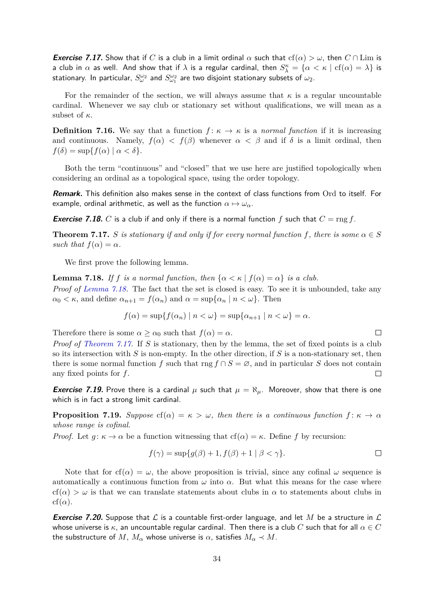**Exercise 7.17.** Show that if *C* is a club in a limit ordinal  $\alpha$  such that  $cf(\alpha) > \omega$ , then  $C \cap \text{Lim}$  is a club in  $\alpha$  as well. And show that if  $\lambda$  is a regular cardinal, then  $S_\lambda^\kappa=\{\alpha<\kappa\mid {\rm cf}(\alpha)=\lambda\}$  is stationary. In particular,  $S^{\omega_2}_{\omega}$  and  $S^{\omega_2}_{\omega_1}$  are two disjoint stationary subsets of  $\omega_2$ .

For the remainder of the section, we will always assume that  $\kappa$  is a regular uncountable cardinal. Whenever we say club or stationary set without qualifications, we will mean as a subset of *κ*.

**Definition 7.16.** We say that a function  $f: \kappa \to \kappa$  is a *normal function* if it is increasing and continuous. Namely,  $f(\alpha) < f(\beta)$  whenever  $\alpha < \beta$  and if  $\delta$  is a limit ordinal, then  $f(\delta) = \sup\{f(\alpha) \mid \alpha < \delta\}.$ 

Both the term "continuous" and "closed" that we use here are justified topologically when considering an ordinal as a topological space, using the order topology.

**Remark.** This definition also makes sense in the context of class functions from Ord to itself. For example, ordinal arithmetic, as well as the function  $\alpha \mapsto \omega_{\alpha}$ .

**Exercise 7.18.** *C* is a club if and only if there is a normal function f such that  $C = \text{rng } f$ .

<span id="page-34-1"></span>**Theorem 7.17.** *S is stationary if and only if for every normal function f, there is some*  $\alpha \in S$ *such that*  $f(\alpha) = \alpha$ *.* 

We first prove the following lemma.

<span id="page-34-0"></span>**Lemma 7.18.** *If f is a normal function, then*  $\{\alpha < \kappa \mid f(\alpha) = \alpha\}$  *is a club. Proof of [Lemma 7.18.](#page-34-0)* The fact that the set is closed is easy. To see it is unbounded, take any  $\alpha_0 < \kappa$ , and define  $\alpha_{n+1} = f(\alpha_n)$  and  $\alpha = \sup{\{\alpha_n \mid n < \omega\}}$ . Then

$$
f(\alpha) = \sup\{f(\alpha_n) \mid n < \omega\} = \sup\{\alpha_{n+1} \mid n < \omega\} = \alpha.
$$

Therefore there is some  $\alpha \geq \alpha_0$  such that  $f(\alpha) = \alpha$ .

*Proof of [Theorem 7.17.](#page-34-1)* If *S* is stationary, then by the lemma, the set of fixed points is a club so its intersection with *S* is non-empty. In the other direction, if *S* is a non-stationary set, then there is some normal function *f* such that rng  $f \cap S = \emptyset$ , and in particular *S* does not contain any fixed points for *f*.  $\Box$ 

**Exercise 7.19.** Prove there is a cardinal  $\mu$  such that  $\mu = \aleph_{\mu}$ . Moreover, show that there is one which is in fact a strong limit cardinal.

**Proposition 7.19.** *Suppose*  $cf(\alpha) = \kappa > \omega$ , *then there is a continuous function*  $f: \kappa \to \alpha$ *whose range is cofinal.*

*Proof.* Let  $g: \kappa \to \alpha$  be a function witnessing that  $cf(\alpha) = \kappa$ . Define f by recursion:

$$
f(\gamma) = \sup\{g(\beta) + 1, f(\beta) + 1 \mid \beta < \gamma\}.\tag{}
$$

Note that for  $cf(\alpha) = \omega$ , the above proposition is trivial, since any cofinal  $\omega$  sequence is automatically a continuous function from  $\omega$  into  $\alpha$ . But what this means for the case where  $cf(\alpha) > \omega$  is that we can translate statements about clubs in  $\alpha$  to statements about clubs in  $cf(\alpha)$ .

**Exercise 7.20.** Suppose that L is a countable first-order language, and let M be a structure in L whose universe is *κ*, an uncountable regular cardinal. Then there is a club *C* such that for all *α* ∈ *C* the substructure of M,  $M_{\alpha}$  whose universe is  $\alpha$ , satisfies  $M_{\alpha} \prec M$ .

 $\Box$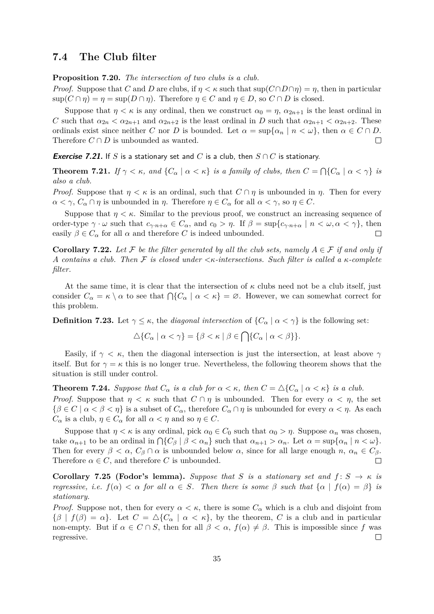### <span id="page-35-0"></span>**7.4 The Club filter**

**Proposition 7.20.** *The intersection of two clubs is a club.*

*Proof.* Suppose that *C* and *D* are clubs, if  $\eta < \kappa$  such that  $\sup(C \cap D \cap \eta) = \eta$ , then in particular  $\sup(C \cap \eta) = \eta = \sup(D \cap \eta)$ . Therefore  $\eta \in C$  and  $\eta \in D$ , so  $C \cap D$  is closed.

Suppose that  $\eta < \kappa$  is any ordinal, then we construct  $\alpha_0 = \eta$ ,  $\alpha_{2n+1}$  is the least ordinal in *C* such that  $\alpha_{2n} < \alpha_{2n+1}$  and  $\alpha_{2n+2}$  is the least ordinal in *D* such that  $\alpha_{2n+1} < \alpha_{2n+2}$ . These ordinals exist since neither *C* nor *D* is bounded. Let  $\alpha = \sup{\{\alpha_n \mid n < \omega\}}$ , then  $\alpha \in C \cap D$ . Therefore  $C \cap D$  is unbounded as wanted.  $\Box$ 

**Exercise 7.21.** If *S* is a stationary set and *C* is a club, then  $S \cap C$  is stationary.

**Theorem 7.21.** *If*  $\gamma < \kappa$ *, and*  $\{C_\alpha \mid \alpha < \kappa\}$  *is a family of clubs, then*  $C = \bigcap \{C_\alpha \mid \alpha < \gamma\}$  *is also a club.*

*Proof.* Suppose that  $\eta < \kappa$  is an ordinal, such that  $C \cap \eta$  is unbounded in  $\eta$ . Then for every *α* < γ,  $C_\alpha \cap \eta$  is unbounded in *η*. Therefore  $\eta \in C_\alpha$  for all *α* < γ, so  $\eta \in C$ .

Suppose that  $\eta < \kappa$ . Similar to the previous proof, we construct an increasing sequence of order-type  $\gamma \cdot \omega$  such that  $c_{\gamma \cdot n+\alpha} \in C_{\alpha}$ , and  $c_0 > \eta$ . If  $\beta = \sup\{c_{\gamma \cdot n+\alpha} \mid n < \omega, \alpha < \gamma\}$ , then easily  $\beta \in C_{\alpha}$  for all  $\alpha$  and therefore *C* is indeed unbounded.  $\Box$ 

**Corollary 7.22.** Let F be the filter generated by all the club sets, namely  $A \in \mathcal{F}$  if and only if *A contains a club. Then* F *is closed under <κ-intersections. Such filter is called a κ-complete filter.*

At the same time, it is clear that the intersection of  $\kappa$  clubs need not be a club itself, just consider  $C_{\alpha} = \kappa \setminus \alpha$  to see that  $\bigcap \{C_{\alpha} \mid \alpha < \kappa\} = \emptyset$ . However, we can somewhat correct for this problem.

**Definition 7.23.** Let  $\gamma \leq \kappa$ , the *diagonal intersection* of  $\{C_{\alpha} \mid \alpha < \gamma\}$  is the following set:

$$
\Delta\{C_{\alpha} \mid \alpha < \gamma\} = \{\beta < \kappa \mid \beta \in \bigcap \{C_{\alpha} \mid \alpha < \beta\}\}.
$$

Easily, if  $\gamma < \kappa$ , then the diagonal intersection is just the intersection, at least above  $\gamma$ itself. But for  $\gamma = \kappa$  this is no longer true. Nevertheless, the following theorem shows that the situation is still under control.

**Theorem 7.24.** *Suppose that*  $C_{\alpha}$  *is a club for*  $\alpha < \kappa$ *, then*  $C = \Delta \{C_{\alpha} \mid \alpha < \kappa\}$  *is a club. Proof.* Suppose that  $\eta < \kappa$  such that  $C \cap \eta$  is unbounded. Then for every  $\alpha < \eta$ , the set  ${\beta \in C \mid \alpha < \beta < \eta}$  is a subset of  $C_{\alpha}$ , therefore  $C_{\alpha} \cap \eta$  is unbounded for every  $\alpha < \eta$ . As each *C*<sup>*a*</sup> is a club,  $\eta \in C_\alpha$  for all  $\alpha < \eta$  and so  $\eta \in C$ .

Suppose that  $\eta < \kappa$  is any ordinal, pick  $\alpha_0 \in C_0$  such that  $\alpha_0 > \eta$ . Suppose  $\alpha_n$  was chosen, take  $\alpha_{n+1}$  to be an ordinal in  $\bigcap \{C_\beta \mid \beta < \alpha_n\}$  such that  $\alpha_{n+1} > \alpha_n$ . Let  $\alpha = \sup \{\alpha_n \mid n < \omega\}$ . Then for every  $\beta < \alpha$ ,  $C_{\beta} \cap \alpha$  is unbounded below  $\alpha$ , since for all large enough  $n, \alpha_n \in C_{\beta}$ . Therefore  $\alpha \in C$ , and therefore *C* is unbounded.  $\Box$ 

**Corollary 7.25 (Fodor's lemma).** *Suppose that S is a stationary set and*  $f: S \rightarrow \kappa$  *is regressive, i.e.*  $f(\alpha) < \alpha$  *for all*  $\alpha \in S$ *. Then there is some*  $\beta$  *such that*  $\{\alpha \mid f(\alpha) = \beta\}$  *is stationary.*

*Proof.* Suppose not, then for every  $\alpha < \kappa$ , there is some  $C_{\alpha}$  which is a club and disjoint from  $\{\beta \mid f(\beta) = \alpha\}$ . Let  $C = \Delta\{C_{\alpha} \mid \alpha < \kappa\}$ , by the theorem, *C* is a club and in particular non-empty. But if  $\alpha \in C \cap S$ , then for all  $\beta < \alpha$ ,  $f(\alpha) \neq \beta$ . This is impossible since f was regressive.  $\Box$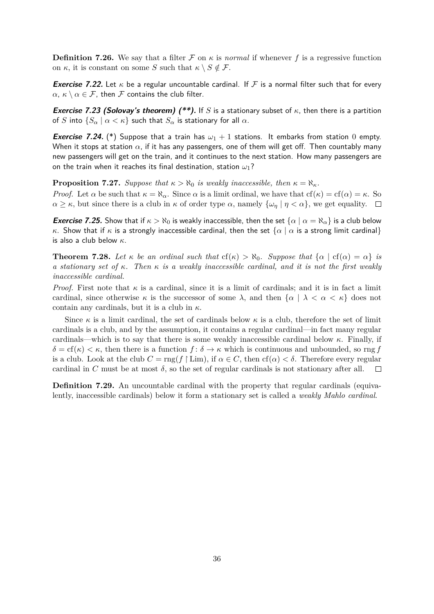**Definition 7.26.** We say that a filter  $\mathcal F$  on  $\kappa$  is *normal* if whenever  $f$  is a regressive function on  $\kappa$ , it is constant on some *S* such that  $\kappa \setminus S \notin \mathcal{F}$ .

**Exercise 7.22.** Let  $\kappa$  be a regular uncountable cardinal. If F is a normal filter such that for every *α*,  $κ$   $\setminus$  *α* ∈ *F*, then *F* contains the club filter.

**Exercise 7.23 (Solovay's theorem) (\*\*).** If *S* is a stationary subset of *κ*, then there is a partition of *S* into  $\{S_\alpha \mid \alpha < \kappa\}$  such that  $S_\alpha$  is stationary for all  $\alpha$ .

**Exercise 7.24.** (\*) Suppose that a train has  $\omega_1 + 1$  stations. It embarks from station 0 empty. When it stops at station  $\alpha$ , if it has any passengers, one of them will get off. Then countably many new passengers will get on the train, and it continues to the next station. How many passengers are on the train when it reaches its final destination, station *ω*1?

**Proposition 7.27.** *Suppose that*  $\kappa > \aleph_0$  *is weakly inaccessible, then*  $\kappa = \aleph_\kappa$ *.* 

*Proof.* Let  $\alpha$  be such that  $\kappa = \aleph_{\alpha}$ . Since  $\alpha$  is a limit ordinal, we have that  $cf(\kappa) = cf(\alpha) = \kappa$ . So  $\alpha \geq \kappa$ , but since there is a club in  $\kappa$  of order type  $\alpha$ , namely  $\{\omega_n | \eta < \alpha\}$ , we get equality.  $\square$ 

**Exercise 7.25.** Show that if  $\kappa > \aleph_0$  is weakly inaccessible, then the set  $\{\alpha \mid \alpha = \aleph_\alpha\}$  is a club below *κ*. Show that if *κ* is a strongly inaccessible cardinal, then the set  $\{\alpha \mid \alpha \}$  is a strong limit cardinal} is also a club below *κ*.

**Theorem 7.28.** Let  $\kappa$  be an ordinal such that  $cf(\kappa) > \aleph_0$ . Suppose that  $\{\alpha \mid cf(\alpha) = \alpha\}$  is *a stationary set of κ. Then κ is a weakly inaccessible cardinal, and it is not the first weakly inaccessible cardinal.*

*Proof.* First note that  $\kappa$  is a cardinal, since it is a limit of cardinals; and it is in fact a limit cardinal, since otherwise  $\kappa$  is the successor of some  $\lambda$ , and then  $\{\alpha \mid \lambda < \alpha < \kappa\}$  does not contain any cardinals, but it is a club in *κ*.

Since  $\kappa$  is a limit cardinal, the set of cardinals below  $\kappa$  is a club, therefore the set of limit cardinals is a club, and by the assumption, it contains a regular cardinal—in fact many regular cardinals—which is to say that there is some weakly inaccessible cardinal below  $\kappa$ . Finally, if  $\delta = \text{cf}(\kappa) < \kappa$ , then there is a function  $f: \delta \to \kappa$  which is continuous and unbounded, so rng *f* is a club. Look at the club  $C = \text{rng}(f \restriction \text{Lim})$ , if  $\alpha \in C$ , then  $cf(\alpha) < \delta$ . Therefore every regular cardinal in *C* must be at most  $\delta$ , so the set of regular cardinals is not stationary after all.  $\Box$ 

**Definition 7.29.** An uncountable cardinal with the property that regular cardinals (equivalently, inaccessible cardinals) below it form a stationary set is called a *weakly Mahlo cardinal*.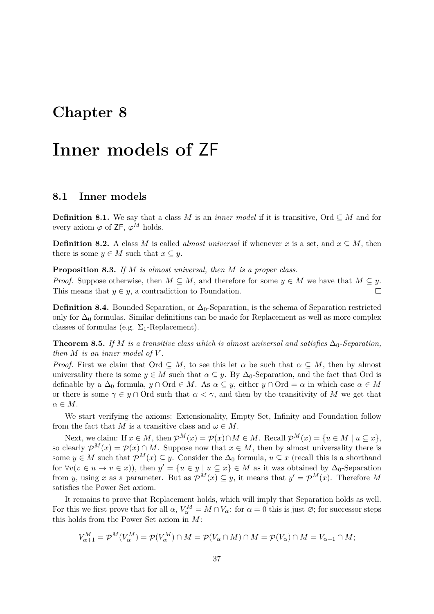## <span id="page-37-0"></span>**Inner models of** ZF

### <span id="page-37-1"></span>**8.1 Inner models**

**Definition 8.1.** We say that a class *M* is an *inner model* if it is transitive, Ord  $\subseteq M$  and for every axiom  $\varphi$  of ZF,  $\varphi^M$  holds.

**Definition 8.2.** A class *M* is called *almost universal* if whenever *x* is a set, and  $x \subseteq M$ , then there is some  $y \in M$  such that  $x \subseteq y$ .

**Proposition 8.3.** *If M is almost universal, then M is a proper class.*

*Proof.* Suppose otherwise, then  $M \subseteq M$ , and therefore for some  $y \in M$  we have that  $M \subseteq y$ . This means that  $y \in y$ , a contradiction to Foundation.  $\Box$ 

**Definition 8.4.** Bounded Separation, or  $\Delta_0$ -Separation, is the schema of Separation restricted only for  $\Delta_0$  formulas. Similar definitions can be made for Replacement as well as more complex classes of formulas (e.g.  $\Sigma_1$ -Replacement).

<span id="page-37-2"></span>**Theorem 8.5.** *If M is a transitive class which is almost universal and satisfies*  $\Delta_0$ -Separation, *then*  $M$  *is an inner model of*  $V$ *.* 

*Proof.* First we claim that Ord  $\subseteq M$ , to see this let  $\alpha$  be such that  $\alpha \subseteq M$ , then by almost universality there is some  $y \in M$  such that  $\alpha \subseteq y$ . By  $\Delta_0$ -Separation, and the fact that Ord is definable by a  $\Delta_0$  formula,  $y \cap \text{Ord} \in M$ . As  $\alpha \subseteq y$ , either  $y \cap \text{Ord} = \alpha$  in which case  $\alpha \in M$ or there is some  $\gamma \in y \cap$  Ord such that  $\alpha < \gamma$ , and then by the transitivity of M we get that  $\alpha \in M$ .

We start verifying the axioms: Extensionality, Empty Set, Infinity and Foundation follow from the fact that *M* is a transitive class and  $\omega \in M$ .

Next, we claim: If  $x \in M$ , then  $\mathcal{P}^M(x) = \mathcal{P}(x) \cap M \in M$ . Recall  $\mathcal{P}^M(x) = \{u \in M \mid u \subseteq x\}$ , so clearly  $\mathcal{P}^{M}(x) = \mathcal{P}(x) \cap M$ . Suppose now that  $x \in M$ , then by almost universality there is some  $y \in M$  such that  $\mathcal{P}^{M}(x) \subseteq y$ . Consider the  $\Delta_0$  formula,  $u \subseteq x$  (recall this is a shorthand for  $\forall v (v \in u \to v \in x)$ , then  $y' = \{u \in y \mid u \subseteq x\} \in M$  as it was obtained by  $\Delta_0$ -Separation from *y*, using *x* as a parameter. But as  $\mathcal{P}^{M}(x) \subseteq y$ , it means that  $y' = \mathcal{P}^{M}(x)$ . Therefore M satisfies the Power Set axiom.

It remains to prove that Replacement holds, which will imply that Separation holds as well. For this we first prove that for all  $\alpha$ ,  $V_{\alpha}^M = M \cap V_{\alpha}$ : for  $\alpha = 0$  this is just  $\emptyset$ ; for successor steps this holds from the Power Set axiom in *M*:

$$
V_{\alpha+1}^M = \mathcal{P}^M(V_{\alpha}^M) = \mathcal{P}(V_{\alpha}^M) \cap M = \mathcal{P}(V_{\alpha} \cap M) \cap M = \mathcal{P}(V_{\alpha}) \cap M = V_{\alpha+1} \cap M;
$$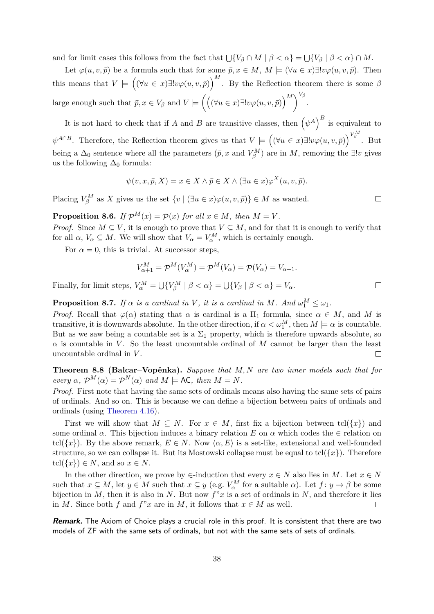and for limit cases this follows from the fact that  $\bigcup \{V_\beta \cap M \mid \beta < \alpha\} = \bigcup \{V_\beta \mid \beta < \alpha\} \cap M$ .

Let  $\varphi(u, v, \bar{p})$  be a formula such that for some  $\bar{p}, x \in M$ ,  $M \models (\forall u \in x) \exists ! v \varphi(u, v, \bar{p})$ . Then this means that  $V = ((\forall u \in x) \exists! v \varphi(u, v, \bar{p}))$ <sup>M</sup>. By the Reflection theorem there is some  $\beta$ large enough such that  $\bar{p}, x \in V_\beta$  and  $V \models \left( \left( (\forall u \in x) \exists! v \varphi(u, v, \bar{p}) \right)^M \right)^{V_\beta}$ .

It is not hard to check that if *A* and *B* are transitive classes, then  $(\psi^A)^B$  is equivalent to  $\psi^{A \cap B}$ . Therefore, the Reflection theorem gives us that  $V \models ((\forall u \in x) \exists! v \varphi(u, v, \bar{p}))^{V_{\beta}^M}$ . But being a  $\Delta_0$  sentence where all the parameters  $(\bar{p}, x$  and  $V_{\beta}^M$ ) are in *M*, removing the ∃!*v* gives us the following  $\Delta_0$  formula:

$$
\psi(v, x, \bar{p}, X) = x \in X \land \bar{p} \in X \land (\exists u \in x) \varphi^{X}(u, v, \bar{p}).
$$

Placing  $V_{\beta}^M$  as *X* gives us the set  $\{v \mid (\exists u \in x) \varphi(u, v, \bar{p})\} \in M$  as wanted.

**Proposition 8.6.** *If*  $\mathcal{P}^M(x) = \mathcal{P}(x)$  *for all*  $x \in M$ *, then*  $M = V$ *. Proof.* Since  $M \subseteq V$ , it is enough to prove that  $V \subseteq M$ , and for that it is enough to verify that for all  $\alpha$ ,  $V_{\alpha} \subseteq M$ . We will show that  $V_{\alpha} = V_{\alpha}^M$ , which is certainly enough.

For  $\alpha = 0$ , this is trivial. At successor steps,

$$
V_{\alpha+1}^M = \mathcal{P}^M(V_\alpha^M) = \mathcal{P}^M(V_\alpha) = \mathcal{P}(V_\alpha) = V_{\alpha+1}.
$$

Finally, for limit steps,  $V_{\alpha}^{M} = \bigcup \{ V_{\beta}^{M} \mid \beta < \alpha \} = \bigcup \{ V_{\beta} \mid \beta < \alpha \} = V_{\alpha}$ .

**Proposition 8.7.** *If*  $\alpha$  *is a cardinal in V*, *it is a cardinal in M*. And  $\omega_1^M \leq \omega_1$ .

*Proof.* Recall that  $\varphi(\alpha)$  stating that  $\alpha$  is cardinal is a  $\Pi_1$  formula, since  $\alpha \in M$ , and M is transitive, it is downwards absolute. In the other direction, if  $\alpha < \omega_1^M$ , then  $M \models \alpha$  is countable. But as we saw being a countable set is a  $\Sigma_1$  property, which is therefore upwards absolute, so  $\alpha$  is countable in *V*. So the least uncountable ordinal of *M* cannot be larger than the least uncountable ordinal in *V* .  $\Box$ 

**Theorem 8.8 (Balcar–Vopěnka).** *Suppose that M, N are two inner models such that for every*  $\alpha$ ,  $\mathcal{P}^M(\alpha) = \mathcal{P}^N(\alpha)$  *and*  $M \models \mathsf{AC}$ , *then*  $M = N$ *.* 

*Proof.* First note that having the same sets of ordinals means also having the same sets of pairs of ordinals. And so on. This is because we can define a bijection between pairs of ordinals and ordinals (using [Theorem 4.16\)](#page-17-1).

First we will show that  $M \subseteq N$ . For  $x \in M$ , first fix a bijection between  $\text{tcl}(\lbrace x \rbrace)$  and some ordinal  $\alpha$ . This bijection induces a binary relation *E* on  $\alpha$  which codes the  $\in$  relation on tcl( $\{x\}$ ). By the above remark,  $E \in N$ . Now  $\langle \alpha, E \rangle$  is a set-like, extensional and well-founded structure, so we can collapse it. But its Mostowski collapse must be equal to  $\text{tel}(\{x\})$ . Therefore  $tcl({x}) \in N$ , and so  $x \in N$ .

In the other direction, we prove by  $\in$ -induction that every  $x \in N$  also lies in *M*. Let  $x \in N$ such that  $x \subseteq M$ , let  $y \in M$  such that  $x \subseteq y$  (e.g.  $V^M_\alpha$  for a suitable  $\alpha$ ). Let  $f: y \to \beta$  be some bijection in *M*, then it is also in *N*. But now  $f''x$  is a set of ordinals in *N*, and therefore it lies in *M*. Since both *f* and  $f''x$  are in *M*, it follows that  $x \in M$  as well.  $\Box$ 

**Remark.** The Axiom of Choice plays a crucial role in this proof. It is consistent that there are two models of ZF with the same sets of ordinals, but not with the same sets of sets of ordinals.

 $\Box$ 

 $\Box$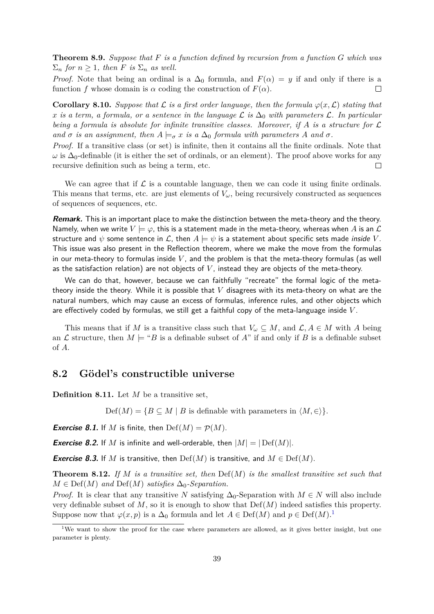**Theorem 8.9.** *Suppose that F is a function defined by recursion from a function G which was*  $\Sigma_n$  *for*  $n \geq 1$ *, then F is*  $\Sigma_n$  *as well.* 

*Proof.* Note that being an ordinal is a  $\Delta_0$  formula, and  $F(\alpha) = y$  if and only if there is a function *f* whose domain is  $\alpha$  coding the construction of  $F(\alpha)$ .  $\Box$ 

**Corollary 8.10.** Suppose that  $\mathcal L$  is a first order language, then the formula  $\varphi(x, \mathcal L)$  stating that *x is a term, a formula, or a sentence in the language*  $\mathcal{L}$  *is*  $\Delta_0$  *with parameters*  $\mathcal{L}$ *. In particular being a formula is absolute for infinite transitive classes. Moreover, if A is a structure for* L *and*  $\sigma$  *is an assignment, then*  $A \models_{\sigma} x$  *is a*  $\Delta_0$  *formula with parameters*  $A$  *and*  $\sigma$ *.* 

*Proof.* If a transitive class (or set) is infinite, then it contains all the finite ordinals. Note that  $\omega$  is  $\Delta_0$ -definable (it is either the set of ordinals, or an element). The proof above works for any recursive definition such as being a term, etc.  $\Box$ 

We can agree that if  $\mathcal L$  is a countable language, then we can code it using finite ordinals. This means that terms, etc. are just elements of  $V_\omega$ , being recursively constructed as sequences of sequences of sequences, etc.

**Remark.** This is an important place to make the distinction between the meta-theory and the theory. Namely, when we write  $V \models \varphi$ , this is a statement made in the meta-theory, whereas when A is an  $\mathcal L$ structure and  $\psi$  some sentence in  $\mathcal{L}$ , then  $A \models \psi$  is a statement about specific sets made *inside* V. This issue was also present in the Reflection theorem, where we make the move from the formulas in our meta-theory to formulas inside *V* , and the problem is that the meta-theory formulas (as well as the satisfaction relation) are not objects of *V* , instead they are objects of the meta-theory.

We can do that, however, because we can faithfully "recreate" the formal logic of the metatheory inside the theory. While it is possible that *V* disagrees with its meta-theory on what are the natural numbers, which may cause an excess of formulas, inference rules, and other objects which are effectively coded by formulas, we still get a faithful copy of the meta-language inside *V* .

This means that if *M* is a transitive class such that  $V_\omega \subseteq M$ , and  $\mathcal{L}, A \in M$  with A being an L structure, then  $M \models ``B$  is a definable subset of A" if and only if B is a definable subset of *A*.

### <span id="page-39-0"></span>**8.2 Gödel's constructible universe**

**Definition 8.11.** Let *M* be a transitive set,

 $Def(M) = \{ B \subseteq M \mid B \text{ is definable with parameters in } \langle M, \in \rangle \}.$ 

**Exercise 8.1.** If M is finite, then  $\text{Def}(M) = \mathcal{P}(M)$ .

**Exercise 8.2.** If M is infinite and well-orderable, then  $|M| = |\text{Def}(M)|$ .

**Exercise 8.3.** If *M* is transitive, then  $\mathrm{Def}(M)$  is transitive, and  $M \in \mathrm{Def}(M)$ .

**Theorem 8.12.** If M is a transitive set, then  $\text{Def}(M)$  is the smallest transitive set such that  $M \in \text{Def}(M)$  *and*  $\text{Def}(M)$  *satisfies*  $\Delta_0$ -*Separation.* 

*Proof.* It is clear that any transitive *N* satisfying  $\Delta_0$ -Separation with  $M \in N$  will also include very definable subset of  $M$ , so it is enough to show that  $Def(M)$  indeed satisfies this property. Suppose now that  $\varphi(x, p)$  is a  $\Delta_0$  formula and let  $A \in \text{Def}(M)$  and  $p \in \text{Def}(M)$ .<sup>[1](#page-39-1)</sup>

<span id="page-39-1"></span><sup>&</sup>lt;sup>1</sup>We want to show the proof for the case where parameters are allowed, as it gives better insight, but one parameter is plenty.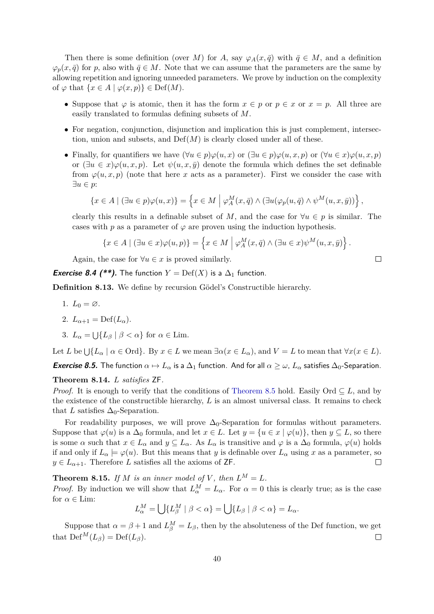Then there is some definition (over *M*) for *A*, say  $\varphi_A(x, \bar{q})$  with  $\bar{q} \in M$ , and a definition  $\varphi_p(x, \bar{q})$  for *p*, also with  $\bar{q} \in M$ . Note that we can assume that the parameters are the same by allowing repetition and ignoring unneeded parameters. We prove by induction on the complexity of  $\varphi$  that  $\{x \in A \mid \varphi(x, p)\} \in \text{Def}(M)$ .

- Suppose that  $\varphi$  is atomic, then it has the form  $x \in p$  or  $p \in x$  or  $x = p$ . All three are easily translated to formulas defining subsets of *M*.
- For negation, conjunction, disjunction and implication this is just complement, intersection, union and subsets, and  $Def(M)$  is clearly closed under all of these.
- Finally, for quantifiers we have  $(\forall u \in p) \varphi(u, x)$  or  $(\exists u \in p) \varphi(u, x, p)$  or  $(\forall u \in x) \varphi(u, x, p)$ or  $(\exists u \in x) \varphi(u, x, p)$ . Let  $\psi(u, x, \bar{y})$  denote the formula which defines the set definable from  $\varphi(u, x, p)$  (note that here *x* acts as a parameter). First we consider the case with ∃*u* ∈ *p*:

$$
\{x \in A \mid (\exists u \in p)\varphi(u,x)\} = \left\{x \in M \mid \varphi_A^M(x,\bar{q}) \wedge (\exists u(\varphi_p(u,\bar{q}) \wedge \psi^M(u,x,\bar{y}))\right\},\
$$

clearly this results in a definable subset of *M*, and the case for  $\forall u \in p$  is similar. The cases with *p* as a parameter of  $\varphi$  are proven using the induction hypothesis.

$$
\{x \in A \mid (\exists u \in x)\varphi(u,p)\} = \left\{x \in M \mid \varphi_A^M(x,\overline{q}) \land (\exists u \in x)\psi^M(u,x,\overline{y})\right\}.
$$

Again, the case for  $\forall u \in \mathcal{x}$  is proved similarly.

**Exercise 8.4 (\*\*).** The function  $Y = \mathrm{Def}(X)$  is a  $\Delta_1$  function.

**Definition 8.13.** We define by recursion Gödel's Constructible hierarchy.

1.  $L_0 = \emptyset$ .

2. 
$$
L_{\alpha+1} = \mathrm{Def}(L_{\alpha}).
$$

3. 
$$
L_{\alpha} = \bigcup \{ L_{\beta} \mid \beta < \alpha \}
$$
 for  $\alpha \in \text{Lim.}$ 

Let *L* be  $\bigcup \{L_\alpha \mid \alpha \in \text{Ord}\}.$  By  $x \in L$  we mean  $\exists \alpha (x \in L_\alpha)$ , and  $V = L$  to mean that  $\forall x (x \in L)$ .

*Exercise 8.5.* The function  $\alpha \mapsto L_\alpha$  is a  $\Delta_1$  function. And for all  $\alpha \geq \omega$ ,  $L_\alpha$  satisfies  $\Delta_0$ -Separation.

**Theorem 8.14.** *L satisfies* ZF*.*

*Proof.* It is enough to verify that the conditions of [Theorem 8.5](#page-37-2) hold. Easily Ord  $\subseteq L$ , and by the existence of the constructible hierarchy, *L* is an almost universal class. It remains to check that *L* satisfies  $\Delta_0$ -Separation.

For readability purposes, we will prove  $\Delta_0$ -Separation for formulas without parameters. Suppose that  $\varphi(u)$  is a  $\Delta_0$  formula, and let  $x \in L$ . Let  $y = \{u \in x \mid \varphi(u)\}\)$ , then  $y \subseteq L$ , so there is some  $\alpha$  such that  $x \in L_{\alpha}$  and  $y \subseteq L_{\alpha}$ . As  $L_{\alpha}$  is transitive and  $\varphi$  is a  $\Delta_0$  formula,  $\varphi(u)$  holds if and only if  $L_{\alpha} \models \varphi(u)$ . But this means that *y* is definable over  $L_{\alpha}$  using *x* as a parameter, so  $y \in L_{\alpha+1}$ . Therefore *L* satisfies all the axioms of **ZF**.  $\Box$ 

**Theorem 8.15.** If M is an inner model of V, then  $L^M = L$ . *Proof.* By induction we will show that  $L_{\alpha}^{M} = L_{\alpha}$ . For  $\alpha = 0$  this is clearly true; as is the case for  $\alpha \in \text{Lim}$ :

$$
L^M_\alpha = \bigcup \{ L^M_\beta \mid \beta < \alpha \} = \bigcup \{ L_\beta \mid \beta < \alpha \} = L_\alpha.
$$

Suppose that  $\alpha = \beta + 1$  and  $L_{\beta}^{M} = L_{\beta}$ , then by the absoluteness of the Def function, we get that  $\operatorname{Def}^M(L_\beta) = \operatorname{Def}(L_\beta)$ .  $\Box$ 

 $\Box$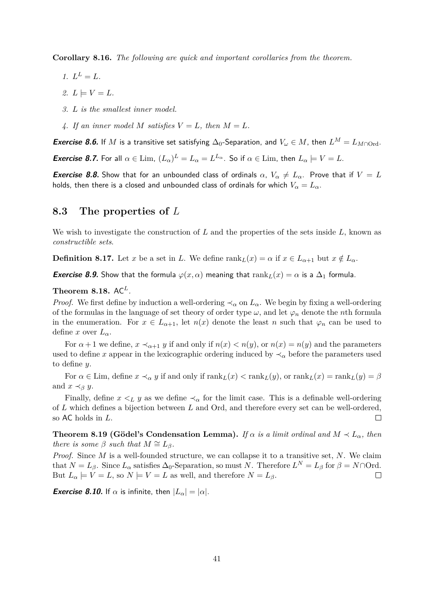**Corollary 8.16.** *The following are quick and important corollaries from the theorem.*

- *1.*  $L^{L} = L$ *.*
- $2. L \models V = L$ .
- *3. L is the smallest inner model.*
- 4. If an inner model M satisfies  $V = L$ , then  $M = L$ .

**Exercise 8.6.** If *M* is a transitive set satisfying  $\Delta_0$ -Separation, and  $V_\omega \in M$ , then  $L^M = L_{M \cap \text{Ord}}$ .

**Exercise 8.7.** For all  $\alpha \in \text{Lim}, (L_{\alpha})^L = L_{\alpha} = L^{L_{\alpha}}$ . So if  $\alpha \in \text{Lim},$  then  $L_{\alpha} \models V = L$ .

**Exercise 8.8.** Show that for an unbounded class of ordinals  $\alpha$ ,  $V_{\alpha} \neq L_{\alpha}$ . Prove that if  $V = L$ holds, then there is a closed and unbounded class of ordinals for which  $V_\alpha = L_\alpha$ .

### <span id="page-41-0"></span>**8.3 The properties of** *L*

We wish to investigate the construction of *L* and the properties of the sets inside *L*, known as *constructible sets*.

**Definition 8.17.** Let *x* be a set in *L*. We define  $\text{rank}_L(x) = \alpha$  if  $x \in L_{\alpha+1}$  but  $x \notin L_{\alpha}$ .

**Exercise 8.9.** Show that the formula  $\varphi(x, \alpha)$  meaning that  $\text{rank}_L(x) = \alpha$  is a  $\Delta_1$  formula.

### **Theorem 8.18.**  $AC<sup>L</sup>$ .

*Proof.* We first define by induction a well-ordering  $\prec_{\alpha}$  on  $L_{\alpha}$ . We begin by fixing a well-ordering of the formulas in the language of set theory of order type  $\omega$ , and let  $\varphi_n$  denote the *n*th formula in the enumeration. For  $x \in L_{\alpha+1}$ , let  $n(x)$  denote the least *n* such that  $\varphi_n$  can be used to define *x* over  $L_{\alpha}$ .

For  $\alpha + 1$  we define,  $x \prec_{\alpha+1} y$  if and only if  $n(x) < n(y)$ , or  $n(x) = n(y)$  and the parameters used to define *x* appear in the lexicographic ordering induced by  $\prec_{\alpha}$  before the parameters used to define *y*.

For  $\alpha \in \text{Lim}$ , define  $x \prec_{\alpha} y$  if and only if  $\text{rank}_L(x) < \text{rank}_L(y)$ , or  $\text{rank}_L(x) = \text{rank}_L(y) = \beta$ and  $x \prec_{\beta} y$ .

Finally, define  $x \leq_L y$  as we define  $\prec_\alpha$  for the limit case. This is a definable well-ordering of *L* which defines a bijection between *L* and Ord, and therefore every set can be well-ordered, so AC holds in *L*.  $\Box$ 

**Theorem 8.19 (Gödel's Condensation Lemma).** *If*  $\alpha$  *is a limit ordinal and*  $M \prec L_{\alpha}$ *, then there is some*  $\beta$  *such that*  $M \cong L_{\beta}$ *.* 

*Proof.* Since *M* is a well-founded structure, we can collapse it to a transitive set, *N*. We claim that  $N = L_{\beta}$ . Since  $L_{\alpha}$  satisfies  $\Delta_0$ -Separation, so must *N*. Therefore  $L^N = L_{\beta}$  for  $\beta = N \cap \text{Ord}$ . But  $L_{\alpha} \models V = L$ , so  $N \models V = L$  as well, and therefore  $N = L_{\beta}$ .  $\Box$ 

*Exercise 8.10.* If  $\alpha$  is infinite, then  $|L_{\alpha}| = |\alpha|$ .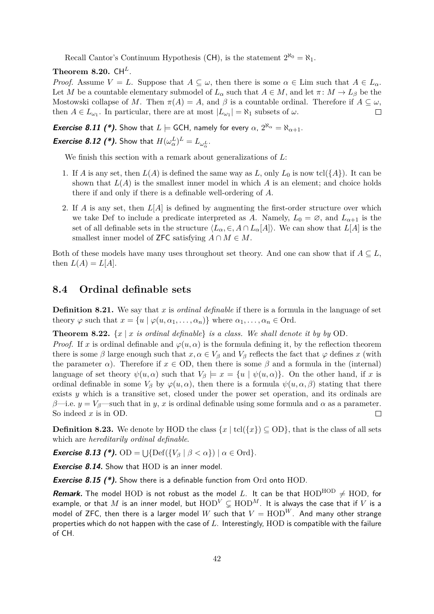Recall Cantor's Continuum Hypothesis (CH), is the statement  $2^{\aleph_0} = \aleph_1$ .

### **Theorem 8.20.**  $CH^L$ .

*Proof.* Assume  $V = L$ . Suppose that  $A \subseteq \omega$ , then there is some  $\alpha \in \text{Lim}$  such that  $A \in L_{\alpha}$ . Let *M* be a countable elementary submodel of  $L_{\alpha}$  such that  $A \in M$ , and let  $\pi: M \to L_{\beta}$  be the Mostowski collapse of *M*. Then  $\pi(A) = A$ , and  $\beta$  is a countable ordinal. Therefore if  $A \subseteq \omega$ , then  $A \in L_{\omega_1}$ . In particular, there are at most  $|L_{\omega_1}| = \aleph_1$  subsets of  $\omega$ .  $\Box$ 

*Exercise 8.11 (\*).* Show that  $L \models$  GCH, namely for every  $\alpha$ ,  $2^{\aleph_{\alpha}} = \aleph_{\alpha+1}$ .

*Exercise 8.12 (\*).* **Show that**  $H(\omega_{\alpha}^{L})^{L} = L_{\omega_{\alpha}^{L}}$ **.** 

We finish this section with a remark about generalizations of *L*:

- 1. If *A* is any set, then  $L(A)$  is defined the same way as *L*, only  $L_0$  is now tcl( $\{A\}$ ). It can be shown that  $L(A)$  is the smallest inner model in which  $A$  is an element; and choice holds there if and only if there is a definable well-ordering of *A*.
- 2. If *A* is any set, then *L*[*A*] is defined by augmenting the first-order structure over which we take Def to include a predicate interpreted as A. Namely,  $L_0 = \emptyset$ , and  $L_{\alpha+1}$  is the set of all definable sets in the structure  $\langle L_{\alpha}, \in, A \cap L_{\alpha}[A] \rangle$ . We can show that  $L[A]$  is the smallest inner model of **ZFC** satisfying  $A \cap M \in M$ .

Both of these models have many uses throughout set theory. And one can show that if  $A \subseteq L$ , then  $L(A) = L[A]$ .

### <span id="page-42-0"></span>**8.4 Ordinal definable sets**

**Definition 8.21.** We say that *x* is *ordinal definable* if there is a formula in the language of set theory  $\varphi$  such that  $x = \{u \mid \varphi(u, \alpha_1, \ldots, \alpha_n)\}\$  where  $\alpha_1, \ldots, \alpha_n \in \text{Ord.}$ 

**Theorem 8.22.**  $\{x \mid x \text{ is ordinal definable}\}$  is a class. We shall denote it by by OD.

*Proof.* If *x* is ordinal definable and  $\varphi(u, \alpha)$  is the formula defining it, by the reflection theorem there is some  $\beta$  large enough such that  $x, \alpha \in V_\beta$  and  $V_\beta$  reflects the fact that  $\varphi$  defines  $x$  (with the parameter  $\alpha$ ). Therefore if  $x \in OD$ , then there is some  $\beta$  and a formula in the (internal) language of set theory  $\psi(u, \alpha)$  such that  $V_\beta \models x = \{u \mid \psi(u, \alpha)\}\.$  On the other hand, if *x* is ordinal definable in some  $V_\beta$  by  $\varphi(u,\alpha)$ , then there is a formula  $\psi(u,\alpha,\beta)$  stating that there exists *y* which is a transitive set, closed under the power set operation, and its ordinals are *β*—i.e.  $y = V_\beta$ —such that in *y*, *x* is ordinal definable using some formula and  $\alpha$  as a parameter. So indeed *x* is in OD.  $\Box$ 

**Definition 8.23.** We denote by HOD the class  $\{x \mid \text{tcl}(\{x\}) \subseteq$  OD}, that is the class of all sets which are *hereditarily ordinal definable*.

*Exercise 8.13 (\*).*  $OD = \bigcup \{ \mathrm{Def}(\{V_\beta \mid \beta < \alpha\}) \mid \alpha \in \mathrm{Ord}\}.$ 

**Exercise 8.14.** Show that HOD is an inner model.

**Exercise 8.15 (\*).** Show there is a definable function from Ord onto HOD.

**Remark.** The model HOD is not robust as the model L. It can be that  $HOD^{HOD} \neq HOD$ , for example, or that *M* is an inner model, but  $\text{HOD}^V \subsetneq \text{HOD}^M$ . It is always the case that if *V* is a model of ZFC, then there is a larger model W such that  $V = \text{HOD}^W$ . And many other strange properties which do not happen with the case of *L*. Interestingly, HOD is compatible with the failure of CH.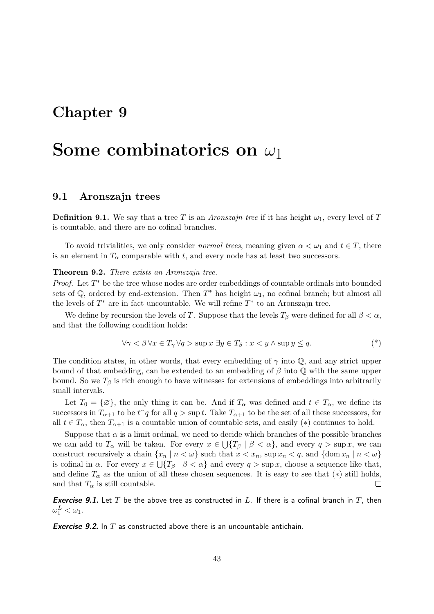## <span id="page-43-0"></span>**Some combinatorics on** *ω*1

### <span id="page-43-1"></span>**9.1 Aronszajn trees**

**Definition 9.1.** We say that a tree *T* is an *Aronszajn tree* if it has height  $\omega_1$ , every level of *T* is countable, and there are no cofinal branches.

To avoid trivialities, we only consider *normal trees*, meaning given  $\alpha < \omega_1$  and  $t \in T$ , there is an element in  $T_\alpha$  comparable with *t*, and every node has at least two successors.

**Theorem 9.2.** *There exists an Aronszajn tree.*

*Proof.* Let  $T^*$  be the tree whose nodes are order embeddings of countable ordinals into bounded sets of  $\mathbb{Q}$ , ordered by end-extension. Then  $T^*$  has height  $\omega_1$ , no cofinal branch; but almost all the levels of  $T^*$  are in fact uncountable. We will refine  $T^*$  to an Aronszajn tree.

We define by recursion the levels of *T*. Suppose that the levels  $T_\beta$  were defined for all  $\beta < \alpha$ , and that the following condition holds:

$$
\forall \gamma < \beta \,\forall x \in T_{\gamma} \,\forall q > \sup x \,\exists y \in T_{\beta} : x < y \land \sup y \le q. \tag{*}
$$

The condition states, in other words, that every embedding of  $\gamma$  into  $\mathbb{Q}$ , and any strict upper bound of that embedding, can be extended to an embedding of *β* into Q with the same upper bound. So we  $T_\beta$  is rich enough to have witnesses for extensions of embeddings into arbitrarily small intervals.

Let  $T_0 = \{\emptyset\}$ , the only thing it can be. And if  $T_\alpha$  was defined and  $t \in T_\alpha$ , we define its successors in  $T_{\alpha+1}$  to be  $t^q$  for all  $q > \sup t$ . Take  $T_{\alpha+1}$  to be the set of all these successors, for all  $t \in T_\alpha$ , then  $T_{\alpha+1}$  is a countable union of countable sets, and easily (\*) continues to hold.

Suppose that  $\alpha$  is a limit ordinal, we need to decide which branches of the possible branches we can add to  $T_\alpha$  will be taken. For every  $x \in \bigcup \{T_\beta \mid \beta < \alpha\}$ , and every  $q > \sup x$ , we can construct recursively a chain  $\{x_n \mid n < \omega\}$  such that  $x < x_n$ , sup  $x_n < q$ , and  $\{\text{dom } x_n \mid n < \omega\}$ is cofinal in  $\alpha$ . For every  $x \in \bigcup \{T_\beta \mid \beta < \alpha\}$  and every  $q > \sup x$ , choose a sequence like that, and define  $T_\alpha$  as the union of all these chosen sequences. It is easy to see that (\*) still holds, and that  $T_\alpha$  is still countable. П

**Exercise 9.1.** Let *T* be the above tree as constructed in *L*. If there is a cofinal branch in *T*, then  $\omega_1^L < \omega_1$ .

**Exercise 9.2.** In T as constructed above there is an uncountable antichain.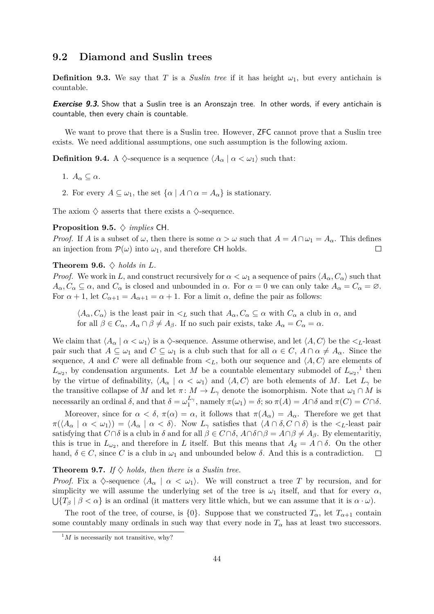### <span id="page-44-0"></span>**9.2 Diamond and Suslin trees**

**Definition 9.3.** We say that *T* is a *Suslin tree* if it has height  $\omega_1$ , but every antichain is countable.

**Exercise 9.3.** Show that a Suslin tree is an Aronszajn tree. In other words, if every antichain is countable, then every chain is countable.

We want to prove that there is a Suslin tree. However, **ZFC** cannot prove that a Suslin tree exists. We need additional assumptions, one such assumption is the following axiom.

**Definition 9.4.** A  $\Diamond$ -sequence is a sequence  $\langle A_{\alpha} | \alpha \langle \omega_1 \rangle$  such that:

- 1.  $A_{\alpha} \subseteq \alpha$ .
- 2. For every  $A \subseteq \omega_1$ , the set  $\{\alpha \mid A \cap \alpha = A_\alpha\}$  is stationary.

The axiom  $\diamondsuit$  asserts that there exists a  $\diamondsuit$ -sequence.

#### **Proposition 9.5.** ♦ *implies* CH*.*

*Proof.* If *A* is a subset of  $\omega$ , then there is some  $\alpha > \omega$  such that  $A = A \cap \omega_1 = A_\alpha$ . This defines an injection from  $\mathcal{P}(\omega)$  into  $\omega_1$ , and therefore CH holds.  $\Box$ 

#### **Theorem 9.6.**  $\diamondsuit$  *holds in L.*

*Proof.* We work in *L*, and construct recursively for  $\alpha < \omega_1$  a sequence of pairs  $\langle A_\alpha, C_\alpha \rangle$  such that  $A_{\alpha}, C_{\alpha} \subseteq \alpha$ , and  $C_{\alpha}$  is closed and unbounded in  $\alpha$ . For  $\alpha = 0$  we can only take  $A_{\alpha} = C_{\alpha} = \emptyset$ . For  $\alpha + 1$ , let  $C_{\alpha+1} = A_{\alpha+1} = \alpha + 1$ . For a limit  $\alpha$ , define the pair as follows:

 $\langle A_{\alpha}, C_{\alpha} \rangle$  is the least pair in  $\langle L \rangle$  such that  $A_{\alpha}, C_{\alpha} \subseteq \alpha$  with  $C_{\alpha}$  a club in  $\alpha$ , and for all  $\beta \in C_{\alpha}$ ,  $A_{\alpha} \cap \beta \neq A_{\beta}$ . If no such pair exists, take  $A_{\alpha} = C_{\alpha} = \alpha$ .

We claim that  $\langle A_\alpha | \alpha < \omega_1 \rangle$  is a  $\Diamond$ -sequence. Assume otherwise, and let  $\langle A, C \rangle$  be the  $\langle L$ -least pair such that  $A \subseteq \omega_1$  and  $C \subseteq \omega_1$  is a club such that for all  $\alpha \in C$ ,  $A \cap \alpha \neq A_\alpha$ . Since the sequence, A and C were all definable from  $\lt_L$ , both our sequence and  $\langle A, C \rangle$  are elements of  $L_{\omega_2}$ , by condensation arguments. Let *M* be a countable elementary submodel of  $L_{\omega_2}$ ,<sup>[1](#page-44-1)</sup> then by the virtue of definability,  $\langle A_\alpha | \alpha < \omega_1 \rangle$  and  $\langle A, C \rangle$  are both elements of *M*. Let  $L_\gamma$  be the transitive collapse of *M* and let  $\pi$ :  $M \to L_{\gamma}$  denote the isomorphism. Note that  $\omega_1 \cap M$  is necessarily an ordinal  $\delta$ , and that  $\delta = \omega_1^{L_2}$  $\int_{1}^{L\gamma}$ , namely  $\pi(\omega_1) = \delta$ ; so  $\pi(A) = A \cap \delta$  and  $\pi(C) = C \cap \delta$ .

Moreover, since for  $\alpha < \delta$ ,  $\pi(\alpha) = \alpha$ , it follows that  $\pi(A_{\alpha}) = A_{\alpha}$ . Therefore we get that  $\pi(\langle A_\alpha \mid \alpha < \omega_1 \rangle) = \langle A_\alpha \mid \alpha < \delta \rangle$ . Now  $L_\gamma$  satisfies that  $\langle A \cap \delta, C \cap \delta \rangle$  is the  $\langle L$ -least pair satisfying that  $C \cap \delta$  is a club in  $\delta$  and for all  $\beta \in C \cap \delta$ ,  $A \cap \delta \cap \beta = A \cap \beta \neq A_{\beta}$ . By elementaritiy, this is true in  $L_{\omega_2}$ , and therefore in *L* itself. But this means that  $A_{\delta} = A \cap \delta$ . On the other hand,  $\delta \in C$ , since *C* is a club in  $\omega_1$  and unbounded below  $\delta$ . And this is a contradiction.  $\Box$ 

#### **Theorem 9.7.** *If*  $\diamondsuit$  *holds, then there is a Suslin tree.*

*Proof.* Fix a  $\Diamond$ -sequence  $\langle A_\alpha | \alpha < \omega_1 \rangle$ . We will construct a tree T by recursion, and for simplicity we will assume the underlying set of the tree is  $\omega_1$  itself, and that for every  $\alpha$ ,  $\bigcup \{T_\beta \mid \beta < \alpha\}$  is an ordinal (it matters very little which, but we can assume that it is  $\alpha \cdot \omega$ ).

The root of the tree, of course, is {0}. Suppose that we constructed  $T_{\alpha}$ , let  $T_{\alpha+1}$  contain some countably many ordinals in such way that every node in  $T_\alpha$  has at least two successors.

<span id="page-44-1"></span> $^{1}M$  is necessarily not transitive, why?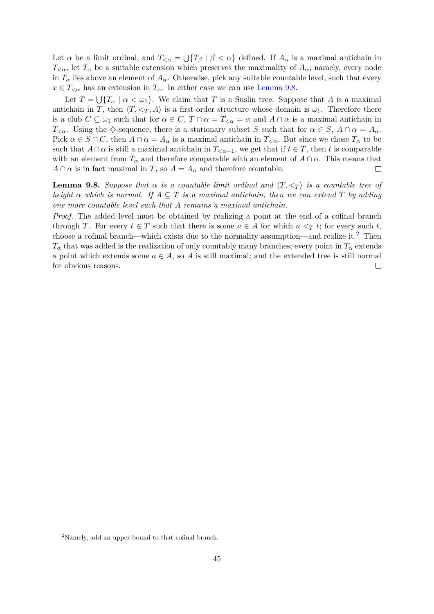Let  $\alpha$  be a limit ordinal, and  $T_{\leq \alpha} = \bigcup \{T_\beta \mid \beta < \alpha\}$  defined. If  $A_\alpha$  is a maximal antichain in  $T<sub>\alpha</sub>$ , let  $T<sub>\alpha</sub>$  be a suitable extension which preserves the maximality of  $A<sub>\alpha</sub>$ ; namely, every node in  $T_\alpha$  lies above an element of  $A_\alpha$ . Otherwise, pick any suitable countable level, such that every  $x \in T_{\leq \alpha}$  has an extension in  $T_{\alpha}$ . In either case we can use [Lemma 9.8.](#page-45-0)

Let  $T = \bigcup \{T_\alpha \mid \alpha < \omega_1\}$ . We claim that *T* is a Suslin tree. Suppose that *A* is a maximal antichain in *T*, then  $\langle T, \langle T, A \rangle$  is a first-order structure whose domain is  $\omega_1$ . Therefore there is a club  $C \subseteq \omega_1$  such that for  $\alpha \in C$ ,  $T \cap \alpha = T_{\leq \alpha} = \alpha$  and  $A \cap \alpha$  is a maximal antichain in *T*<sub> $\lt \alpha$ </sub>. Using the  $\Diamond$ -sequence, there is a stationary subset *S* such that for  $\alpha \in S$ ,  $A \cap \alpha = A_{\alpha}$ . Pick  $\alpha \in S \cap C$ , then  $A \cap \alpha = A_{\alpha}$  is a maximal antichain in  $T_{\leq \alpha}$ . But since we chose  $T_{\alpha}$  to be such that  $A \cap \alpha$  is still a maximal antichain in  $T_{\leq \alpha+1}$ , we get that if  $t \in T$ , then *t* is comparable with an element from  $T_\alpha$  and therefore comparable with an element of  $A \cap \alpha$ . This means that  $A \cap \alpha$  is in fact maximal in *T*, so  $A = A_{\alpha}$  and therefore countable.  $\Box$ 

<span id="page-45-0"></span>**Lemma 9.8.** *Suppose that*  $\alpha$  *is a countable limit ordinal and*  $\langle T, \langle T \rangle$  *is a countable tree of height*  $\alpha$  *which is normal.* If  $A \subseteq T$  *is a maximal antichain, then we can extend*  $T$  *by adding one more countable level such that A remains a maximal antichain.*

*Proof.* The added level must be obtained by realizing a point at the end of a cofinal branch through *T*. For every  $t \in T$  such that there is some  $a \in A$  for which  $a \leq T$  *t*; for every such *t*, choose a cofinal branch—which exists due to the normality assumption—and realize it.<sup>[2](#page-45-1)</sup> Then  $T_{\alpha}$  that was added is the realization of only countably many branches; every point in  $T_{\alpha}$  extends a point which extends some  $a \in A$ , so A is still maximal; and the extended tree is still normal for obvious reasons.  $\Box$ 

<span id="page-45-1"></span><sup>2</sup>Namely, add an upper bound to that cofinal branch.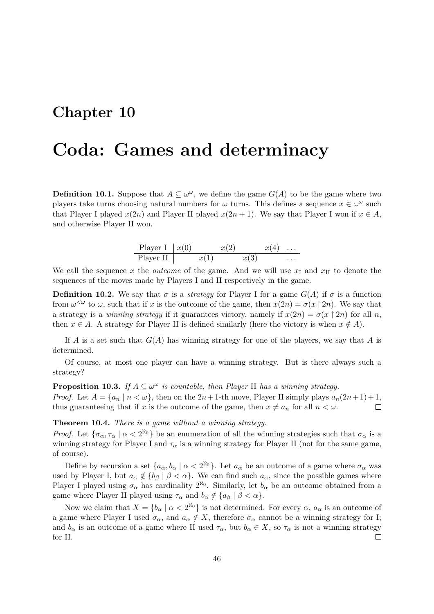## <span id="page-46-0"></span>**Coda: Games and determinacy**

**Definition 10.1.** Suppose that  $A \subseteq \omega^{\omega}$ , we define the game  $G(A)$  to be the game where two players take turns choosing natural numbers for  $\omega$  turns. This defines a sequence  $x \in \omega^{\omega}$  such that Player I played  $x(2n)$  and Player II played  $x(2n + 1)$ . We say that Player I won if  $x \in A$ , and otherwise Player II won.

| Player I $\parallel x(0)$ |      | x(2) |      | $x(4) \ldots$ |          |
|---------------------------|------|------|------|---------------|----------|
| Player II                 | x(1) |      | x(3) |               | $\cdots$ |

We call the sequence x the *outcome* of the game. And we will use  $x<sub>I</sub>$  and  $x<sub>II</sub>$  to denote the sequences of the moves made by Players I and II respectively in the game.

**Definition 10.2.** We say that  $\sigma$  is a *strategy* for Player I for a game  $G(A)$  if  $\sigma$  is a function from  $\omega^{\leq \omega}$  to  $\omega$ , such that if *x* is the outcome of the game, then  $x(2n) = \sigma(x \mid 2n)$ . We say that a strategy is a *winning strategy* if it guarantees victory, namely if  $x(2n) = \sigma(x \nvert 2n)$  for all *n*, then *x* ∈ *A*. A strategy for Player II is defined similarly (here the victory is when  $x \notin A$ ).

If *A* is a set such that  $G(A)$  has winning strategy for one of the players, we say that *A* is determined.

Of course, at most one player can have a winning strategy. But is there always such a strategy?

**Proposition 10.3.** *If*  $A \subseteq \omega^\omega$  *is countable, then Player* II *has a winning strategy. Proof.* Let  $A = \{a_n \mid n < \omega\}$ , then on the  $2n + 1$ -th move, Player II simply plays  $a_n(2n+1) + 1$ , thus guaranteeing that if *x* is the outcome of the game, then  $x \neq a_n$  for all  $n < \omega$ .  $\Box$ 

### **Theorem 10.4.** *There is a game without a winning strategy.*

*Proof.* Let  $\{\sigma_{\alpha}, \tau_{\alpha} \mid \alpha < 2^{\aleph_0}\}\)$  be an enumeration of all the winning strategies such that  $\sigma_{\alpha}$  is a winning strategy for Player I and  $\tau_{\alpha}$  is a winning strategy for Player II (not for the same game, of course).

Define by recursion a set  $\{a_{\alpha}, b_{\alpha} \mid \alpha < 2^{\aleph_0}\}\$ . Let  $a_{\alpha}$  be an outcome of a game where  $\sigma_{\alpha}$  was used by Player I, but  $a_{\alpha} \notin \{b_{\beta} \mid \beta < \alpha\}$ . We can find such  $a_{\alpha}$ , since the possible games where Player I played using  $\sigma_{\alpha}$  has cardinality  $2^{\aleph_0}$ . Similarly, let  $b_{\alpha}$  be an outcome obtained from a game where Player II played using  $\tau_{\alpha}$  and  $b_{\alpha} \notin \{a_{\beta} \mid \beta < \alpha\}.$ 

Now we claim that  $X = \{b_\alpha \mid \alpha < 2^{\aleph_0}\}\)$  is not determined. For every  $\alpha$ ,  $a_\alpha$  is an outcome of a game where Player I used  $\sigma_{\alpha}$ , and  $a_{\alpha} \notin X$ , therefore  $\sigma_{\alpha}$  cannot be a winning strategy for I; and  $b_{\alpha}$  is an outcome of a game where II used  $\tau_{\alpha}$ , but  $b_{\alpha} \in X$ , so  $\tau_{\alpha}$  is not a winning strategy for II.  $\Box$